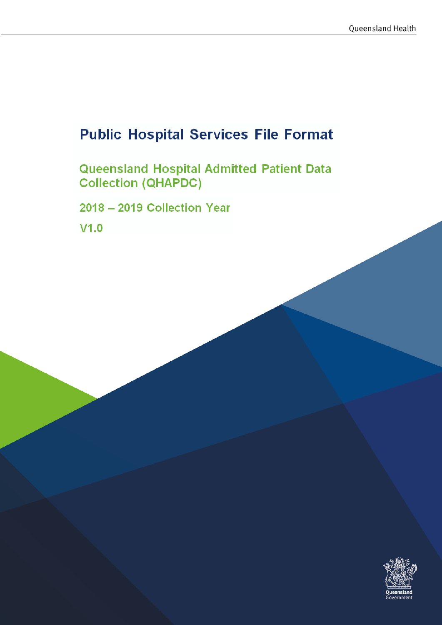# **Public Hospital Services File Format**

**Queensland Hospital Admitted Patient Data<br>Collection (QHAPDC)** 

**2018 - 2019 Collection Year** 

**V1.0** 

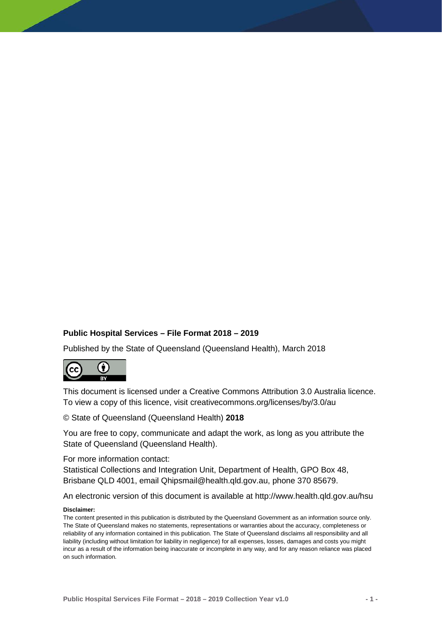#### **Public Hospital Services – File Format 2018 – 2019**

Published by the State of Queensland (Queensland Health), March 2018



This document is licensed under a Creative Commons Attribution 3.0 Australia licence. To view a copy of this licence, visit creativecommons.org/licenses/by/3.0/au

© State of Queensland (Queensland Health) **2018**

You are free to copy, communicate and adapt the work, as long as you attribute the State of Queensland (Queensland Health).

For more information contact:

Statistical Collections and Integration Unit, Department of Health, GPO Box 48, Brisbane QLD 4001, email Qhipsmail@health.qld.gov.au, phone 370 85679.

An electronic version of this document is available at http://www.health.qld.gov.au/hsu

#### **Disclaimer:**

The content presented in this publication is distributed by the Queensland Government as an information source only. The State of Queensland makes no statements, representations or warranties about the accuracy, completeness or reliability of any information contained in this publication. The State of Queensland disclaims all responsibility and all liability (including without limitation for liability in negligence) for all expenses, losses, damages and costs you might incur as a result of the information being inaccurate or incomplete in any way, and for any reason reliance was placed on such information.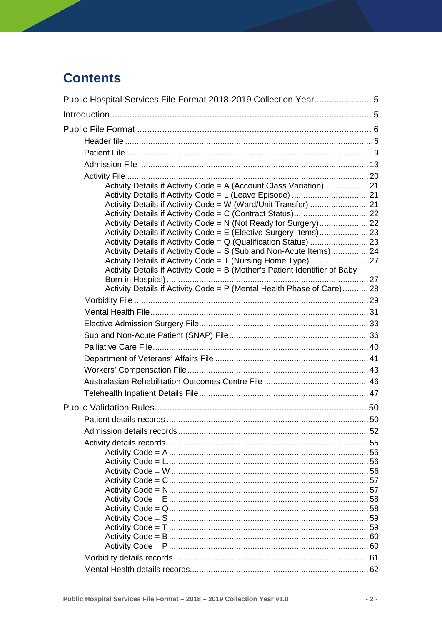# **Contents**

| Activity Details if Activity Code = A (Account Class Variation) 21         |  |
|----------------------------------------------------------------------------|--|
|                                                                            |  |
|                                                                            |  |
|                                                                            |  |
| Activity Details if Activity Code = E (Elective Surgery Items) 23          |  |
|                                                                            |  |
| Activity Details if Activity Code = S (Sub and Non-Acute Items) 24         |  |
|                                                                            |  |
| Activity Details if Activity Code = B (Mother's Patient Identifier of Baby |  |
|                                                                            |  |
| Activity Details if Activity Code = P (Mental Health Phase of Care) 28     |  |
|                                                                            |  |
|                                                                            |  |
|                                                                            |  |
|                                                                            |  |
|                                                                            |  |
|                                                                            |  |
|                                                                            |  |
|                                                                            |  |
|                                                                            |  |
|                                                                            |  |
|                                                                            |  |
|                                                                            |  |
|                                                                            |  |
|                                                                            |  |
|                                                                            |  |
|                                                                            |  |
|                                                                            |  |
|                                                                            |  |
|                                                                            |  |
|                                                                            |  |
|                                                                            |  |
|                                                                            |  |
|                                                                            |  |
|                                                                            |  |
|                                                                            |  |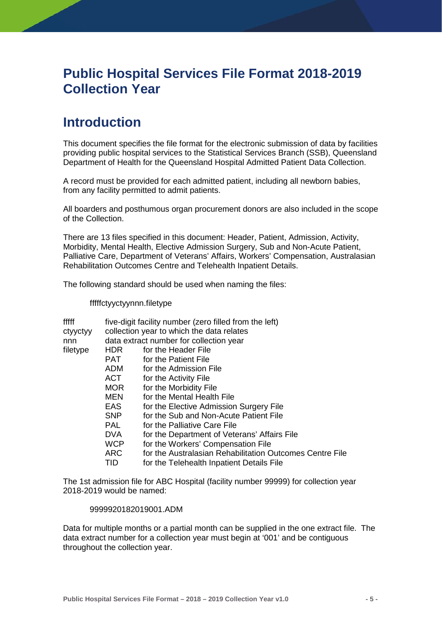# <span id="page-5-0"></span>**Public Hospital Services File Format 2018-2019 Collection Year**

# <span id="page-5-1"></span>**Introduction**

This document specifies the file format for the electronic submission of data by facilities providing public hospital services to the Statistical Services Branch (SSB), Queensland Department of Health for the Queensland Hospital Admitted Patient Data Collection.

A record must be provided for each admitted patient, including all newborn babies, from any facility permitted to admit patients.

All boarders and posthumous organ procurement donors are also included in the scope of the Collection.

There are 13 files specified in this document: Header, Patient, Admission, Activity, Morbidity, Mental Health, Elective Admission Surgery, Sub and Non-Acute Patient, Palliative Care, Department of Veterans' Affairs, Workers' Compensation, Australasian Rehabilitation Outcomes Centre and Telehealth Inpatient Details.

The following standard should be used when naming the files:

fffffctyyctyynnn.filetype

| fffff    | five-digit facility number (zero filled from the left) |                                                          |  |  |  |  |  |
|----------|--------------------------------------------------------|----------------------------------------------------------|--|--|--|--|--|
| ctyyctyy | collection year to which the data relates              |                                                          |  |  |  |  |  |
| nnn      | data extract number for collection year                |                                                          |  |  |  |  |  |
| filetype | HDR.                                                   | for the Header File                                      |  |  |  |  |  |
|          | PAT                                                    | for the Patient File                                     |  |  |  |  |  |
|          | <b>ADM</b>                                             | for the Admission File                                   |  |  |  |  |  |
|          | ACT                                                    | for the Activity File                                    |  |  |  |  |  |
|          | <b>MOR</b>                                             | for the Morbidity File                                   |  |  |  |  |  |
|          | MEN                                                    | for the Mental Health File                               |  |  |  |  |  |
|          | <b>EAS</b>                                             | for the Elective Admission Surgery File                  |  |  |  |  |  |
|          | <b>SNP</b>                                             | for the Sub and Non-Acute Patient File                   |  |  |  |  |  |
|          | <b>PAL</b>                                             | for the Palliative Care File                             |  |  |  |  |  |
|          | <b>DVA</b>                                             | for the Department of Veterans' Affairs File             |  |  |  |  |  |
|          | <b>WCP</b>                                             | for the Workers' Compensation File                       |  |  |  |  |  |
|          | <b>ARC</b>                                             | for the Australasian Rehabilitation Outcomes Centre File |  |  |  |  |  |
|          | TID                                                    | for the Telehealth Inpatient Details File                |  |  |  |  |  |
|          |                                                        |                                                          |  |  |  |  |  |

The 1st admission file for ABC Hospital (facility number 99999) for collection year 2018-2019 would be named:

#### 9999920182019001.ADM

Data for multiple months or a partial month can be supplied in the one extract file. The data extract number for a collection year must begin at '001' and be contiguous throughout the collection year.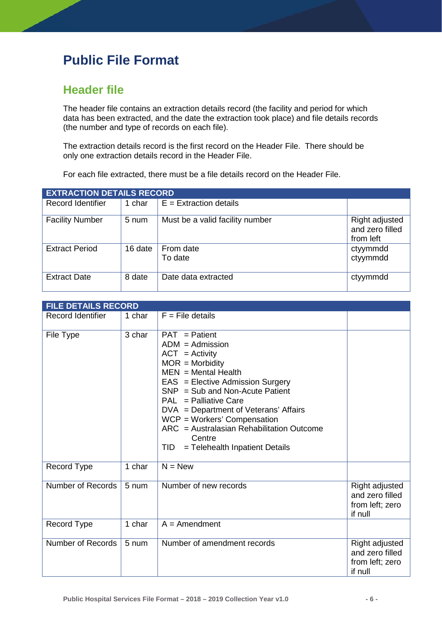# <span id="page-6-0"></span>**Public File Format**

## <span id="page-6-1"></span>**Header file**

The header file contains an extraction details record (the facility and period for which data has been extracted, and the date the extraction took place) and file details records (the number and type of records on each file).

The extraction details record is the first record on the Header File. There should be only one extraction details record in the Header File.

For each file extracted, there must be a file details record on the Header File.

| <b>EXTRACTION DETAILS RECORD</b> |         |                                 |                                                |  |
|----------------------------------|---------|---------------------------------|------------------------------------------------|--|
| Record Identifier                | 1 char  | $E =$ Extraction details        |                                                |  |
| <b>Facility Number</b>           | 5 num   | Must be a valid facility number | Right adjusted<br>and zero filled<br>from left |  |
| <b>Extract Period</b>            | 16 date | From date<br>To date            | ctyymmdd<br>ctyymmdd                           |  |
| <b>Extract Date</b>              | 8 date  | Date data extracted             | ctyymmdd                                       |  |

| <b>FILE DETAILS RECORD</b> |        |                                                                                                                                                                                                                                                                                                                                                                                       |                                                                 |  |
|----------------------------|--------|---------------------------------------------------------------------------------------------------------------------------------------------------------------------------------------------------------------------------------------------------------------------------------------------------------------------------------------------------------------------------------------|-----------------------------------------------------------------|--|
| <b>Record Identifier</b>   | 1 char | $F =$ File details                                                                                                                                                                                                                                                                                                                                                                    |                                                                 |  |
| File Type                  | 3 char | $PAT =$ Patient<br>$ADM =$ Admission<br>$ACT = Activity$<br>$MOR = Morbidity$<br>$MEN = Mental Health$<br>EAS = Elective Admission Surgery<br>$SNP = Sub$ and Non-Acute Patient<br>$PAL = Palliative Care$<br>DVA = Department of Veterans' Affairs<br>$WCP = Workers'$ Compensation<br>ARC = Australasian Rehabilitation Outcome<br>Centre<br>TID.<br>= Telehealth Inpatient Details |                                                                 |  |
| Record Type                | 1 char | $\overline{N}$ = New                                                                                                                                                                                                                                                                                                                                                                  |                                                                 |  |
| Number of Records          | 5 num  | Number of new records                                                                                                                                                                                                                                                                                                                                                                 | Right adjusted<br>and zero filled<br>from left; zero<br>if null |  |
| Record Type                | 1 char | $A =$ Amendment                                                                                                                                                                                                                                                                                                                                                                       |                                                                 |  |
| Number of Records          | 5 num  | Number of amendment records                                                                                                                                                                                                                                                                                                                                                           | Right adjusted<br>and zero filled<br>from left; zero<br>if null |  |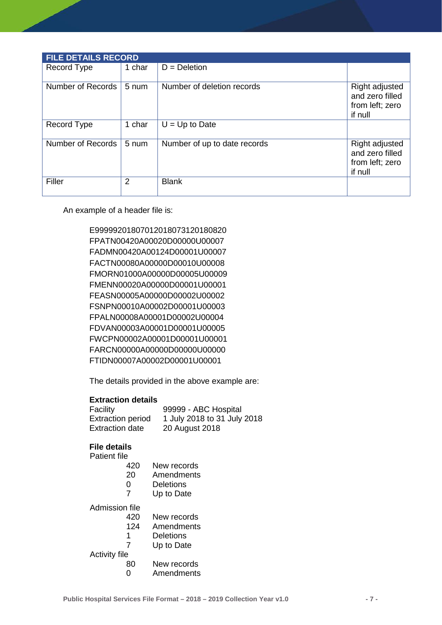| <b>FILE DETAILS RECORD</b> |        |                              |                                                                 |  |  |
|----------------------------|--------|------------------------------|-----------------------------------------------------------------|--|--|
| Record Type                | 1 char | $D = Deletion$               |                                                                 |  |  |
| Number of Records          | 5 num  | Number of deletion records   | Right adjusted<br>and zero filled<br>from left; zero<br>if null |  |  |
| Record Type                | 1 char | $U = Up to Date$             |                                                                 |  |  |
| Number of Records          | 5 num  | Number of up to date records | Right adjusted<br>and zero filled<br>from left; zero<br>if null |  |  |
| Filler                     | 2      | <b>Blank</b>                 |                                                                 |  |  |

An example of a header file is:

E99999201807012018073120180820 FPATN00420A00020D00000U00007 FADMN00420A00124D00001U00007 FACTN00080A00000D00010U00008 FMORN01000A00000D00005U00009 FMENN00020A00000D00001U00001 FEASN00005A00000D00002U00002 FSNPN00010A00002D00001U00003 FPALN00008A00001D00002U00004 FDVAN00003A00001D00001U00005 FWCPN00002A00001D00001U00001 FARCN00000A00000D00000U00000 FTIDN00007A00002D00001U00001

The details provided in the above example are:

#### **Extraction details**

| Facility                 | 99999 - ABC Hospital        |
|--------------------------|-----------------------------|
| <b>Extraction period</b> | 1 July 2018 to 31 July 2018 |
| Extraction date          | 20 August 2018              |

#### **File details**

Patient file<br>420

- New records
- 20 Amendments
- 0 Deletions<br>7 Unito Date
- Up to Date

Admission file<br>420

- 420 New records<br>124 Amendments
- **Amendments**
- 1 Deletions<br>7 Up to Date
	- Up to Date

Activity file<br>80

- 80 New records<br>0 Amendments
- **Amendments**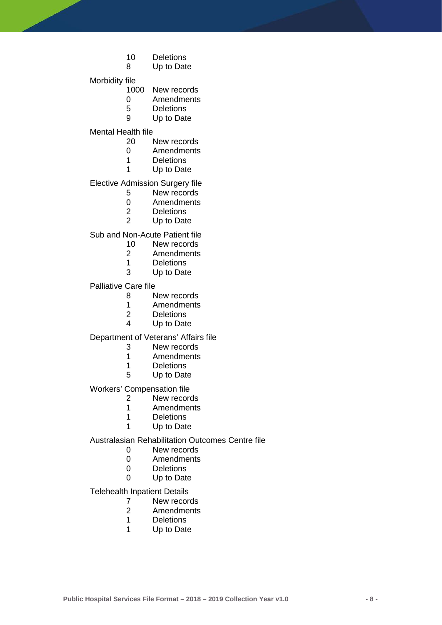- 10 Deletions<br>8 Up to Date
	- Up to Date

Morbidity file<br>1000

- 1000 New records<br>0 Amendments
- 0 Amendments<br>5 Deletions
- 5 Deletions<br>9 Up to Date
	- Up to Date

Mental Health file<br>1 20

- 20 New records<br>0 Amendments
- 0 Amendments<br>1 Deletions
- 1 Deletions<br>1 Up to Date
- Up to Date

Elective Admission Surgery file<br>5 New records

- 5 New records<br>0 Amendments
- 0 Amendments<br>2 Deletions
- 2 Deletions<br>2 Up to Date
- Up to Date

Sub and Non-Acute Patient file<br>10 New records

- 10 New records<br>2 Amendments
- 2 Amendments<br>1 Deletions
- 1 Deletions<br>3 Up to Date
- Up to Date

Palliative Care file

- 8 New records<br>1 Amendments
- 1 Amendments<br>2 Deletions
- 2 Deletions<br>4 Up to Date
- Up to Date

Department of Veterans' Affairs file

- 3 New records<br>1 Amendments
- 1 Amendments<br>1 Deletions
- 1 Deletions<br>5 Up to Date
- Up to Date

Workers' Compensation file<br>2<br>New recor

- 
- 2 New records<br>1 Amendments **Amendments**
- 
- 1 Deletions<br>1 Up to Date Up to Date

Australasian Rehabilitation Outcomes Centre file

- 0 New records<br>0 Amendments
- 0 Amendments<br>0 Deletions
- 0 Deletions<br>0 Up to Date
- Up to Date

Telehealth Inpatient Details

- 7 New records<br>2 Amendments
- 2 Amendments<br>1 Deletions
- **Deletions**
- 1 Up to Date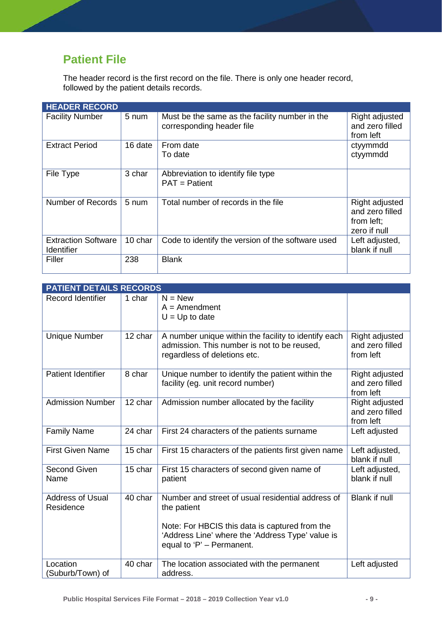# <span id="page-9-0"></span>**Patient File**

The header record is the first record on the file. There is only one header record, followed by the patient details records.

| <b>HEADER RECORD</b>                            |                 |                                                                             |                                                                 |
|-------------------------------------------------|-----------------|-----------------------------------------------------------------------------|-----------------------------------------------------------------|
| <b>Facility Number</b>                          | 5 num           | Must be the same as the facility number in the<br>corresponding header file | Right adjusted<br>and zero filled<br>from left                  |
| <b>Extract Period</b>                           | 16 date         | From date<br>To date                                                        | ctyymmdd<br>ctyymmdd                                            |
| File Type                                       | 3 char          | Abbreviation to identify file type<br>$PAT =$ Patient                       |                                                                 |
| Number of Records                               | $5 \text{ num}$ | Total number of records in the file                                         | Right adjusted<br>and zero filled<br>from left;<br>zero if null |
| <b>Extraction Software</b><br><b>Identifier</b> | 10 char         | Code to identify the version of the software used                           | Left adjusted,<br>blank if null                                 |
| Filler                                          | 238             | <b>Blank</b>                                                                |                                                                 |

|                                      | <b>PATIENT DETAILS RECORDS</b> |                                                                                                                                                                        |                                                       |  |  |
|--------------------------------------|--------------------------------|------------------------------------------------------------------------------------------------------------------------------------------------------------------------|-------------------------------------------------------|--|--|
| <b>Record Identifier</b>             | 1 char                         | $N = New$<br>$A =$ Amendment                                                                                                                                           |                                                       |  |  |
|                                      |                                | $U = Up$ to date                                                                                                                                                       |                                                       |  |  |
| <b>Unique Number</b>                 | 12 char                        | A number unique within the facility to identify each<br>admission. This number is not to be reused,<br>regardless of deletions etc.                                    | Right adjusted<br>and zero filled<br>from left        |  |  |
| <b>Patient Identifier</b>            | 8 char                         | Unique number to identify the patient within the<br>facility (eg. unit record number)                                                                                  | <b>Right adjusted</b><br>and zero filled<br>from left |  |  |
| <b>Admission Number</b>              | 12 char                        | Admission number allocated by the facility                                                                                                                             | <b>Right adjusted</b><br>and zero filled<br>from left |  |  |
| <b>Family Name</b>                   | 24 char                        | First 24 characters of the patients surname                                                                                                                            | Left adjusted                                         |  |  |
| <b>First Given Name</b>              | 15 char                        | First 15 characters of the patients first given name                                                                                                                   | Left adjusted,<br>blank if null                       |  |  |
| Second Given<br>Name                 | 15 char                        | First 15 characters of second given name of<br>patient                                                                                                                 | Left adjusted,<br>blank if null                       |  |  |
| <b>Address of Usual</b><br>Residence | 40 char                        | Number and street of usual residential address of<br>the patient<br>Note: For HBCIS this data is captured from the<br>'Address Line' where the 'Address Type' value is | Blank if null                                         |  |  |
|                                      |                                | equal to 'P' - Permanent.                                                                                                                                              |                                                       |  |  |
| Location<br>(Suburb/Town) of         | 40 char                        | The location associated with the permanent<br>address.                                                                                                                 | Left adjusted                                         |  |  |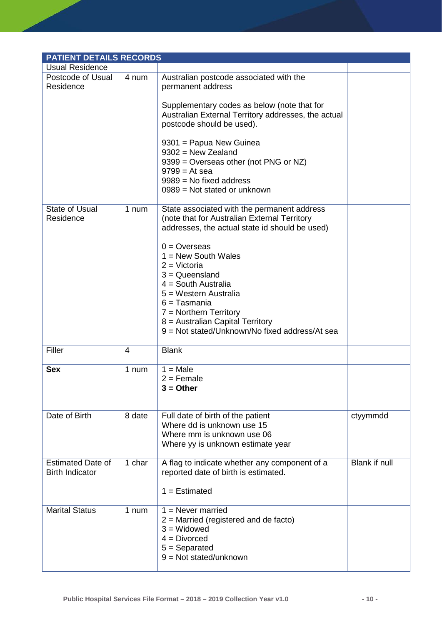|                                                    | <b>PATIENT DETAILS RECORDS</b> |                                                                                                                                                                                                                          |               |  |  |
|----------------------------------------------------|--------------------------------|--------------------------------------------------------------------------------------------------------------------------------------------------------------------------------------------------------------------------|---------------|--|--|
| <b>Usual Residence</b>                             |                                |                                                                                                                                                                                                                          |               |  |  |
| Postcode of Usual<br>Residence                     | 4 num                          | Australian postcode associated with the<br>permanent address                                                                                                                                                             |               |  |  |
|                                                    |                                | Supplementary codes as below (note that for<br>Australian External Territory addresses, the actual<br>postcode should be used).                                                                                          |               |  |  |
|                                                    |                                | 9301 = Papua New Guinea<br>$9302$ = New Zealand<br>9399 = Overseas other (not PNG or NZ)<br>$9799 = At sea$<br>$9989$ = No fixed address<br>$0989$ = Not stated or unknown                                               |               |  |  |
| <b>State of Usual</b><br>Residence                 | 1 num                          | State associated with the permanent address<br>(note that for Australian External Territory<br>addresses, the actual state id should be used)<br>$0 =$ Overseas<br>$1 = New South Wales$                                 |               |  |  |
|                                                    |                                | $2 = Victoria$<br>$3 =$ Queensland<br>$4 =$ South Australia<br>5 = Western Australia<br>$6 =$ Tasmania<br>$7 =$ Northern Territory<br>8 = Australian Capital Territory<br>9 = Not stated/Unknown/No fixed address/At sea |               |  |  |
| Filler                                             | 4                              | <b>Blank</b>                                                                                                                                                                                                             |               |  |  |
| <b>Sex</b>                                         | 1 num                          | $1 = Male$<br>$2 =$ Female<br>$3 = Other$                                                                                                                                                                                |               |  |  |
| Date of Birth                                      | 8 date                         | Full date of birth of the patient<br>Where dd is unknown use 15<br>Where mm is unknown use 06<br>Where yy is unknown estimate year                                                                                       | ctyymmdd      |  |  |
| <b>Estimated Date of</b><br><b>Birth Indicator</b> | 1 char                         | A flag to indicate whether any component of a<br>reported date of birth is estimated.<br>$1 =$ Estimated                                                                                                                 | Blank if null |  |  |
| <b>Marital Status</b>                              | 1 num                          | $1 =$ Never married<br>$2$ = Married (registered and de facto)<br>$3 = Widowed$<br>$4 = Divorced$<br>$5 =$ Separated<br>$9 = Not stated/unknown$                                                                         |               |  |  |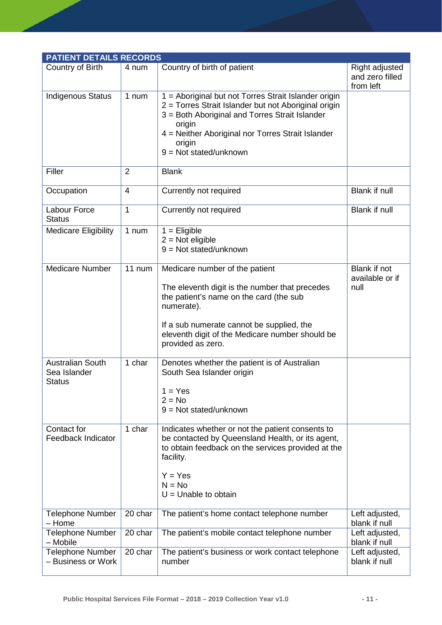| <b>PATIENT DETAILS RECORDS</b>                           |                |                                                                                                                                                                                                                                                                     |                                                |
|----------------------------------------------------------|----------------|---------------------------------------------------------------------------------------------------------------------------------------------------------------------------------------------------------------------------------------------------------------------|------------------------------------------------|
| Country of Birth                                         | 4 num          | Country of birth of patient                                                                                                                                                                                                                                         | Right adjusted<br>and zero filled<br>from left |
| <b>Indigenous Status</b>                                 | 1 num          | 1 = Aboriginal but not Torres Strait Islander origin<br>2 = Torres Strait Islander but not Aboriginal origin<br>3 = Both Aboriginal and Torres Strait Islander<br>origin<br>4 = Neither Aboriginal nor Torres Strait Islander<br>origin<br>$9 = Not stated/unknown$ |                                                |
| Filler                                                   | $\overline{2}$ | <b>Blank</b>                                                                                                                                                                                                                                                        |                                                |
| Occupation                                               | 4              | Currently not required                                                                                                                                                                                                                                              | Blank if null                                  |
| Labour Force<br><b>Status</b>                            | 1              | Currently not required                                                                                                                                                                                                                                              | Blank if null                                  |
| <b>Medicare Eligibility</b>                              | 1 num          | $1 =$ Eligible<br>$2 = Not$ eligible<br>$9 = Not stated/unknown$                                                                                                                                                                                                    |                                                |
| <b>Medicare Number</b>                                   | 11 num         | Medicare number of the patient<br>The eleventh digit is the number that precedes<br>the patient's name on the card (the sub<br>numerate).<br>If a sub numerate cannot be supplied, the<br>eleventh digit of the Medicare number should be<br>provided as zero.      | Blank if not<br>available or if<br>null        |
| <b>Australian South</b><br>Sea Islander<br><b>Status</b> | 1 char         | Denotes whether the patient is of Australian<br>South Sea Islander origin<br>$1 = Yes$<br>$2 = No$<br>$9 = Not stated/unknown$                                                                                                                                      |                                                |
| Contact for<br><b>Feedback Indicator</b>                 | 1 char         | Indicates whether or not the patient consents to<br>be contacted by Queensland Health, or its agent,<br>to obtain feedback on the services provided at the<br>facility.<br>$Y = Yes$<br>$N = No$<br>$U =$ Unable to obtain                                          |                                                |
| <b>Telephone Number</b><br>- Home                        | 20 char        | The patient's home contact telephone number                                                                                                                                                                                                                         | Left adjusted,<br>blank if null                |
| <b>Telephone Number</b><br>- Mobile                      | 20 char        | The patient's mobile contact telephone number                                                                                                                                                                                                                       | Left adjusted,<br>blank if null                |
| <b>Telephone Number</b><br>- Business or Work            | 20 char        | The patient's business or work contact telephone<br>number                                                                                                                                                                                                          | Left adjusted,<br>blank if null                |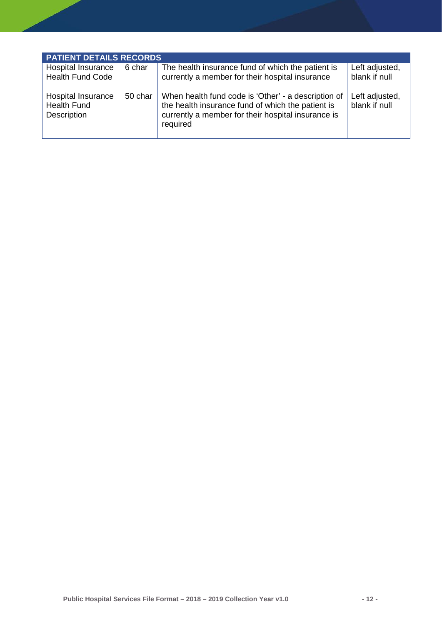| <b>PATIENT DETAILS RECORDS</b>                          |         |                                                                                                                                                                            |                                 |  |
|---------------------------------------------------------|---------|----------------------------------------------------------------------------------------------------------------------------------------------------------------------------|---------------------------------|--|
| Hospital Insurance<br><b>Health Fund Code</b>           | 6 char  | The health insurance fund of which the patient is<br>currently a member for their hospital insurance                                                                       | Left adjusted,<br>blank if null |  |
| Hospital Insurance<br><b>Health Fund</b><br>Description | 50 char | When health fund code is 'Other' - a description of<br>the health insurance fund of which the patient is<br>currently a member for their hospital insurance is<br>required | Left adjusted,<br>blank if null |  |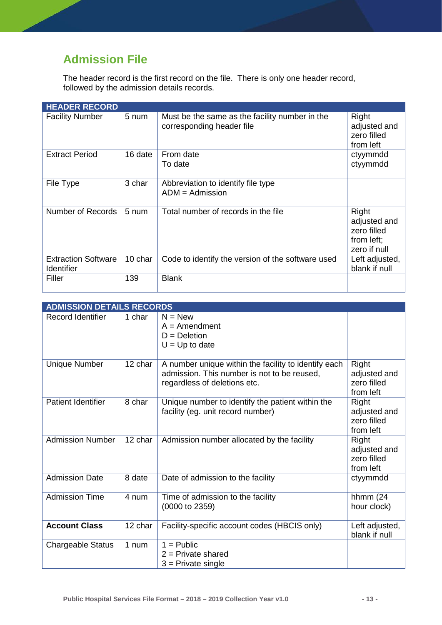# <span id="page-13-0"></span>**Admission File**

The header record is the first record on the file. There is only one header record, followed by the admission details records.

| <b>HEADER RECORD</b>                            |         |                                                                             |                                                                    |
|-------------------------------------------------|---------|-----------------------------------------------------------------------------|--------------------------------------------------------------------|
| <b>Facility Number</b>                          | 5 num   | Must be the same as the facility number in the<br>corresponding header file | Right<br>adjusted and<br>zero filled<br>from left                  |
| <b>Extract Period</b>                           | 16 date | From date<br>To date                                                        | ctyymmdd<br>ctyymmdd                                               |
| File Type                                       | 3 char  | Abbreviation to identify file type<br>$ADM =$ Admission                     |                                                                    |
| Number of Records                               | 5 num   | Total number of records in the file                                         | Right<br>adjusted and<br>zero filled<br>from left;<br>zero if null |
| <b>Extraction Software</b><br><b>Identifier</b> | 10 char | Code to identify the version of the software used                           | Left adjusted,<br>blank if null                                    |
| Filler                                          | 139     | <b>Blank</b>                                                                |                                                                    |

| <b>ADMISSION DETAILS RECORDS</b> |                      |                                                                                                                                     |                                                   |
|----------------------------------|----------------------|-------------------------------------------------------------------------------------------------------------------------------------|---------------------------------------------------|
| <b>Record Identifier</b>         | 1 char               | $N = New$<br>$A =$ Amendment<br>$D = Deletion$<br>$U = Up$ to date                                                                  |                                                   |
| <b>Unique Number</b>             | 12 char              | A number unique within the facility to identify each<br>admission. This number is not to be reused,<br>regardless of deletions etc. | Right<br>adjusted and<br>zero filled<br>from left |
| <b>Patient Identifier</b>        | 8 char               | Unique number to identify the patient within the<br>facility (eg. unit record number)                                               | Right<br>adjusted and<br>zero filled<br>from left |
| <b>Admission Number</b>          | $\overline{12}$ char | Admission number allocated by the facility                                                                                          | Right<br>adjusted and<br>zero filled<br>from left |
| <b>Admission Date</b>            | 8 date               | Date of admission to the facility                                                                                                   | ctyymmdd                                          |
| <b>Admission Time</b>            | 4 num                | Time of admission to the facility<br>(0000 to 2359)                                                                                 | hhmm $(24)$<br>hour clock)                        |
| <b>Account Class</b>             | 12 char              | Facility-specific account codes (HBCIS only)                                                                                        | Left adjusted,<br>blank if null                   |
| <b>Chargeable Status</b>         | 1 num                | $1 =$ Public<br>$2$ = Private shared<br>$3$ = Private single                                                                        |                                                   |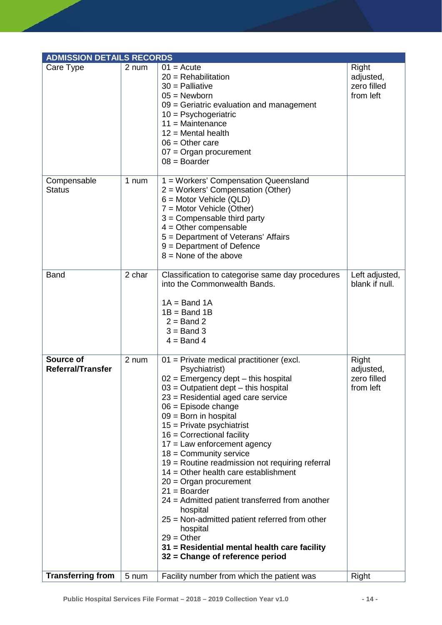| <b>ADMISSION DETAILS RECORDS</b>      |        |                                                                                                                                                                                                                                                                                                                                                                                                                                                                                                                                                                                                                                                                                                                                               |                                                |
|---------------------------------------|--------|-----------------------------------------------------------------------------------------------------------------------------------------------------------------------------------------------------------------------------------------------------------------------------------------------------------------------------------------------------------------------------------------------------------------------------------------------------------------------------------------------------------------------------------------------------------------------------------------------------------------------------------------------------------------------------------------------------------------------------------------------|------------------------------------------------|
| Care Type                             | 2 num  | $01 = Acute$<br>$20 =$ Rehabilitation<br>$30$ = Palliative<br>$05 =$ Newborn<br>09 = Geriatric evaluation and management<br>$10 =$ Psychogeriatric<br>$11 =$ Maintenance<br>$12$ = Mental health<br>$06 =$ Other care<br>$07 =$ Organ procurement<br>$08 =$ Boarder                                                                                                                                                                                                                                                                                                                                                                                                                                                                           | Right<br>adjusted,<br>zero filled<br>from left |
| Compensable<br><b>Status</b>          | 1 num  | 1 = Workers' Compensation Queensland<br>2 = Workers' Compensation (Other)<br>$6 =$ Motor Vehicle (QLD)<br>7 = Motor Vehicle (Other)<br>$3 =$ Compensable third party<br>$4 =$ Other compensable<br>5 = Department of Veterans' Affairs<br>$9 = Department of Defense$<br>$8 =$ None of the above                                                                                                                                                                                                                                                                                                                                                                                                                                              |                                                |
| <b>Band</b>                           | 2 char | Classification to categorise same day procedures<br>into the Commonwealth Bands.<br>$1A = Band 1A$<br>$1B = Band 1B$<br>$2 =$ Band 2<br>$3 =$ Band 3<br>$4 =$ Band 4                                                                                                                                                                                                                                                                                                                                                                                                                                                                                                                                                                          | Left adjusted,<br>blank if null.               |
| Source of<br><b>Referral/Transfer</b> | 2 num  | 01 = Private medical practitioner (excl.<br>Psychiatrist)<br>$02$ = Emergency dept – this hospital<br>$03$ = Outpatient dept $-$ this hospital<br>23 = Residential aged care service<br>$06$ = Episode change<br>$09 =$ Born in hospital<br>$15$ = Private psychiatrist<br>$16$ = Correctional facility<br>$17$ = Law enforcement agency<br>$18 =$ Community service<br>19 = Routine readmission not requiring referral<br>$14 =$ Other health care establishment<br>$20 =$ Organ procurement<br>$21 = Boarder$<br>24 = Admitted patient transferred from another<br>hospital<br>25 = Non-admitted patient referred from other<br>hospital<br>$29 = Other$<br>31 = Residential mental health care facility<br>32 = Change of reference period | Right<br>adjusted,<br>zero filled<br>from left |
| <b>Transferring from</b>              | 5 num  | Facility number from which the patient was                                                                                                                                                                                                                                                                                                                                                                                                                                                                                                                                                                                                                                                                                                    | Right                                          |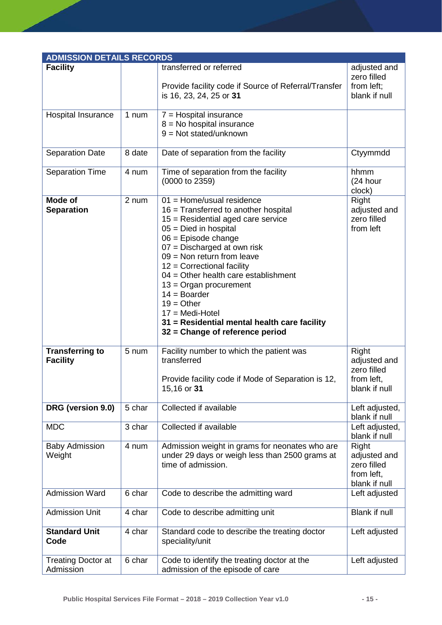| <b>ADMISSION DETAILS RECORDS</b>          |        |                                                                                                                                                                                                                                                                                                                                                                                                                                                                                  |                                                                     |
|-------------------------------------------|--------|----------------------------------------------------------------------------------------------------------------------------------------------------------------------------------------------------------------------------------------------------------------------------------------------------------------------------------------------------------------------------------------------------------------------------------------------------------------------------------|---------------------------------------------------------------------|
| <b>Facility</b>                           |        | transferred or referred<br>Provide facility code if Source of Referral/Transfer<br>is 16, 23, 24, 25 or 31                                                                                                                                                                                                                                                                                                                                                                       | adjusted and<br>zero filled<br>from left;<br>blank if null          |
| Hospital Insurance                        | 1 num  | $7 =$ Hospital insurance<br>$8 = No$ hospital insurance<br>$9 = Not stated/unknown$                                                                                                                                                                                                                                                                                                                                                                                              |                                                                     |
| <b>Separation Date</b>                    | 8 date | Date of separation from the facility                                                                                                                                                                                                                                                                                                                                                                                                                                             | Ctyymmdd                                                            |
| <b>Separation Time</b>                    | 4 num  | Time of separation from the facility<br>(0000 to 2359)                                                                                                                                                                                                                                                                                                                                                                                                                           | hhmm<br>(24 hour<br>clock)                                          |
| <b>Mode of</b><br><b>Separation</b>       | 2 num  | $01 =$ Home/usual residence<br>$16$ = Transferred to another hospital<br>$15$ = Residential aged care service<br>$05 =$ Died in hospital<br>$06$ = Episode change<br>07 = Discharged at own risk<br>$09 =$ Non return from leave<br>$12$ = Correctional facility<br>$04 =$ Other health care establishment<br>$13 =$ Organ procurement<br>$14 = Boarder$<br>$19 = Other$<br>$17 = Medi-Hotel$<br>31 = Residential mental health care facility<br>32 = Change of reference period | Right<br>adjusted and<br>zero filled<br>from left                   |
| <b>Transferring to</b><br><b>Facility</b> | 5 num  | Facility number to which the patient was<br>transferred<br>Provide facility code if Mode of Separation is 12,<br>15,16 or <b>31</b>                                                                                                                                                                                                                                                                                                                                              | Right<br>adjusted and<br>zero filled<br>from left,<br>blank if null |
| DRG (version 9.0)                         | 5 char | Collected if available                                                                                                                                                                                                                                                                                                                                                                                                                                                           | Left adjusted,<br>blank if null                                     |
| <b>MDC</b>                                | 3 char | Collected if available                                                                                                                                                                                                                                                                                                                                                                                                                                                           | Left adjusted,<br>blank if null                                     |
| <b>Baby Admission</b><br>Weight           | 4 num  | Admission weight in grams for neonates who are<br>under 29 days or weigh less than 2500 grams at<br>time of admission.                                                                                                                                                                                                                                                                                                                                                           | Right<br>adjusted and<br>zero filled<br>from left,<br>blank if null |
| <b>Admission Ward</b>                     | 6 char | Code to describe the admitting ward                                                                                                                                                                                                                                                                                                                                                                                                                                              | Left adjusted                                                       |
| <b>Admission Unit</b>                     | 4 char | Code to describe admitting unit                                                                                                                                                                                                                                                                                                                                                                                                                                                  | <b>Blank if null</b>                                                |
| <b>Standard Unit</b><br>Code              | 4 char | Standard code to describe the treating doctor<br>speciality/unit                                                                                                                                                                                                                                                                                                                                                                                                                 | Left adjusted                                                       |
| <b>Treating Doctor at</b><br>Admission    | 6 char | Code to identify the treating doctor at the<br>admission of the episode of care                                                                                                                                                                                                                                                                                                                                                                                                  | Left adjusted                                                       |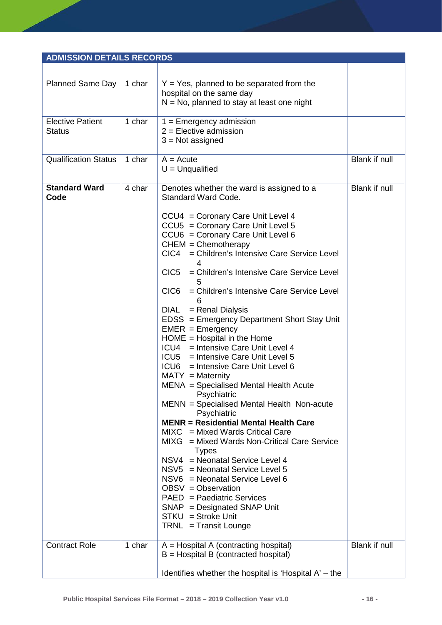| <b>ADMISSION DETAILS RECORDS</b>         |        |                                                                                                                                                                                                                                                                                                                                                                                                                                                                                                                                                                                                                                                                                                                                                                                                                                                                                                                                                                                                                                                                                                                                                                                                                         |               |
|------------------------------------------|--------|-------------------------------------------------------------------------------------------------------------------------------------------------------------------------------------------------------------------------------------------------------------------------------------------------------------------------------------------------------------------------------------------------------------------------------------------------------------------------------------------------------------------------------------------------------------------------------------------------------------------------------------------------------------------------------------------------------------------------------------------------------------------------------------------------------------------------------------------------------------------------------------------------------------------------------------------------------------------------------------------------------------------------------------------------------------------------------------------------------------------------------------------------------------------------------------------------------------------------|---------------|
|                                          |        |                                                                                                                                                                                                                                                                                                                                                                                                                                                                                                                                                                                                                                                                                                                                                                                                                                                                                                                                                                                                                                                                                                                                                                                                                         |               |
| <b>Planned Same Day</b>                  | 1 char | $Y = Yes$ , planned to be separated from the<br>hospital on the same day<br>$N = No$ , planned to stay at least one night                                                                                                                                                                                                                                                                                                                                                                                                                                                                                                                                                                                                                                                                                                                                                                                                                                                                                                                                                                                                                                                                                               |               |
| <b>Elective Patient</b><br><b>Status</b> | 1 char | $1 =$ Emergency admission<br>$2$ = Elective admission<br>$3 = Not assigned$                                                                                                                                                                                                                                                                                                                                                                                                                                                                                                                                                                                                                                                                                                                                                                                                                                                                                                                                                                                                                                                                                                                                             |               |
| <b>Qualification Status</b>              | 1 char | $A = Acute$<br>$U =$ Unqualified                                                                                                                                                                                                                                                                                                                                                                                                                                                                                                                                                                                                                                                                                                                                                                                                                                                                                                                                                                                                                                                                                                                                                                                        | Blank if null |
| <b>Standard Ward</b><br>Code             | 4 char | Denotes whether the ward is assigned to a<br>Standard Ward Code.<br>CCU4 = Coronary Care Unit Level 4<br>CCU5 = Coronary Care Unit Level 5<br>CCU6 = Coronary Care Unit Level 6<br>$CHEM = Chemotherapy$<br>CIC4 = Children's Intensive Care Service Level<br>4<br>CIC <sub>5</sub><br>= Children's Intensive Care Service Level<br>5<br>CIC <sub>6</sub><br>= Children's Intensive Care Service Level<br>6<br><b>DIAL</b><br>= Renal Dialysis<br>EDSS = Emergency Department Short Stay Unit<br>$EMER = Emergency$<br>$HOME = Hospital in the Home$<br>ICU4 = Intensive Care Unit Level 4<br>ICU5 = Intensive Care Unit Level 5<br>ICU6 = Intensive Care Unit Level 6<br>$MATY = Maternity$<br>MENA = Specialised Mental Health Acute<br>Psychiatric<br>MENN = Specialised Mental Health Non-acute<br>Psychiatric<br><b>MENR = Residential Mental Health Care</b><br>$MIXC = Mixed Wards Critical Care$<br>MIXG = Mixed Wards Non-Critical Care Service<br><b>Types</b><br>NSV4 = Neonatal Service Level 4<br>NSV5 = Neonatal Service Level 5<br>NSV6 = Neonatal Service Level 6<br>OBSV = Observation<br>PAED = Paediatric Services<br>$SNAP = Designated SNAP$ Unit<br>$STKU = Stroke Unit$<br>TRNL = Transit Lounge | Blank if null |
| <b>Contract Role</b>                     | 1 char | $A = Hospital A (contracting hospital)$<br>$B =$ Hospital B (contracted hospital)<br>Identifies whether the hospital is 'Hospital $A'$ – the                                                                                                                                                                                                                                                                                                                                                                                                                                                                                                                                                                                                                                                                                                                                                                                                                                                                                                                                                                                                                                                                            | Blank if null |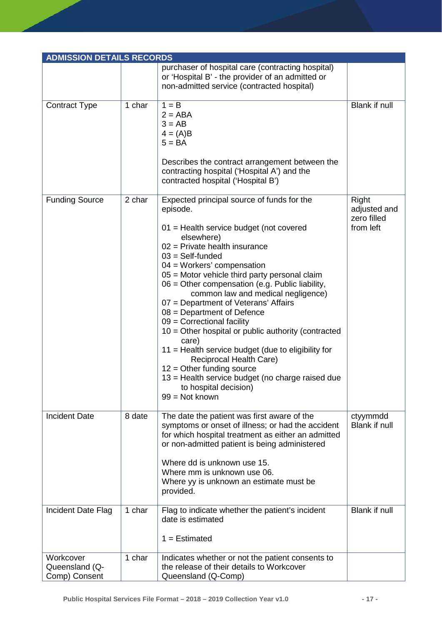| <b>ADMISSION DETAILS RECORDS</b>             |        |                                                                                                                                                                                                                                                                                                                                                                                                                                                                                                                                                                                                                                                                                                                                               |                                                   |
|----------------------------------------------|--------|-----------------------------------------------------------------------------------------------------------------------------------------------------------------------------------------------------------------------------------------------------------------------------------------------------------------------------------------------------------------------------------------------------------------------------------------------------------------------------------------------------------------------------------------------------------------------------------------------------------------------------------------------------------------------------------------------------------------------------------------------|---------------------------------------------------|
|                                              |        | purchaser of hospital care (contracting hospital)<br>or 'Hospital B' - the provider of an admitted or<br>non-admitted service (contracted hospital)                                                                                                                                                                                                                                                                                                                                                                                                                                                                                                                                                                                           |                                                   |
| <b>Contract Type</b>                         | 1 char | $1 = B$<br>$2 = ABA$<br>$3 = AB$<br>$4 = (A)B$<br>$5 = BA$<br>Describes the contract arrangement between the<br>contracting hospital ('Hospital A') and the<br>contracted hospital ('Hospital B')                                                                                                                                                                                                                                                                                                                                                                                                                                                                                                                                             | Blank if null                                     |
| <b>Funding Source</b>                        | 2 char | Expected principal source of funds for the<br>episode.<br>01 = Health service budget (not covered<br>elsewhere)<br>$02$ = Private health insurance<br>$03 = Self$ -funded<br>$04 = W$ orkers' compensation<br>05 = Motor vehicle third party personal claim<br>06 = Other compensation (e.g. Public liability,<br>common law and medical negligence)<br>07 = Department of Veterans' Affairs<br>$08 = Department of Defense$<br>$09$ = Correctional facility<br>$10 =$ Other hospital or public authority (contracted<br>care)<br>11 = Health service budget (due to eligibility for<br>Reciprocal Health Care)<br>$12 =$ Other funding source<br>13 = Health service budget (no charge raised due<br>to hospital decision)<br>99 = Not known | Right<br>adjusted and<br>zero filled<br>from left |
| <b>Incident Date</b>                         | 8 date | The date the patient was first aware of the<br>symptoms or onset of illness; or had the accident<br>for which hospital treatment as either an admitted<br>or non-admitted patient is being administered<br>Where dd is unknown use 15.<br>Where mm is unknown use 06.<br>Where yy is unknown an estimate must be<br>provided.                                                                                                                                                                                                                                                                                                                                                                                                                 | ctyymmdd<br>Blank if null                         |
| Incident Date Flag                           | 1 char | Flag to indicate whether the patient's incident<br>date is estimated<br>$1 =$ Estimated                                                                                                                                                                                                                                                                                                                                                                                                                                                                                                                                                                                                                                                       | <b>Blank if null</b>                              |
| Workcover<br>Queensland (Q-<br>Comp) Consent | 1 char | Indicates whether or not the patient consents to<br>the release of their details to Workcover<br>Queensland (Q-Comp)                                                                                                                                                                                                                                                                                                                                                                                                                                                                                                                                                                                                                          |                                                   |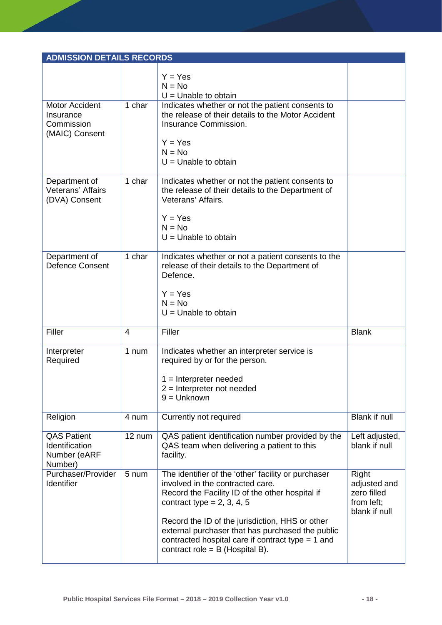| <b>ADMISSION DETAILS RECORDS</b>                                   |                |                                                                                                                                                                                                                                                                                                                                                                               |                                                                     |
|--------------------------------------------------------------------|----------------|-------------------------------------------------------------------------------------------------------------------------------------------------------------------------------------------------------------------------------------------------------------------------------------------------------------------------------------------------------------------------------|---------------------------------------------------------------------|
|                                                                    |                | $Y = Yes$                                                                                                                                                                                                                                                                                                                                                                     |                                                                     |
|                                                                    |                | $N = No$                                                                                                                                                                                                                                                                                                                                                                      |                                                                     |
| <b>Motor Accident</b><br>Insurance<br>Commission<br>(MAIC) Consent | 1 char         | $U =$ Unable to obtain<br>Indicates whether or not the patient consents to<br>the release of their details to the Motor Accident<br>Insurance Commission.<br>$Y = Yes$                                                                                                                                                                                                        |                                                                     |
|                                                                    |                | $N = No$<br>$U =$ Unable to obtain                                                                                                                                                                                                                                                                                                                                            |                                                                     |
| Department of<br>Veterans' Affairs<br>(DVA) Consent                | 1 char         | Indicates whether or not the patient consents to<br>the release of their details to the Department of<br>Veterans' Affairs.<br>$Y = Yes$<br>$N = No$<br>$U =$ Unable to obtain                                                                                                                                                                                                |                                                                     |
| Department of<br><b>Defence Consent</b>                            | 1 char         | Indicates whether or not a patient consents to the<br>release of their details to the Department of<br>Defence.<br>$Y = Yes$<br>$N = No$<br>$U =$ Unable to obtain                                                                                                                                                                                                            |                                                                     |
| Filler                                                             | $\overline{4}$ | Filler                                                                                                                                                                                                                                                                                                                                                                        | <b>Blank</b>                                                        |
|                                                                    |                |                                                                                                                                                                                                                                                                                                                                                                               |                                                                     |
| Interpreter<br>Required                                            | 1 num          | Indicates whether an interpreter service is<br>required by or for the person.<br>$1 =$ Interpreter needed<br>$2$ = Interpreter not needed<br>$9 =$ Unknown                                                                                                                                                                                                                    |                                                                     |
| Religion                                                           | 4 num          | Currently not required                                                                                                                                                                                                                                                                                                                                                        | <b>Blank if null</b>                                                |
| <b>QAS Patient</b><br>Identification<br>Number (eARF<br>Number)    | 12 num         | QAS patient identification number provided by the<br>QAS team when delivering a patient to this<br>facility.                                                                                                                                                                                                                                                                  | Left adjusted,<br>blank if null                                     |
| Purchaser/Provider<br>Identifier                                   | 5 num          | The identifier of the 'other' facility or purchaser<br>involved in the contracted care.<br>Record the Facility ID of the other hospital if<br>contract type = $2, 3, 4, 5$<br>Record the ID of the jurisdiction, HHS or other<br>external purchaser that has purchased the public<br>contracted hospital care if contract type $= 1$ and<br>contract role = $B$ (Hospital B). | Right<br>adjusted and<br>zero filled<br>from left;<br>blank if null |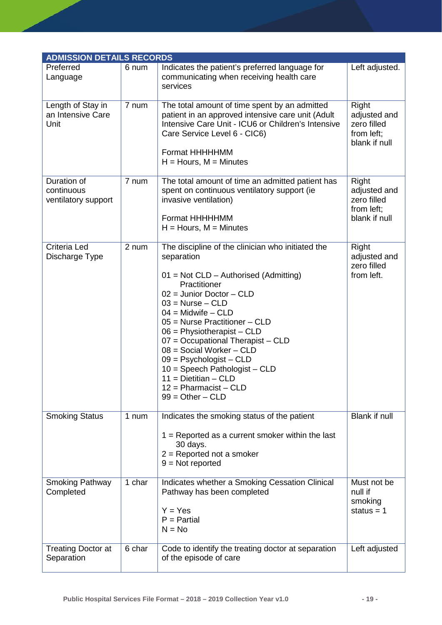| <b>ADMISSION DETAILS RECORDS</b>                 |        |                                                                                                                                                                                                                                                                                                                                                                                                                                                                                           |                                                                     |
|--------------------------------------------------|--------|-------------------------------------------------------------------------------------------------------------------------------------------------------------------------------------------------------------------------------------------------------------------------------------------------------------------------------------------------------------------------------------------------------------------------------------------------------------------------------------------|---------------------------------------------------------------------|
| Preferred<br>Language                            | 6 num  | Indicates the patient's preferred language for<br>communicating when receiving health care<br>services                                                                                                                                                                                                                                                                                                                                                                                    | Left adjusted.                                                      |
| Length of Stay in<br>an Intensive Care<br>Unit   | 7 num  | The total amount of time spent by an admitted<br>patient in an approved intensive care unit (Adult<br>Intensive Care Unit - ICU6 or Children's Intensive<br>Care Service Level 6 - CIC6)<br>Format HHHHHMM<br>$H =$ Hours, M = Minutes                                                                                                                                                                                                                                                    | Right<br>adjusted and<br>zero filled<br>from left;<br>blank if null |
| Duration of<br>continuous<br>ventilatory support | 7 num  | The total amount of time an admitted patient has<br>spent on continuous ventilatory support (ie<br>invasive ventilation)<br>Format HHHHHMM<br>$H =$ Hours, M = Minutes                                                                                                                                                                                                                                                                                                                    | Right<br>adjusted and<br>zero filled<br>from left;<br>blank if null |
| Criteria Led<br>Discharge Type                   | 2 num  | The discipline of the clinician who initiated the<br>separation<br>$01 = Not CLD - Authorised (Admitting)$<br>Practitioner<br>$02 =$ Junior Doctor - CLD<br>$03$ = Nurse - CLD<br>$04 =$ Midwife $-$ CLD<br>$05$ = Nurse Practitioner – CLD<br>$06 =$ Physiotherapist – CLD<br>07 = Occupational Therapist - CLD<br>$08 =$ Social Worker - CLD<br>$09 =$ Psychologist – CLD<br>$10 =$ Speech Pathologist - CLD<br>$11 = Dietitian - CLD$<br>$12 =$ Pharmacist - CLD<br>$99 = Other - CLD$ | Right<br>adjusted and<br>zero filled<br>from left.                  |
| <b>Smoking Status</b>                            | 1 num  | Indicates the smoking status of the patient<br>$1 =$ Reported as a current smoker within the last<br>30 days.<br>$2 =$ Reported not a smoker<br>$9 = Not$ reported                                                                                                                                                                                                                                                                                                                        | <b>Blank if null</b>                                                |
| <b>Smoking Pathway</b><br>Completed              | 1 char | Indicates whether a Smoking Cessation Clinical<br>Pathway has been completed<br>$Y = Yes$<br>$P =$ Partial<br>$N = No$                                                                                                                                                                                                                                                                                                                                                                    | Must not be<br>null if<br>smoking<br>status = $1$                   |
| <b>Treating Doctor at</b><br>Separation          | 6 char | Code to identify the treating doctor at separation<br>of the episode of care                                                                                                                                                                                                                                                                                                                                                                                                              | Left adjusted                                                       |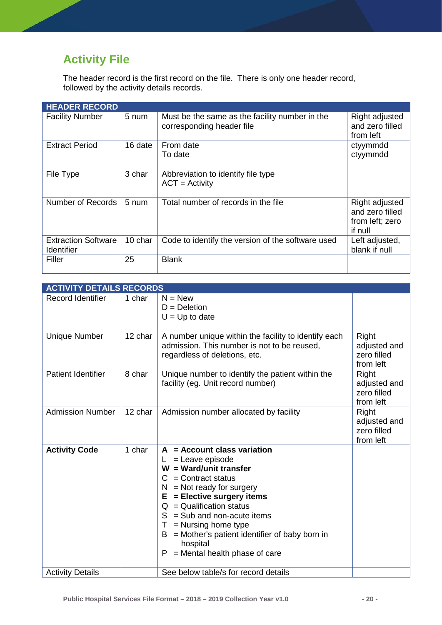# <span id="page-20-0"></span>**Activity File**

The header record is the first record on the file. There is only one header record, followed by the activity details records.

| <b>HEADER RECORD</b>                            |         |                                                                             |                                                                 |
|-------------------------------------------------|---------|-----------------------------------------------------------------------------|-----------------------------------------------------------------|
| <b>Facility Number</b>                          | 5 num   | Must be the same as the facility number in the<br>corresponding header file | Right adjusted<br>and zero filled<br>from left                  |
| <b>Extract Period</b>                           | 16 date | From date<br>To date                                                        | ctyymmdd<br>ctyymmdd                                            |
| File Type                                       | 3 char  | Abbreviation to identify file type<br>$ACT = Activity$                      |                                                                 |
| Number of Records                               | 5 num   | Total number of records in the file                                         | Right adjusted<br>and zero filled<br>from left; zero<br>if null |
| <b>Extraction Software</b><br><b>Identifier</b> | 10 char | Code to identify the version of the software used                           | Left adjusted,<br>blank if null                                 |
| Filler                                          | 25      | <b>Blank</b>                                                                |                                                                 |

| <b>ACTIVITY DETAILS RECORDS</b> |         |                                                                                                                                                                                                                                                                                                                                                                                      |                                                   |
|---------------------------------|---------|--------------------------------------------------------------------------------------------------------------------------------------------------------------------------------------------------------------------------------------------------------------------------------------------------------------------------------------------------------------------------------------|---------------------------------------------------|
| <b>Record Identifier</b>        | 1 char  | $N = New$<br>$D = Deletion$<br>$U = Up$ to date                                                                                                                                                                                                                                                                                                                                      |                                                   |
| <b>Unique Number</b>            | 12 char | A number unique within the facility to identify each<br>admission. This number is not to be reused,<br>regardless of deletions, etc.                                                                                                                                                                                                                                                 | Right<br>adjusted and<br>zero filled<br>from left |
| <b>Patient Identifier</b>       | 8 char  | Unique number to identify the patient within the<br>facility (eg. Unit record number)                                                                                                                                                                                                                                                                                                | Right<br>adjusted and<br>zero filled<br>from left |
| <b>Admission Number</b>         | 12 char | Admission number allocated by facility                                                                                                                                                                                                                                                                                                                                               | Right<br>adjusted and<br>zero filled<br>from left |
| <b>Activity Code</b>            | 1 char  | $A =$ Account class variation<br>= Leave episode<br>$W = Ward/unit transfer$<br>$=$ Contract status<br>C<br>$=$ Not ready for surgery<br>N.<br>= Elective surgery items<br>Е<br>$Q =$ Qualification status<br>S<br>$=$ Sub and non-acute items<br>$=$ Nursing home type<br>Τ<br>= Mother's patient identifier of baby born in<br>В<br>hospital<br>= Mental health phase of care<br>P |                                                   |
| <b>Activity Details</b>         |         | See below table/s for record details                                                                                                                                                                                                                                                                                                                                                 |                                                   |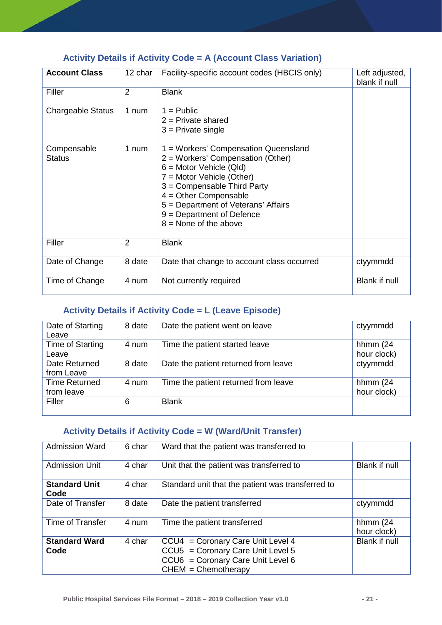## <span id="page-21-0"></span>**Activity Details if Activity Code = A (Account Class Variation)**

| <b>Account Class</b>         | 12 char        | Facility-specific account codes (HBCIS only)                                                                                                                                                                                                                                                   | Left adjusted,<br>blank if null |
|------------------------------|----------------|------------------------------------------------------------------------------------------------------------------------------------------------------------------------------------------------------------------------------------------------------------------------------------------------|---------------------------------|
| Filler                       | 2              | <b>Blank</b>                                                                                                                                                                                                                                                                                   |                                 |
| <b>Chargeable Status</b>     | 1 num          | $1 =$ Public<br>$2$ = Private shared<br>$3$ = Private single                                                                                                                                                                                                                                   |                                 |
| Compensable<br><b>Status</b> | 1 num          | 1 = Workers' Compensation Queensland<br>2 = Workers' Compensation (Other)<br>$6 =$ Motor Vehicle (Qld)<br>7 = Motor Vehicle (Other)<br>3 = Compensable Third Party<br>$4 =$ Other Compensable<br>5 = Department of Veterans' Affairs<br>$9 = Department of Defense$<br>$8 =$ None of the above |                                 |
| Filler                       | $\overline{2}$ | <b>Blank</b>                                                                                                                                                                                                                                                                                   |                                 |
| Date of Change               | 8 date         | Date that change to account class occurred                                                                                                                                                                                                                                                     | ctyymmdd                        |
| Time of Change               | 4 num          | Not currently required                                                                                                                                                                                                                                                                         | <b>Blank if null</b>            |

## <span id="page-21-1"></span>**Activity Details if Activity Code = L (Leave Episode)**

| Date of Starting<br>Leave          | 8 date | Date the patient went on leave       | ctyymmdd                   |
|------------------------------------|--------|--------------------------------------|----------------------------|
| Time of Starting<br>Leave          | 4 num  | Time the patient started leave       | hhmm $(24)$<br>hour clock) |
| Date Returned<br>from Leave        | 8 date | Date the patient returned from leave | ctyymmdd                   |
| <b>Time Returned</b><br>from leave | 4 num  | Time the patient returned from leave | hhmm $(24)$<br>hour clock) |
| Filler                             | 6      | <b>Blank</b>                         |                            |

## <span id="page-21-2"></span>**Activity Details if Activity Code = W (Ward/Unit Transfer)**

| <b>Admission Ward</b> | 6 char | Ward that the patient was transferred to                   |               |
|-----------------------|--------|------------------------------------------------------------|---------------|
|                       |        |                                                            |               |
| <b>Admission Unit</b> | 4 char | Unit that the patient was transferred to                   | Blank if null |
|                       |        |                                                            |               |
| <b>Standard Unit</b>  | 4 char | Standard unit that the patient was transferred to          |               |
| Code                  |        |                                                            |               |
| Date of Transfer      | 8 date | Date the patient transferred                               | ctyymmdd      |
|                       |        |                                                            |               |
| Time of Transfer      | 4 num  | Time the patient transferred                               | hhmm $(24)$   |
|                       |        |                                                            | hour clock)   |
| <b>Standard Ward</b>  | 4 char | CCU4 = Coronary Care Unit Level 4                          | Blank if null |
| Code                  |        | CCU5 = Coronary Care Unit Level 5                          |               |
|                       |        |                                                            |               |
|                       |        |                                                            |               |
|                       |        | CCU6 = Coronary Care Unit Level 6<br>$CHEM = Chemotherapy$ |               |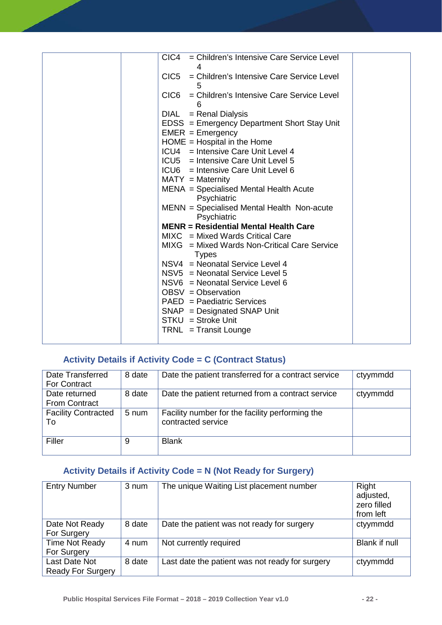| CIC4 = Children's Intensive Care Service Level<br>4 |  |
|-----------------------------------------------------|--|
| CIC5 = Children's Intensive Care Service Level      |  |
| CIC6 = Children's Intensive Care Service Level      |  |
| 6                                                   |  |
| $=$ Renal Dialysis<br>DIAL                          |  |
| EDSS = Emergency Department Short Stay Unit         |  |
| $EMER = Emergency$                                  |  |
| $HOME = Hospital in the Home$                       |  |
| ICU4 = Intensive Care Unit Level 4                  |  |
| ICU5 = Intensive Care Unit Level 5                  |  |
| ICU6 = Intensive Care Unit Level 6                  |  |
| $MATY = Maternity$                                  |  |
| MENA = Specialised Mental Health Acute              |  |
| Psychiatric                                         |  |
| MENN = Specialised Mental Health Non-acute          |  |
| Psychiatric                                         |  |
| <b>MENR = Residential Mental Health Care</b>        |  |
| $MIXC = Mixed WardS Critical Care$                  |  |
| MIXG = Mixed Wards Non-Critical Care Service        |  |
| <b>Types</b>                                        |  |
| NSV4 = Neonatal Service Level 4                     |  |
| NSV5 = Neonatal Service Level 5                     |  |
| NSV6 = Neonatal Service Level 6                     |  |
| OBSV = Observation                                  |  |
| PAED = Paediatric Services                          |  |
| $SNAP = Designated SNAP$ Unit                       |  |
| $STKU = Stroke Unit$                                |  |
| $TRNL = Transit Lounge$                             |  |
|                                                     |  |
|                                                     |  |

## <span id="page-22-0"></span>**Activity Details if Activity Code = C (Contract Status)**

| Date Transferred<br><b>For Contract</b> | 8 date | Date the patient transferred for a contract service                   | ctyymmdd |
|-----------------------------------------|--------|-----------------------------------------------------------------------|----------|
| Date returned<br><b>From Contract</b>   | 8 date | Date the patient returned from a contract service                     | ctyymmdd |
| <b>Facility Contracted</b><br>To        | 5 num  | Facility number for the facility performing the<br>contracted service |          |
| Filler                                  | 9      | <b>Blank</b>                                                          |          |

### <span id="page-22-1"></span>**Activity Details if Activity Code = N (Not Ready for Surgery)**

| <b>Entry Number</b>                       | 3 num  | The unique Waiting List placement number        | Right<br>adjusted,<br>zero filled<br>from left |
|-------------------------------------------|--------|-------------------------------------------------|------------------------------------------------|
| Date Not Ready<br>For Surgery             | 8 date | Date the patient was not ready for surgery      | ctyymmdd                                       |
| <b>Time Not Ready</b><br>For Surgery      | 4 num  | Not currently required                          | Blank if null                                  |
| Last Date Not<br><b>Ready For Surgery</b> | 8 date | Last date the patient was not ready for surgery | ctyymmdd                                       |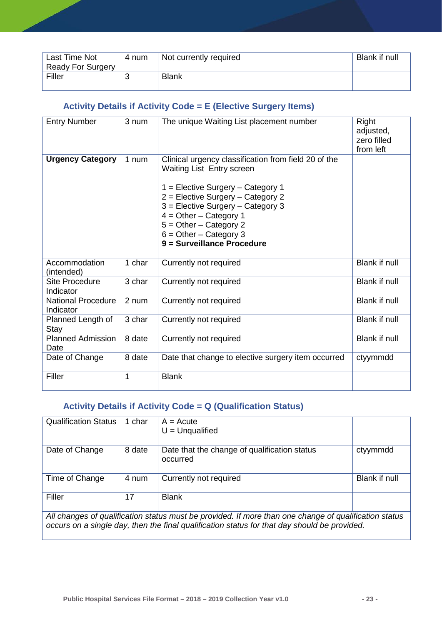| Last Time Not<br><b>Ready For Surgery</b> | 4 num | Not currently required | Blank if null |
|-------------------------------------------|-------|------------------------|---------------|
|                                           |       |                        |               |
| Filler                                    |       | <b>Blank</b>           |               |
|                                           |       |                        |               |

### <span id="page-23-0"></span>**Activity Details if Activity Code = E (Elective Surgery Items)**

| <b>Entry Number</b>                    | 3 num  | The unique Waiting List placement number                                                                                                                                                                                                                                                                           | Right<br>adjusted,<br>zero filled<br>from left |
|----------------------------------------|--------|--------------------------------------------------------------------------------------------------------------------------------------------------------------------------------------------------------------------------------------------------------------------------------------------------------------------|------------------------------------------------|
| <b>Urgency Category</b>                | 1 num  | Clinical urgency classification from field 20 of the<br>Waiting List Entry screen<br>1 = Elective Surgery - Category 1<br>2 = Elective Surgery - Category 2<br>3 = Elective Surgery - Category 3<br>$4 = Other - Category 1$<br>$5 = Other - Category$ 2<br>$6 =$ Other – Category 3<br>9 = Surveillance Procedure |                                                |
| Accommodation<br>(intended)            | 1 char | Currently not required                                                                                                                                                                                                                                                                                             | <b>Blank if null</b>                           |
| <b>Site Procedure</b><br>Indicator     | 3 char | Currently not required                                                                                                                                                                                                                                                                                             | <b>Blank if null</b>                           |
| <b>National Procedure</b><br>Indicator | 2 num  | Currently not required                                                                                                                                                                                                                                                                                             | <b>Blank if null</b>                           |
| Planned Length of<br>Stay              | 3 char | Currently not required                                                                                                                                                                                                                                                                                             | <b>Blank if null</b>                           |
| <b>Planned Admission</b><br>Date       | 8 date | Currently not required                                                                                                                                                                                                                                                                                             | Blank if null                                  |
| Date of Change                         | 8 date | Date that change to elective surgery item occurred                                                                                                                                                                                                                                                                 | ctyymmdd                                       |
| Filler                                 | 1      | <b>Blank</b>                                                                                                                                                                                                                                                                                                       |                                                |

#### <span id="page-23-1"></span>**Activity Details if Activity Code = Q (Qualification Status)**

| <b>Qualification Status</b>                                                                           | 1 char | $A = Acute$<br>$U =$ Unqualified                         |               |
|-------------------------------------------------------------------------------------------------------|--------|----------------------------------------------------------|---------------|
| Date of Change                                                                                        | 8 date | Date that the change of qualification status<br>occurred | ctyymmdd      |
| Time of Change                                                                                        | 4 num  | Currently not required                                   | Blank if null |
| Filler                                                                                                | 17     | <b>Blank</b>                                             |               |
| All changes of qualification status must be provided. If more than one change of qualification status |        |                                                          |               |

*occurs on a single day, then the final qualification status for that day should be provided.*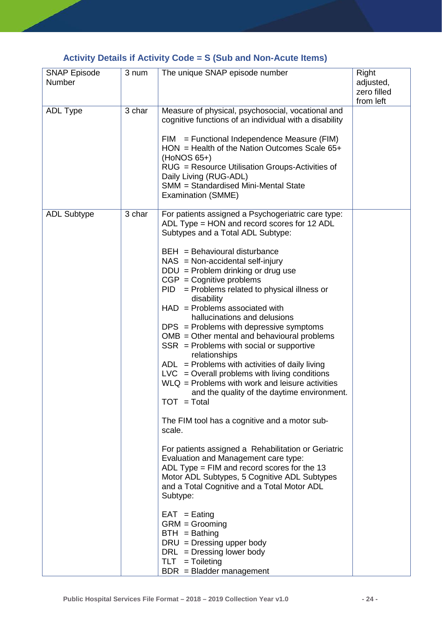## <span id="page-24-0"></span>**Activity Details if Activity Code = S (Sub and Non-Acute Items)**

| <b>SNAP Episode</b><br>Number | 3 num  | The unique SNAP episode number                                                                                                                                                                                                                                                                                                                                                                                                                                                                                                                                                                                                                                                                                                                                                                                                                                                                                                                                                                                                                                                                                                                                                                                                                                                                                   | Right<br>adjusted,<br>zero filled<br>from left |
|-------------------------------|--------|------------------------------------------------------------------------------------------------------------------------------------------------------------------------------------------------------------------------------------------------------------------------------------------------------------------------------------------------------------------------------------------------------------------------------------------------------------------------------------------------------------------------------------------------------------------------------------------------------------------------------------------------------------------------------------------------------------------------------------------------------------------------------------------------------------------------------------------------------------------------------------------------------------------------------------------------------------------------------------------------------------------------------------------------------------------------------------------------------------------------------------------------------------------------------------------------------------------------------------------------------------------------------------------------------------------|------------------------------------------------|
| <b>ADL Type</b>               | 3 char | Measure of physical, psychosocial, vocational and<br>cognitive functions of an individual with a disability<br>$=$ Functional Independence Measure (FIM)<br>FIM<br>$HON = Health of the Nation Outcomes Scale 65+$<br>(HoNOS 65+)<br>RUG = Resource Utilisation Groups-Activities of<br>Daily Living (RUG-ADL)<br>SMM = Standardised Mini-Mental State<br>Examination (SMME)                                                                                                                                                                                                                                                                                                                                                                                                                                                                                                                                                                                                                                                                                                                                                                                                                                                                                                                                     |                                                |
| <b>ADL Subtype</b>            | 3 char | For patients assigned a Psychogeriatric care type:<br>ADL Type = HON and record scores for 12 ADL<br>Subtypes and a Total ADL Subtype:<br>$BEH = Behavioural disturbance$<br>$NAS = Non-accidental self-injury$<br>$DDU = Problem$ drinking or drug use<br>$CGP = Cognitive problems$<br>$PID = Problems$ related to physical illness or<br>disability<br>$HAD =$ Problems associated with<br>hallucinations and delusions<br>$DPS =$ Problems with depressive symptoms<br>$OMB = Other mental and behavioral problems$<br>$SSR =$ Problems with social or supportive<br>relationships<br>$ADL =$ Problems with activities of daily living<br>$LVC = Overall$ problems with living conditions<br>$WLQ =$ Problems with work and leisure activities<br>and the quality of the daytime environment.<br>TOT = Total<br>The FIM tool has a cognitive and a motor sub-<br>scale.<br>For patients assigned a Rehabilitation or Geriatric<br>Evaluation and Management care type:<br>ADL Type = $FIM$ and record scores for the 13<br>Motor ADL Subtypes, 5 Cognitive ADL Subtypes<br>and a Total Cognitive and a Total Motor ADL<br>Subtype:<br>$EAT =$ Eating<br>$GRM = Grooming$<br>$BTH =$ Bathing<br>$DRU = Dressing upper body$<br>$DRL$ = Dressing lower body<br>$TLT = Tolleting$<br>$BDR = Bladder management$ |                                                |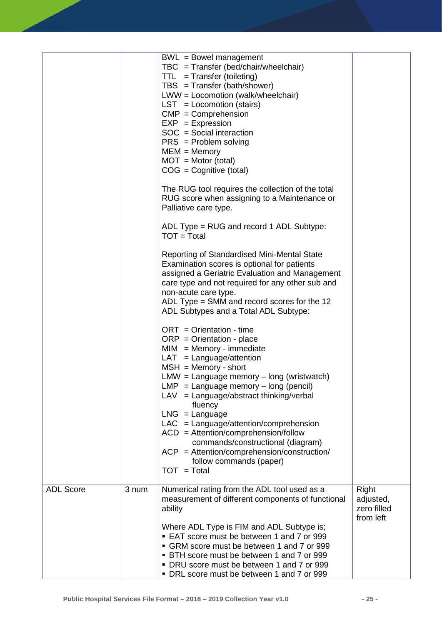|                  |       | BWL = Bowel management<br>$TBC = Transfer (bed/chair/wheelchair)$<br>$TTL = Transfer (toileting)$<br>$TBS = Transfer (bath/shower)$<br>LWW = Locomotion (walk/wheelchair)<br>$LST = Locomotion$ (stairs)<br>$CMP = Comprehension$<br>$EXP = Expression$<br>$SOC = Social interaction$<br>$PRS = Problem$ solving<br>$MEM = Memory$<br>$MOT = Motor (total)$<br>$COG = Cognitive (total)$<br>The RUG tool requires the collection of the total<br>RUG score when assigning to a Maintenance or<br>Palliative care type.<br>ADL Type = RUG and record 1 ADL Subtype:<br>$TOT = Total$<br>Reporting of Standardised Mini-Mental State<br>Examination scores is optional for patients<br>assigned a Geriatric Evaluation and Management<br>care type and not required for any other sub and<br>non-acute care type.<br>ADL Type $=$ SMM and record scores for the 12<br>ADL Subtypes and a Total ADL Subtype:<br>$ORT = Orientation - time$<br>$ORP = Orientation - place$<br>$MIM = Memory - immediate$<br>$LAT = Language/attention$<br>$MSH = Memory - short$<br>$LMW = Language memory - long (wristwatch)$<br>$LMP = Language memory - long (pencil)$<br>LAV = Language/abstract thinking/verbal<br>fluency<br>$LNG = Language$<br>$LAC = Language/attention/comprehension$<br>$ACD =$ Attention/comprehension/follow<br>commands/constructional (diagram)<br>$ACP =$ Attention/comprehension/construction/<br>follow commands (paper)<br>$TOT = Total$ |                                                |
|------------------|-------|----------------------------------------------------------------------------------------------------------------------------------------------------------------------------------------------------------------------------------------------------------------------------------------------------------------------------------------------------------------------------------------------------------------------------------------------------------------------------------------------------------------------------------------------------------------------------------------------------------------------------------------------------------------------------------------------------------------------------------------------------------------------------------------------------------------------------------------------------------------------------------------------------------------------------------------------------------------------------------------------------------------------------------------------------------------------------------------------------------------------------------------------------------------------------------------------------------------------------------------------------------------------------------------------------------------------------------------------------------------------------------------------------------------------------------------------------------|------------------------------------------------|
| <b>ADL Score</b> | 3 num | Numerical rating from the ADL tool used as a<br>measurement of different components of functional<br>ability<br>Where ADL Type is FIM and ADL Subtype is;<br>■ EAT score must be between 1 and 7 or 999<br>• GRM score must be between 1 and 7 or 999<br>• BTH score must be between 1 and 7 or 999<br>• DRU score must be between 1 and 7 or 999<br>• DRL score must be between 1 and 7 or 999                                                                                                                                                                                                                                                                                                                                                                                                                                                                                                                                                                                                                                                                                                                                                                                                                                                                                                                                                                                                                                                          | Right<br>adjusted,<br>zero filled<br>from left |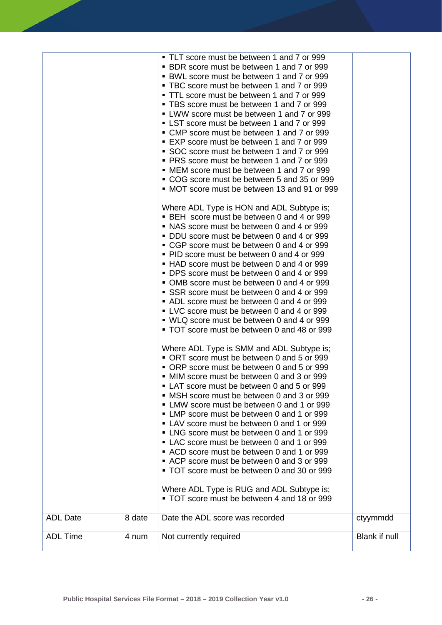| <b>ADL Date</b> | 8 date | • TLT score must be between 1 and 7 or 999<br>• BDR score must be between 1 and 7 or 999<br>• BWL score must be between 1 and 7 or 999<br>• TBC score must be between 1 and 7 or 999<br>• TTL score must be between 1 and 7 or 999<br>• TBS score must be between 1 and 7 or 999<br>• LWW score must be between 1 and 7 or 999<br>• LST score must be between 1 and 7 or 999<br>• CMP score must be between 1 and 7 or 999<br>■ EXP score must be between 1 and 7 or 999<br>SOC score must be between 1 and 7 or 999<br>• PRS score must be between 1 and 7 or 999<br>• MEM score must be between 1 and 7 or 999<br>• COG score must be between 5 and 35 or 999<br>• MOT score must be between 13 and 91 or 999<br>Where ADL Type is HON and ADL Subtype is;<br>• BEH score must be between 0 and 4 or 999<br>• NAS score must be between 0 and 4 or 999<br>• DDU score must be between 0 and 4 or 999<br>• CGP score must be between 0 and 4 or 999<br>• PID score must be between 0 and 4 or 999<br>• HAD score must be between 0 and 4 or 999<br>• DPS score must be between 0 and 4 or 999<br>• OMB score must be between 0 and 4 or 999<br>SSR score must be between 0 and 4 or 999<br>• ADL score must be between 0 and 4 or 999<br>• LVC score must be between 0 and 4 or 999<br>• WLQ score must be between 0 and 4 or 999<br>• TOT score must be between 0 and 48 or 999<br>Where ADL Type is SMM and ADL Subtype is;<br>• ORT score must be between 0 and 5 or 999<br>• ORP score must be between 0 and 5 or 999<br>• MIM score must be between 0 and 3 or 999<br>• LAT score must be between 0 and 5 or 999<br>• MSH score must be between 0 and 3 or 999<br>• LMW score must be between 0 and 1 or 999<br>• LMP score must be between 0 and 1 or 999<br>• LAV score must be between 0 and 1 or 999<br>• LNG score must be between 0 and 1 or 999<br>• LAC score must be between 0 and 1 or 999<br>• ACD score must be between 0 and 1 or 999<br>• ACP score must be between 0 and 3 or 999<br>• TOT score must be between 0 and 30 or 999<br>Where ADL Type is RUG and ADL Subtype is;<br>• TOT score must be between 4 and 18 or 999<br>Date the ADL score was recorded | ctyymmdd      |
|-----------------|--------|--------------------------------------------------------------------------------------------------------------------------------------------------------------------------------------------------------------------------------------------------------------------------------------------------------------------------------------------------------------------------------------------------------------------------------------------------------------------------------------------------------------------------------------------------------------------------------------------------------------------------------------------------------------------------------------------------------------------------------------------------------------------------------------------------------------------------------------------------------------------------------------------------------------------------------------------------------------------------------------------------------------------------------------------------------------------------------------------------------------------------------------------------------------------------------------------------------------------------------------------------------------------------------------------------------------------------------------------------------------------------------------------------------------------------------------------------------------------------------------------------------------------------------------------------------------------------------------------------------------------------------------------------------------------------------------------------------------------------------------------------------------------------------------------------------------------------------------------------------------------------------------------------------------------------------------------------------------------------------------------------------------------------------------------------------------------------------------------------------------------------------------------------------------------------------------|---------------|
| <b>ADL Time</b> | 4 num  | Not currently required                                                                                                                                                                                                                                                                                                                                                                                                                                                                                                                                                                                                                                                                                                                                                                                                                                                                                                                                                                                                                                                                                                                                                                                                                                                                                                                                                                                                                                                                                                                                                                                                                                                                                                                                                                                                                                                                                                                                                                                                                                                                                                                                                               | Blank if null |
|                 |        |                                                                                                                                                                                                                                                                                                                                                                                                                                                                                                                                                                                                                                                                                                                                                                                                                                                                                                                                                                                                                                                                                                                                                                                                                                                                                                                                                                                                                                                                                                                                                                                                                                                                                                                                                                                                                                                                                                                                                                                                                                                                                                                                                                                      |               |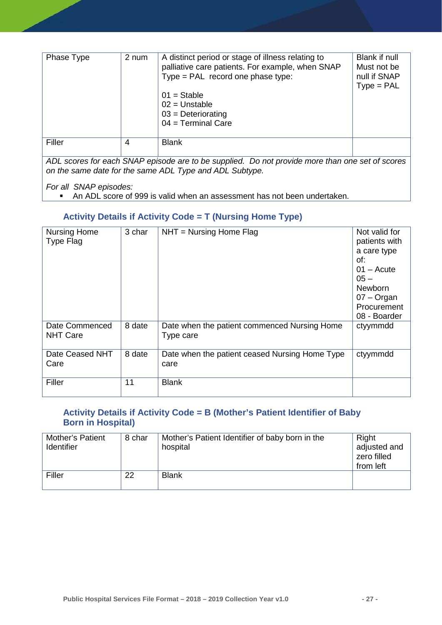| Phase Type                                                                                       | 2 num | A distinct period or stage of illness relating to<br>palliative care patients. For example, when SNAP<br>$Type = PAL$ record one phase type:<br>$01 =$ Stable<br>$02$ = Unstable<br>$03$ = Deteriorating<br>$04 = Terminal Care$ | Blank if null<br>Must not be<br>null if SNAP<br>$Type = PAL$ |
|--------------------------------------------------------------------------------------------------|-------|----------------------------------------------------------------------------------------------------------------------------------------------------------------------------------------------------------------------------------|--------------------------------------------------------------|
| Filler                                                                                           | 4     | <b>Blank</b>                                                                                                                                                                                                                     |                                                              |
| ADI secrece for sook CNAD enjoeds are to be supplied. De not provide more than ano set of secrec |       |                                                                                                                                                                                                                                  |                                                              |

*ADL scores for each SNAP episode are to be supplied. Do not provide more than one set of scores on the same date for the same ADL Type and ADL Subtype.* 

*For all SNAP episodes:* 

<span id="page-27-0"></span>An ADL score of 999 is valid when an assessment has not been undertaken.

#### **Activity Details if Activity Code = T (Nursing Home Type)**

| <b>Nursing Home</b><br>Type Flag  | 3 char | $NHT = Nursing Home Flag$                                 | Not valid for<br>patients with<br>a care type<br>of:<br>$01 -$ Acute<br>$05 -$<br><b>Newborn</b><br>$07 -$ Organ<br>Procurement<br>08 - Boarder |
|-----------------------------------|--------|-----------------------------------------------------------|-------------------------------------------------------------------------------------------------------------------------------------------------|
| Date Commenced<br><b>NHT Care</b> | 8 date | Date when the patient commenced Nursing Home<br>Type care | ctyymmdd                                                                                                                                        |
| Date Ceased NHT<br>Care           | 8 date | Date when the patient ceased Nursing Home Type<br>care    | ctyymmdd                                                                                                                                        |
| Filler                            | 11     | <b>Blank</b>                                              |                                                                                                                                                 |

### <span id="page-27-1"></span>**Activity Details if Activity Code = B (Mother's Patient Identifier of Baby Born in Hospital)**

| <b>Mother's Patient</b><br>Identifier | 8 char | Mother's Patient Identifier of baby born in the<br>hospital | Right<br>adjusted and<br>zero filled<br>from left |
|---------------------------------------|--------|-------------------------------------------------------------|---------------------------------------------------|
| Filler                                | 22     | <b>Blank</b>                                                |                                                   |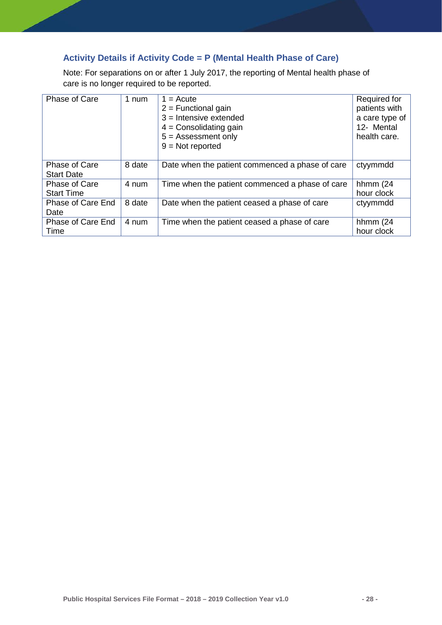## <span id="page-28-0"></span>**Activity Details if Activity Code = P (Mental Health Phase of Care)**

Note: For separations on or after 1 July 2017, the reporting of Mental health phase of care is no longer required to be reported.

| Phase of Care                      | 1 num  | $1 = Accute$<br>$2$ = Functional gain<br>$3 =$ Intensive extended<br>$4 =$ Consolidating gain<br>$5 =$ Assessment only<br>$9 = Not reported$ | Required for<br>patients with<br>a care type of<br>12- Mental<br>health care. |
|------------------------------------|--------|----------------------------------------------------------------------------------------------------------------------------------------------|-------------------------------------------------------------------------------|
| Phase of Care<br><b>Start Date</b> | 8 date | Date when the patient commenced a phase of care                                                                                              | ctyymmdd                                                                      |
| Phase of Care<br><b>Start Time</b> | 4 num  | Time when the patient commenced a phase of care                                                                                              | hhmm $(24)$<br>hour clock                                                     |
| Phase of Care End<br>Date          | 8 date | Date when the patient ceased a phase of care                                                                                                 | ctyymmdd                                                                      |
| Phase of Care End<br>Time          | 4 num  | Time when the patient ceased a phase of care                                                                                                 | hhmm $(24)$<br>hour clock                                                     |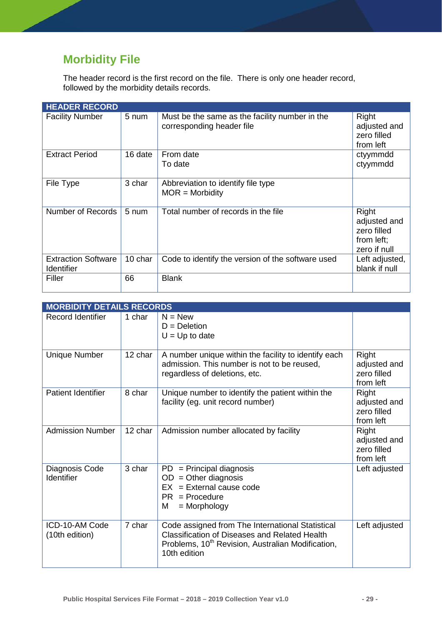# <span id="page-29-0"></span>**Morbidity File**

The header record is the first record on the file. There is only one header record, followed by the morbidity details records.

| <b>HEADER RECORD</b>                            |         |                                                                             |                                                                    |
|-------------------------------------------------|---------|-----------------------------------------------------------------------------|--------------------------------------------------------------------|
| <b>Facility Number</b>                          | 5 num   | Must be the same as the facility number in the<br>corresponding header file | Right<br>adjusted and<br>zero filled<br>from left                  |
| <b>Extract Period</b>                           | 16 date | From date<br>To date                                                        | ctyymmdd<br>ctyymmdd                                               |
| File Type                                       | 3 char  | Abbreviation to identify file type<br>$MOR = Morbidity$                     |                                                                    |
| Number of Records                               | 5 num   | Total number of records in the file                                         | Right<br>adjusted and<br>zero filled<br>from left;<br>zero if null |
| <b>Extraction Software</b><br><b>Identifier</b> | 10 char | Code to identify the version of the software used                           | Left adjusted,<br>blank if null                                    |
| Filler                                          | 66      | <b>Blank</b>                                                                |                                                                    |

|                                     | <b>MORBIDITY DETAILS RECORDS</b> |                                                                                                                                                                                           |                                                          |  |
|-------------------------------------|----------------------------------|-------------------------------------------------------------------------------------------------------------------------------------------------------------------------------------------|----------------------------------------------------------|--|
| <b>Record Identifier</b>            | 1 char                           | $N = New$<br>$D = Deletion$<br>$U = Up$ to date                                                                                                                                           |                                                          |  |
| <b>Unique Number</b>                | 12 char                          | A number unique within the facility to identify each<br>admission. This number is not to be reused,<br>regardless of deletions, etc.                                                      | Right<br>adjusted and<br>zero filled<br>from left        |  |
| <b>Patient Identifier</b>           | 8 char                           | Unique number to identify the patient within the<br>facility (eg. unit record number)                                                                                                     | <b>Right</b><br>adjusted and<br>zero filled<br>from left |  |
| <b>Admission Number</b>             | 12 char                          | Admission number allocated by facility                                                                                                                                                    | Right<br>adjusted and<br>zero filled<br>from left        |  |
| Diagnosis Code<br><b>Identifier</b> | 3 char                           | $PD = Principal$ diagnosis<br>$OD = Other diagnosis$<br>$EX = External cause code$<br>$PR = Procedure$<br>M<br>$=$ Morphology                                                             | Left adjusted                                            |  |
| ICD-10-AM Code<br>(10th edition)    | 7 char                           | Code assigned from The International Statistical<br><b>Classification of Diseases and Related Health</b><br>Problems, 10 <sup>th</sup> Revision, Australian Modification,<br>10th edition | Left adjusted                                            |  |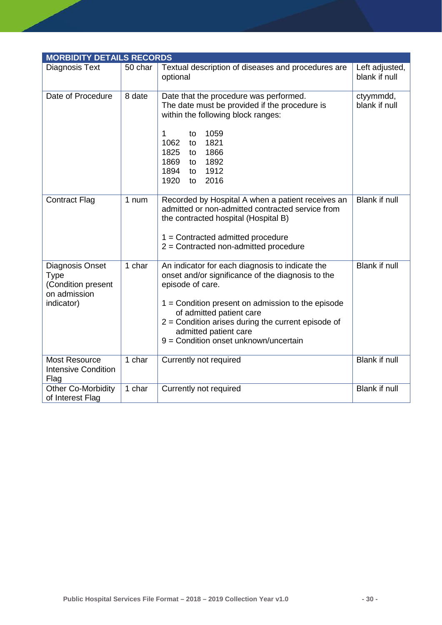| <b>MORBIDITY DETAILS RECORDS</b>                                                   |         |                                                                                                                                                                                                                                                                                                                                       |                                 |
|------------------------------------------------------------------------------------|---------|---------------------------------------------------------------------------------------------------------------------------------------------------------------------------------------------------------------------------------------------------------------------------------------------------------------------------------------|---------------------------------|
| Diagnosis Text                                                                     | 50 char | Textual description of diseases and procedures are<br>optional                                                                                                                                                                                                                                                                        | Left adjusted,<br>blank if null |
| Date of Procedure                                                                  | 8 date  | Date that the procedure was performed.<br>The date must be provided if the procedure is<br>within the following block ranges:<br>1059<br>1<br>to<br>1062<br>1821<br>to<br>1825<br>1866<br>to<br>1869<br>1892<br>to<br>1894<br>1912<br>to<br>1920<br>2016<br>to                                                                        | ctyymmdd,<br>blank if null      |
| <b>Contract Flag</b>                                                               | 1 num   | Recorded by Hospital A when a patient receives an<br>admitted or non-admitted contracted service from<br>the contracted hospital (Hospital B)<br>$1 =$ Contracted admitted procedure<br>$2$ = Contracted non-admitted procedure                                                                                                       | Blank if null                   |
| Diagnosis Onset<br><b>Type</b><br>(Condition present<br>on admission<br>indicator) | 1 char  | An indicator for each diagnosis to indicate the<br>onset and/or significance of the diagnosis to the<br>episode of care.<br>$1 =$ Condition present on admission to the episode<br>of admitted patient care<br>$2$ = Condition arises during the current episode of<br>admitted patient care<br>9 = Condition onset unknown/uncertain | <b>Blank if null</b>            |
| Most Resource<br><b>Intensive Condition</b><br>Flag                                | 1 char  | Currently not required                                                                                                                                                                                                                                                                                                                | <b>Blank if null</b>            |
| <b>Other Co-Morbidity</b><br>of Interest Flag                                      | 1 char  | Currently not required                                                                                                                                                                                                                                                                                                                | <b>Blank if null</b>            |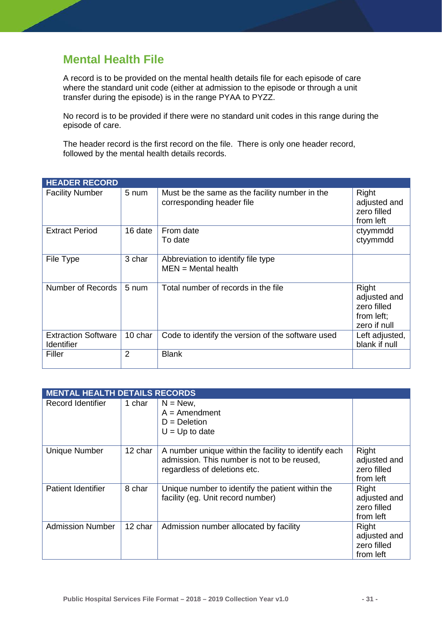## <span id="page-31-0"></span>**Mental Health File**

A record is to be provided on the mental health details file for each episode of care where the standard unit code (either at admission to the episode or through a unit transfer during the episode) is in the range PYAA to PYZZ.

No record is to be provided if there were no standard unit codes in this range during the episode of care.

The header record is the first record on the file. There is only one header record, followed by the mental health details records.

| <b>HEADER RECORD</b>                     |                 |                                                                             |                                                                    |
|------------------------------------------|-----------------|-----------------------------------------------------------------------------|--------------------------------------------------------------------|
| <b>Facility Number</b>                   | 5 num           | Must be the same as the facility number in the<br>corresponding header file | Right<br>adjusted and<br>zero filled<br>from left                  |
| <b>Extract Period</b>                    | 16 date         | From date<br>To date                                                        | ctyymmdd<br>ctyymmdd                                               |
| File Type                                | 3 char          | Abbreviation to identify file type<br>$MEN = Mental health$                 |                                                                    |
| Number of Records                        | $5 \text{ num}$ | Total number of records in the file                                         | Right<br>adjusted and<br>zero filled<br>from left;<br>zero if null |
| <b>Extraction Software</b><br>Identifier | 10 char         | Code to identify the version of the software used                           | Left adjusted,<br>blank if null                                    |
| Filler                                   | $\overline{2}$  | <b>Blank</b>                                                                |                                                                    |

|                           | <b>MENTAL HEALTH DETAILS RECORDS</b> |                                                                                                                                     |                                                   |  |  |
|---------------------------|--------------------------------------|-------------------------------------------------------------------------------------------------------------------------------------|---------------------------------------------------|--|--|
| Record Identifier         | 1 char                               | $N = New$ ,<br>$A =$ Amendment<br>$D = Deletion$<br>$U = Up$ to date                                                                |                                                   |  |  |
| <b>Unique Number</b>      | 12 char                              | A number unique within the facility to identify each<br>admission. This number is not to be reused,<br>regardless of deletions etc. | Right<br>adjusted and<br>zero filled<br>from left |  |  |
| <b>Patient Identifier</b> | 8 char                               | Unique number to identify the patient within the<br>facility (eg. Unit record number)                                               | Right<br>adjusted and<br>zero filled<br>from left |  |  |
| <b>Admission Number</b>   | 12 char                              | Admission number allocated by facility                                                                                              | Right<br>adjusted and<br>zero filled<br>from left |  |  |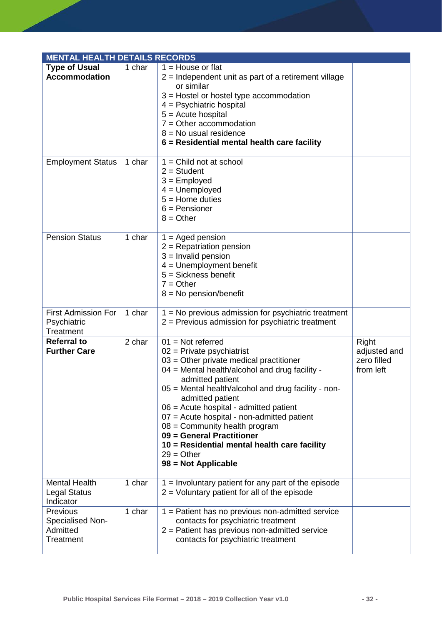| <b>MENTAL HEALTH DETAILS RECORDS</b>                   |        |                                                                                                                                                                                                                                                                                                                                                                                                                                                                                                   |                                                   |
|--------------------------------------------------------|--------|---------------------------------------------------------------------------------------------------------------------------------------------------------------------------------------------------------------------------------------------------------------------------------------------------------------------------------------------------------------------------------------------------------------------------------------------------------------------------------------------------|---------------------------------------------------|
| <b>Type of Usual</b><br><b>Accommodation</b>           | 1 char | $1 =$ House or flat<br>$2$ = Independent unit as part of a retirement village<br>or similar<br>$3$ = Hostel or hostel type accommodation<br>$4 =$ Psychiatric hospital<br>$5 =$ Acute hospital<br>$7 =$ Other accommodation<br>$8 = No$ usual residence<br>6 = Residential mental health care facility                                                                                                                                                                                            |                                                   |
| <b>Employment Status</b>                               | 1 char | $1 =$ Child not at school<br>$2 = Student$<br>$3 =$ Employed<br>$4 =$ Unemployed<br>$5 =$ Home duties<br>$6$ = Pensioner<br>$8 = Other$                                                                                                                                                                                                                                                                                                                                                           |                                                   |
| <b>Pension Status</b>                                  | 1 char | $1 =$ Aged pension<br>$2$ = Repatriation pension<br>$3 =$ Invalid pension<br>$4 =$ Unemployment benefit<br>$5 = Sickness$ benefit<br>$7 = Other$<br>$8 = No$ pension/benefit                                                                                                                                                                                                                                                                                                                      |                                                   |
| <b>First Admission For</b><br>Psychiatric<br>Treatment | 1 char | 1 = No previous admission for psychiatric treatment<br>$2$ = Previous admission for psychiatric treatment                                                                                                                                                                                                                                                                                                                                                                                         |                                                   |
| <b>Referral to</b><br><b>Further Care</b>              | 2 char | $01 = Not referred$<br>$02$ = Private psychiatrist<br>$03$ = Other private medical practitioner<br>04 = Mental health/alcohol and drug facility -<br>admitted patient<br>05 = Mental health/alcohol and drug facility - non-<br>admitted patient<br>$06$ = Acute hospital - admitted patient<br>07 = Acute hospital - non-admitted patient<br>$08 =$ Community health program<br>09 = General Practitioner<br>10 = Residential mental health care facility<br>$29 = Other$<br>98 = Not Applicable | Right<br>adjusted and<br>zero filled<br>from left |
| <b>Mental Health</b><br>Legal Status<br>Indicator      | 1 char | $1 =$ Involuntary patient for any part of the episode<br>$2$ = Voluntary patient for all of the episode                                                                                                                                                                                                                                                                                                                                                                                           |                                                   |
| Previous<br>Specialised Non-<br>Admitted<br>Treatment  | 1 char | 1 = Patient has no previous non-admitted service<br>contacts for psychiatric treatment<br>$2$ = Patient has previous non-admitted service<br>contacts for psychiatric treatment                                                                                                                                                                                                                                                                                                                   |                                                   |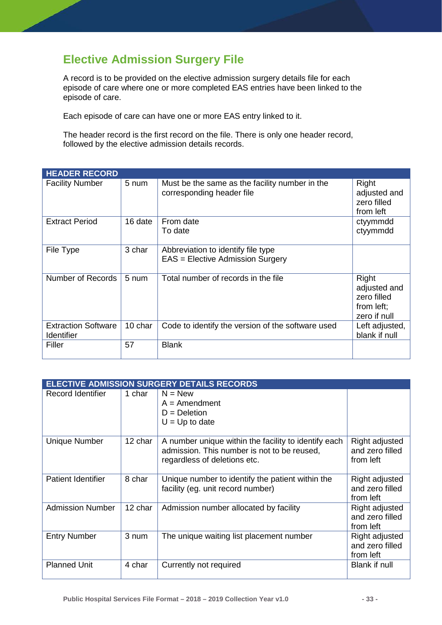# <span id="page-33-0"></span>**Elective Admission Surgery File**

A record is to be provided on the elective admission surgery details file for each episode of care where one or more completed EAS entries have been linked to the episode of care.

Each episode of care can have one or more EAS entry linked to it.

The header record is the first record on the file. There is only one header record, followed by the elective admission details records.

| <b>HEADER RECORD</b>                            |         |                                                                             |                                                                    |
|-------------------------------------------------|---------|-----------------------------------------------------------------------------|--------------------------------------------------------------------|
| <b>Facility Number</b>                          | 5 num   | Must be the same as the facility number in the<br>corresponding header file | Right<br>adjusted and<br>zero filled<br>from left                  |
| <b>Extract Period</b>                           | 16 date | From date<br>To date                                                        | ctyymmdd<br>ctyymmdd                                               |
| File Type                                       | 3 char  | Abbreviation to identify file type<br>EAS = Elective Admission Surgery      |                                                                    |
| Number of Records                               | 5 num   | Total number of records in the file                                         | Right<br>adjusted and<br>zero filled<br>from left;<br>zero if null |
| <b>Extraction Software</b><br><b>Identifier</b> | 10 char | Code to identify the version of the software used                           | Left adjusted,<br>blank if null                                    |
| Filler                                          | 57      | <b>Blank</b>                                                                |                                                                    |

| <b>ELECTIVE ADMISSION SURGERY DETAILS RECORDS</b> |         |                                                                                                                                     |                                                |  |
|---------------------------------------------------|---------|-------------------------------------------------------------------------------------------------------------------------------------|------------------------------------------------|--|
| Record Identifier                                 | 1 char  | $N = New$<br>$A =$ Amendment<br>$D = Deletion$<br>$U = Up$ to date                                                                  |                                                |  |
| <b>Unique Number</b>                              | 12 char | A number unique within the facility to identify each<br>admission. This number is not to be reused,<br>regardless of deletions etc. | Right adjusted<br>and zero filled<br>from left |  |
| <b>Patient Identifier</b>                         | 8 char  | Unique number to identify the patient within the<br>facility (eg. unit record number)                                               | Right adjusted<br>and zero filled<br>from left |  |
| <b>Admission Number</b>                           | 12 char | Admission number allocated by facility                                                                                              | Right adjusted<br>and zero filled<br>from left |  |
| <b>Entry Number</b>                               | 3 num   | The unique waiting list placement number                                                                                            | Right adjusted<br>and zero filled<br>from left |  |
| <b>Planned Unit</b>                               | 4 char  | Currently not required                                                                                                              | <b>Blank if null</b>                           |  |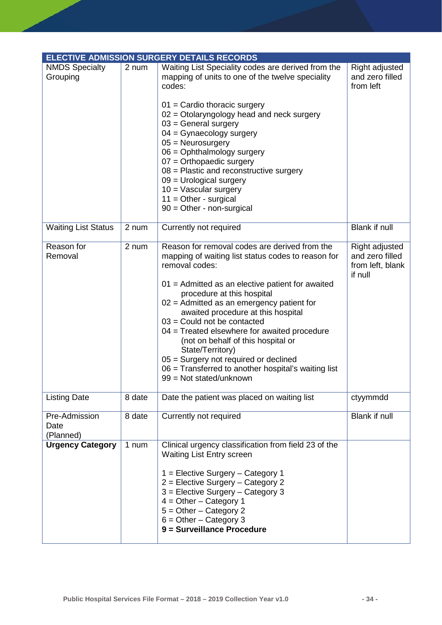|                                    |        | <b>ELECTIVE ADMISSION SURGERY DETAILS RECORDS</b>                                                                                                                                                                                                                                                                                                                                                                                                                                                                                                                  |                                                                  |
|------------------------------------|--------|--------------------------------------------------------------------------------------------------------------------------------------------------------------------------------------------------------------------------------------------------------------------------------------------------------------------------------------------------------------------------------------------------------------------------------------------------------------------------------------------------------------------------------------------------------------------|------------------------------------------------------------------|
| <b>NMDS Specialty</b><br>Grouping  | 2 num  | Waiting List Speciality codes are derived from the<br>mapping of units to one of the twelve speciality<br>codes:<br>$01$ = Cardio thoracic surgery<br>02 = Otolaryngology head and neck surgery<br>$03$ = General surgery<br>$04 =$ Gynaecology surgery<br>$05 =$ Neurosurgery<br>$06 =$ Ophthalmology surgery<br>$07 =$ Orthopaedic surgery<br>$08$ = Plastic and reconstructive surgery<br>$09$ = Urological surgery<br>$10 = V$ ascular surgery<br>$11 =$ Other - surgical<br>$90 =$ Other - non-surgical                                                       | Right adjusted<br>and zero filled<br>from left                   |
| <b>Waiting List Status</b>         | 2 num  | Currently not required                                                                                                                                                                                                                                                                                                                                                                                                                                                                                                                                             | <b>Blank if null</b>                                             |
| Reason for<br>Removal              | 2 num  | Reason for removal codes are derived from the<br>mapping of waiting list status codes to reason for<br>removal codes:<br>01 = Admitted as an elective patient for awaited<br>procedure at this hospital<br>$02$ = Admitted as an emergency patient for<br>awaited procedure at this hospital<br>$03$ = Could not be contacted<br>04 = Treated elsewhere for awaited procedure<br>(not on behalf of this hospital or<br>State/Territory)<br>05 = Surgery not required or declined<br>06 = Transferred to another hospital's waiting list<br>99 = Not stated/unknown | Right adjusted<br>and zero filled<br>from left, blank<br>if null |
| <b>Listing Date</b>                | 8 date | Date the patient was placed on waiting list                                                                                                                                                                                                                                                                                                                                                                                                                                                                                                                        | ctyymmdd                                                         |
| Pre-Admission<br>Date<br>(Planned) | 8 date | Currently not required                                                                                                                                                                                                                                                                                                                                                                                                                                                                                                                                             | Blank if null                                                    |
| <b>Urgency Category</b>            | 1 num  | Clinical urgency classification from field 23 of the<br>Waiting List Entry screen<br>$1 =$ Elective Surgery – Category 1<br>$2$ = Elective Surgery – Category 2<br>$3$ = Elective Surgery – Category 3<br>$4 = Other - Category 1$<br>$5 =$ Other - Category 2<br>$6 = Other - Category$ 3<br>9 = Surveillance Procedure                                                                                                                                                                                                                                           |                                                                  |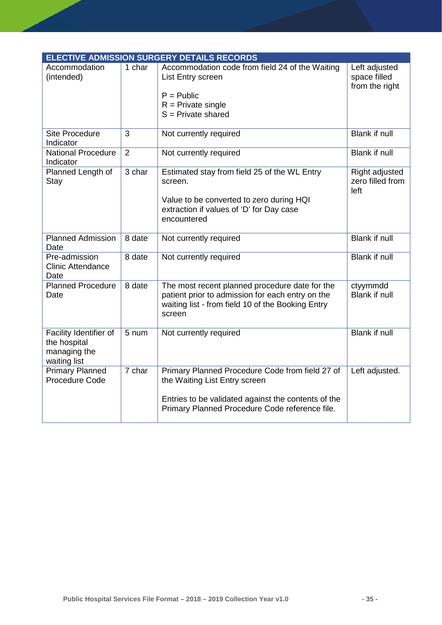| <b>ELECTIVE ADMISSION SURGERY DETAILS RECORDS</b>                      |                |                                                                                                                                                                   |                                                   |
|------------------------------------------------------------------------|----------------|-------------------------------------------------------------------------------------------------------------------------------------------------------------------|---------------------------------------------------|
| Accommodation<br>(intended)                                            | 1 char         | Accommodation code from field 24 of the Waiting<br>List Entry screen                                                                                              | Left adjusted<br>space filled<br>from the right   |
|                                                                        |                | $P = Public$<br>$R =$ Private single<br>$S =$ Private shared                                                                                                      |                                                   |
| <b>Site Procedure</b><br>Indicator                                     | 3              | Not currently required                                                                                                                                            | <b>Blank if null</b>                              |
| <b>National Procedure</b><br>Indicator                                 | $\overline{2}$ | Not currently required                                                                                                                                            | <b>Blank if null</b>                              |
| Planned Length of<br>Stay                                              | 3 char         | Estimated stay from field 25 of the WL Entry<br>screen.<br>Value to be converted to zero during HQI                                                               | <b>Right adjusted</b><br>zero filled from<br>left |
|                                                                        |                | extraction if values of 'D' for Day case<br>encountered                                                                                                           |                                                   |
| <b>Planned Admission</b><br>Date                                       | 8 date         | Not currently required                                                                                                                                            | <b>Blank if null</b>                              |
| Pre-admission<br><b>Clinic Attendance</b><br>Date                      | 8 date         | Not currently required                                                                                                                                            | <b>Blank if null</b>                              |
| <b>Planned Procedure</b><br>Date                                       | 8 date         | The most recent planned procedure date for the<br>patient prior to admission for each entry on the<br>waiting list - from field 10 of the Booking Entry<br>screen | ctyymmdd<br>Blank if null                         |
| Facility Identifier of<br>the hospital<br>managing the<br>waiting list | 5 num          | Not currently required                                                                                                                                            | <b>Blank if null</b>                              |
| <b>Primary Planned</b><br>Procedure Code                               | 7 char         | Primary Planned Procedure Code from field 27 of<br>the Waiting List Entry screen                                                                                  | Left adjusted.                                    |
|                                                                        |                | Entries to be validated against the contents of the<br>Primary Planned Procedure Code reference file.                                                             |                                                   |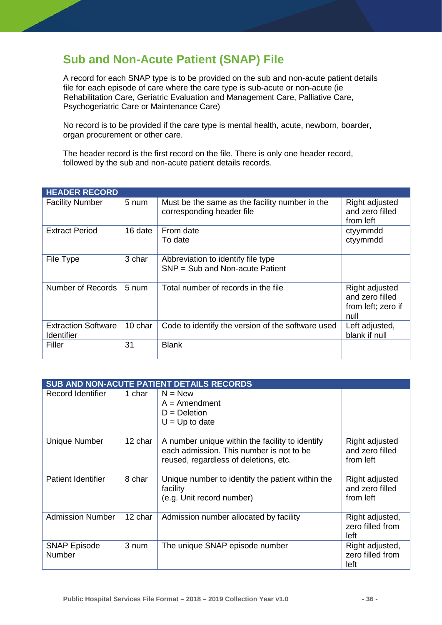# **Sub and Non-Acute Patient (SNAP) File**

A record for each SNAP type is to be provided on the sub and non-acute patient details file for each episode of care where the care type is sub-acute or non-acute (ie Rehabilitation Care, Geriatric Evaluation and Management Care, Palliative Care, Psychogeriatric Care or Maintenance Care)

No record is to be provided if the care type is mental health, acute, newborn, boarder, organ procurement or other care.

The header record is the first record on the file. There is only one header record, followed by the sub and non-acute patient details records.

| <b>HEADER RECORD</b>                            |                 |                                                                             |                                                                 |
|-------------------------------------------------|-----------------|-----------------------------------------------------------------------------|-----------------------------------------------------------------|
| <b>Facility Number</b>                          | 5 num           | Must be the same as the facility number in the<br>corresponding header file | Right adjusted<br>and zero filled<br>from left                  |
| <b>Extract Period</b>                           | 16 date         | From date<br>To date                                                        | ctyymmdd<br>ctyymmdd                                            |
| File Type                                       | 3 char          | Abbreviation to identify file type<br>$SNP = Sub$ and Non-acute Patient     |                                                                 |
| Number of Records                               | $5 \text{ num}$ | Total number of records in the file                                         | Right adjusted<br>and zero filled<br>from left; zero if<br>null |
| <b>Extraction Software</b><br><b>Identifier</b> | 10 char         | Code to identify the version of the software used                           | Left adjusted,<br>blank if null                                 |
| Filler                                          | 31              | <b>Blank</b>                                                                |                                                                 |

|                                      | SUB AND NON-ACUTE PATIENT DETAILS RECORDS |                                                                                                                                      |                                                |  |
|--------------------------------------|-------------------------------------------|--------------------------------------------------------------------------------------------------------------------------------------|------------------------------------------------|--|
| Record Identifier                    | 1 char                                    | $N = New$<br>$A =$ Amendment<br>$D = Deletion$<br>$U = Up$ to date                                                                   |                                                |  |
| <b>Unique Number</b>                 | 12 char                                   | A number unique within the facility to identify<br>each admission. This number is not to be<br>reused, regardless of deletions, etc. | Right adjusted<br>and zero filled<br>from left |  |
| <b>Patient Identifier</b>            | 8 char                                    | Unique number to identify the patient within the<br>facility<br>(e.g. Unit record number)                                            | Right adjusted<br>and zero filled<br>from left |  |
| <b>Admission Number</b>              | 12 char                                   | Admission number allocated by facility                                                                                               | Right adjusted,<br>zero filled from<br>left    |  |
| <b>SNAP Episode</b><br><b>Number</b> | 3 num                                     | The unique SNAP episode number                                                                                                       | Right adjusted,<br>zero filled from<br>left    |  |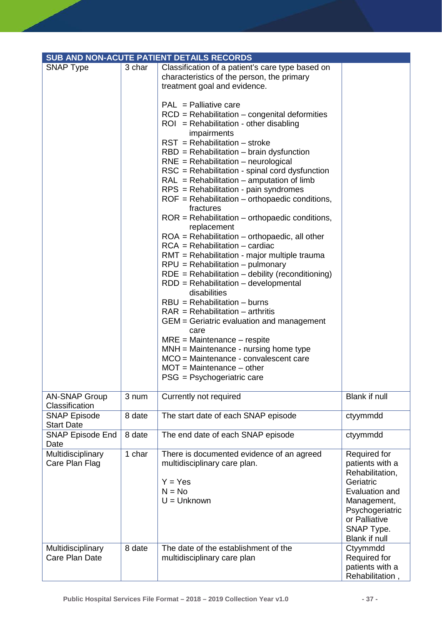|                                          |        | SUB AND NON-ACUTE PATIENT DETAILS RECORDS                                                                                                                                                                                                                                                                                                    |                                                                                                                                                                     |
|------------------------------------------|--------|----------------------------------------------------------------------------------------------------------------------------------------------------------------------------------------------------------------------------------------------------------------------------------------------------------------------------------------------|---------------------------------------------------------------------------------------------------------------------------------------------------------------------|
| <b>SNAP Type</b>                         | 3 char | Classification of a patient's care type based on<br>characteristics of the person, the primary<br>treatment goal and evidence.<br>$PAL = Palliative care$<br>$RCD = Rehabilitation - congenital deformities$<br>$ROI = Rehabilitation - other disabling$<br>impairments<br>$RST = Rehabilitation - stroke$                                   |                                                                                                                                                                     |
|                                          |        | $RBD = Rehabilitation - brain dysfunction$<br>$RNE = Rehabilitation - neurological$<br>RSC = Rehabilitation - spinal cord dysfunction<br>$RAL = Rehabilitation - amputation of limb$<br>RPS = Rehabilitation - pain syndromes<br>$ROF = Rehabilitation - orthopaedic conditions,$<br>fractures                                               |                                                                                                                                                                     |
|                                          |        | $ROR = Rehabilitation - orthopaedic conditions,$<br>replacement<br>$ROA = Rehabilitation - orthopaedic, all other$<br>$RCA = Rehabilitation - cardiac$<br>RMT = Rehabilitation - major multiple trauma<br>$RPU = Rehabilitation - pulmonary$<br>$RDE = Rehabilitation - debility (reconditioning)$<br>$RDD = Rehabilitation - developmental$ |                                                                                                                                                                     |
|                                          |        | disabilities<br>$RBU = Rehabilitation - burns$<br>$RAR = Rehabilitation - arthritis$<br>GEM = Geriatric evaluation and management<br>care<br>$MRE = Maintenance - respite$                                                                                                                                                                   |                                                                                                                                                                     |
|                                          |        | $MM = Maintenance - nursing home type$<br>MCO = Maintenance - convalescent care<br>$MOT = Maintenance - other$<br>PSG = Psychogeriatric care                                                                                                                                                                                                 |                                                                                                                                                                     |
| <b>AN-SNAP Group</b><br>Classification   | 3 num  | Currently not required                                                                                                                                                                                                                                                                                                                       | <b>Blank if null</b>                                                                                                                                                |
| <b>SNAP Episode</b><br><b>Start Date</b> | 8 date | The start date of each SNAP episode                                                                                                                                                                                                                                                                                                          | ctyymmdd                                                                                                                                                            |
| <b>SNAP Episode End</b><br>Date          | 8 date | The end date of each SNAP episode                                                                                                                                                                                                                                                                                                            | ctyymmdd                                                                                                                                                            |
| Multidisciplinary<br>Care Plan Flag      | 1 char | There is documented evidence of an agreed<br>multidisciplinary care plan.<br>$Y = Yes$<br>$N = No$<br>$U =$ Unknown                                                                                                                                                                                                                          | Required for<br>patients with a<br>Rehabilitation,<br>Geriatric<br>Evaluation and<br>Management,<br>Psychogeriatric<br>or Palliative<br>SNAP Type.<br>Blank if null |
| Multidisciplinary<br>Care Plan Date      | 8 date | The date of the establishment of the<br>multidisciplinary care plan                                                                                                                                                                                                                                                                          | Ctyymmdd<br>Required for<br>patients with a<br>Rehabilitation,                                                                                                      |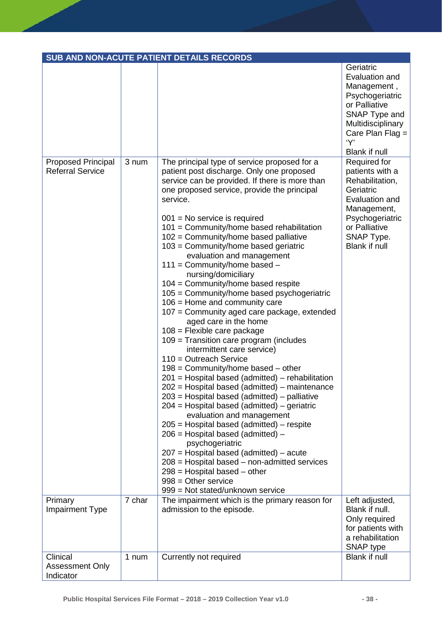|                                                      |        | SUB AND NON-ACUTE PATIENT DETAILS RECORDS                                                                                                                                                                                                                                                                                                                                                                                                                                                                                                                                                                                                                                                                                                                                                                                                                                                                                                                                                                                                                                                                                                                                                                                                                                                                                                                                             |                                                                                                                                                                           |
|------------------------------------------------------|--------|---------------------------------------------------------------------------------------------------------------------------------------------------------------------------------------------------------------------------------------------------------------------------------------------------------------------------------------------------------------------------------------------------------------------------------------------------------------------------------------------------------------------------------------------------------------------------------------------------------------------------------------------------------------------------------------------------------------------------------------------------------------------------------------------------------------------------------------------------------------------------------------------------------------------------------------------------------------------------------------------------------------------------------------------------------------------------------------------------------------------------------------------------------------------------------------------------------------------------------------------------------------------------------------------------------------------------------------------------------------------------------------|---------------------------------------------------------------------------------------------------------------------------------------------------------------------------|
|                                                      |        |                                                                                                                                                                                                                                                                                                                                                                                                                                                                                                                                                                                                                                                                                                                                                                                                                                                                                                                                                                                                                                                                                                                                                                                                                                                                                                                                                                                       | Geriatric<br>Evaluation and<br>Management,<br>Psychogeriatric<br>or Palliative<br>SNAP Type and<br>Multidisciplinary<br>Care Plan Flag $=$<br>'Y'<br><b>Blank if null</b> |
| <b>Proposed Principal</b><br><b>Referral Service</b> | 3 num  | The principal type of service proposed for a<br>patient post discharge. Only one proposed<br>service can be provided. If there is more than<br>one proposed service, provide the principal<br>service.<br>$001$ = No service is required<br>101 = Community/home based rehabilitation<br>102 = Community/home based palliative<br>103 = Community/home based geriatric<br>evaluation and management<br>$111 =$ Community/home based $-$<br>nursing/domiciliary<br>104 = Community/home based respite<br>105 = Community/home based psychogeriatric<br>$106$ = Home and community care<br>107 = Community aged care package, extended<br>aged care in the home<br>$108$ = Flexible care package<br>109 = Transition care program (includes<br>intermittent care service)<br>$110 =$ Outreach Service<br>$198$ = Community/home based – other<br>201 = Hospital based (admitted) – rehabilitation<br>202 = Hospital based (admitted) - maintenance<br>$203$ = Hospital based (admitted) – palliative<br>$204$ = Hospital based (admitted) – geriatric<br>evaluation and management<br>205 = Hospital based (admitted) - respite<br>206 = Hospital based (admitted) -<br>psychogeriatric<br>$207$ = Hospital based (admitted) – acute<br>$208$ = Hospital based – non-admitted services<br>$298$ = Hospital based $-$ other<br>$998 =$ Other service<br>999 = Not stated/unknown service | Required for<br>patients with a<br>Rehabilitation,<br>Geriatric<br>Evaluation and<br>Management,<br>Psychogeriatric<br>or Palliative<br>SNAP Type.<br>Blank if null       |
| Primary<br>Impairment Type                           | 7 char | The impairment which is the primary reason for<br>admission to the episode.                                                                                                                                                                                                                                                                                                                                                                                                                                                                                                                                                                                                                                                                                                                                                                                                                                                                                                                                                                                                                                                                                                                                                                                                                                                                                                           | Left adjusted,<br>Blank if null.<br>Only required<br>for patients with<br>a rehabilitation<br>SNAP type                                                                   |
| Clinical<br><b>Assessment Only</b><br>Indicator      | 1 num  | Currently not required                                                                                                                                                                                                                                                                                                                                                                                                                                                                                                                                                                                                                                                                                                                                                                                                                                                                                                                                                                                                                                                                                                                                                                                                                                                                                                                                                                | Blank if null                                                                                                                                                             |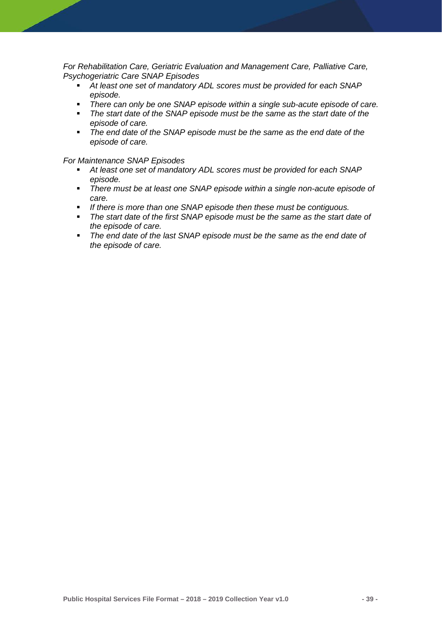*For Rehabilitation Care, Geriatric Evaluation and Management Care, Palliative Care, Psychogeriatric Care SNAP Episodes*

- *At least one set of mandatory ADL scores must be provided for each SNAP episode.*
- There can only be one SNAP episode within a single sub-acute episode of care.<br>■ The start date of the SNAP episode must be the same as the start date of the
- *The start date of the SNAP episode must be the same as the start date of the episode of care.*
- *The end date of the SNAP episode must be the same as the end date of the episode of care.*

#### *For Maintenance SNAP Episodes*

- *At least one set of mandatory ADL scores must be provided for each SNAP episode.*
- *There must be at least one SNAP episode within a single non-acute episode of care.*
- *If there is more than one SNAP episode then these must be contiguous.*
- *The start date of the first SNAP episode must be the same as the start date of the episode of care.*
- *The end date of the last SNAP episode must be the same as the end date of the episode of care.*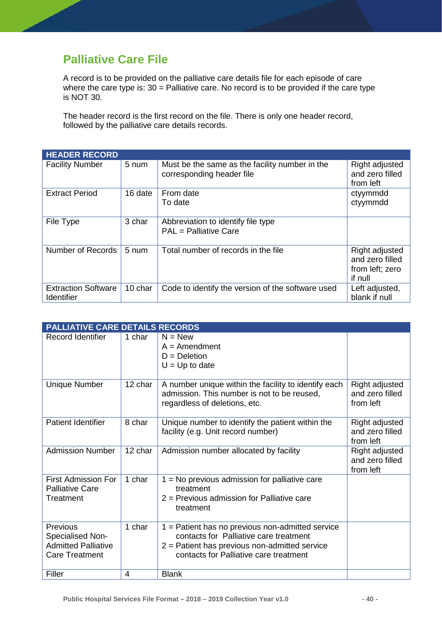# **Palliative Care File**

A record is to be provided on the palliative care details file for each episode of care where the care type is:  $30$  = Palliative care. No record is to be provided if the care type is NOT 30.

The header record is the first record on the file. There is only one header record, followed by the palliative care details records.

| <b>HEADER RECORD</b>                            |         |                                                                             |                                                                 |
|-------------------------------------------------|---------|-----------------------------------------------------------------------------|-----------------------------------------------------------------|
| <b>Facility Number</b>                          | 5 num   | Must be the same as the facility number in the<br>corresponding header file | Right adjusted<br>and zero filled<br>from left                  |
| <b>Extract Period</b>                           | 16 date | From date<br>To date                                                        | ctyymmdd<br>ctyymmdd                                            |
| File Type                                       | 3 char  | Abbreviation to identify file type<br>PAL = Palliative Care                 |                                                                 |
| Number of Records                               | 5 num   | Total number of records in the file                                         | Right adjusted<br>and zero filled<br>from left; zero<br>if null |
| <b>Extraction Software</b><br><b>Identifier</b> | 10 char | Code to identify the version of the software used                           | Left adjusted,<br>blank if null                                 |

| PALLIATIVE CARE DETAILS RECORDS                                                     |         |                                                                                                                                                                                         |                                                |
|-------------------------------------------------------------------------------------|---------|-----------------------------------------------------------------------------------------------------------------------------------------------------------------------------------------|------------------------------------------------|
| <b>Record Identifier</b>                                                            | 1 char  | $N = New$<br>$A =$ Amendment<br>$D = Deletion$<br>$U = Up$ to date                                                                                                                      |                                                |
| <b>Unique Number</b>                                                                | 12 char | A number unique within the facility to identify each<br>admission. This number is not to be reused,<br>regardless of deletions, etc.                                                    | Right adjusted<br>and zero filled<br>from left |
| <b>Patient Identifier</b>                                                           | 8 char  | Unique number to identify the patient within the<br>facility (e.g. Unit record number)                                                                                                  | Right adjusted<br>and zero filled<br>from left |
| <b>Admission Number</b>                                                             | 12 char | Admission number allocated by facility                                                                                                                                                  | Right adjusted<br>and zero filled<br>from left |
| <b>First Admission For</b><br><b>Palliative Care</b><br>Treatment                   | 1 char  | $1 = No$ previous admission for palliative care<br>treatment<br>$2$ = Previous admission for Palliative care<br>treatment                                                               |                                                |
| Previous<br>Specialised Non-<br><b>Admitted Palliative</b><br><b>Care Treatment</b> | 1 char  | 1 = Patient has no previous non-admitted service<br>contacts for Palliative care treatment<br>$2$ = Patient has previous non-admitted service<br>contacts for Palliative care treatment |                                                |
| Filler                                                                              | 4       | <b>Blank</b>                                                                                                                                                                            |                                                |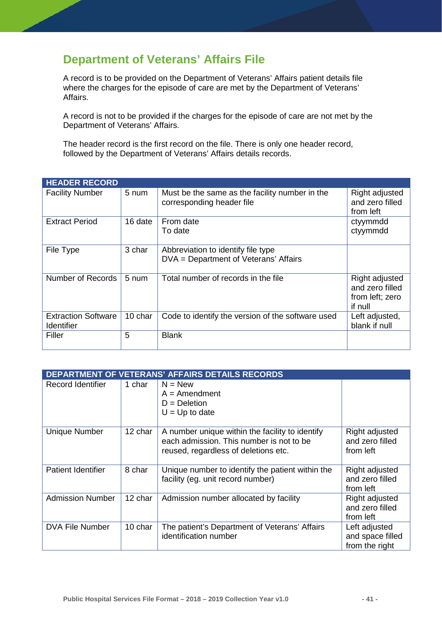# **Department of Veterans' Affairs File**

A record is to be provided on the Department of Veterans' Affairs patient details file where the charges for the episode of care are met by the Department of Veterans' Affairs.

A record is not to be provided if the charges for the episode of care are not met by the Department of Veterans' Affairs.

The header record is the first record on the file. There is only one header record, followed by the Department of Veterans' Affairs details records.

| <b>HEADER RECORD</b>                            |         |                                                                             |                                                                 |
|-------------------------------------------------|---------|-----------------------------------------------------------------------------|-----------------------------------------------------------------|
| <b>Facility Number</b>                          | 5 num   | Must be the same as the facility number in the<br>corresponding header file | Right adjusted<br>and zero filled<br>from left                  |
| <b>Extract Period</b>                           | 16 date | From date<br>To date                                                        | ctyymmdd<br>ctyymmdd                                            |
| File Type                                       | 3 char  | Abbreviation to identify file type<br>DVA = Department of Veterans' Affairs |                                                                 |
| Number of Records                               | 5 num   | Total number of records in the file                                         | Right adjusted<br>and zero filled<br>from left; zero<br>if null |
| <b>Extraction Software</b><br><b>Identifier</b> | 10 char | Code to identify the version of the software used                           | Left adjusted,<br>blank if null                                 |
| Filler                                          | 5       | <b>Blank</b>                                                                |                                                                 |

|                           |         | <b>DEPARTMENT OF VETERANS' AFFAIRS DETAILS RECORDS</b>                                                                              |                                                     |
|---------------------------|---------|-------------------------------------------------------------------------------------------------------------------------------------|-----------------------------------------------------|
| Record Identifier         | 1 char  | $N = New$<br>$A =$ Amendment<br>$D = Deletion$<br>$U = Up$ to date                                                                  |                                                     |
| <b>Unique Number</b>      | 12 char | A number unique within the facility to identify<br>each admission. This number is not to be<br>reused, regardless of deletions etc. | Right adjusted<br>and zero filled<br>from left      |
| <b>Patient Identifier</b> | 8 char  | Unique number to identify the patient within the<br>facility (eg. unit record number)                                               | Right adjusted<br>and zero filled<br>from left      |
| <b>Admission Number</b>   | 12 char | Admission number allocated by facility                                                                                              | Right adjusted<br>and zero filled<br>from left      |
| <b>DVA File Number</b>    | 10 char | The patient's Department of Veterans' Affairs<br>identification number                                                              | Left adjusted<br>and space filled<br>from the right |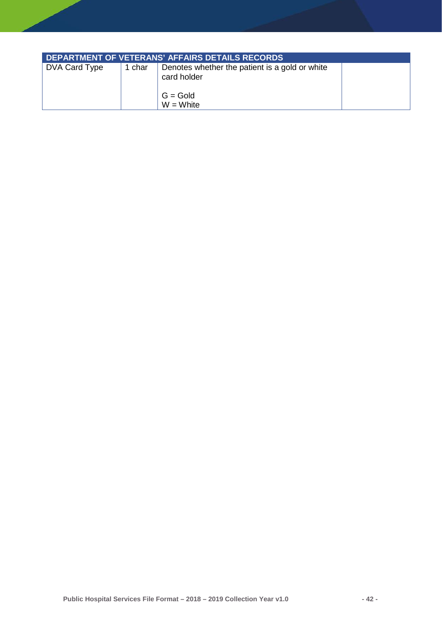| DEPARTMENT OF VETERANS' AFFAIRS DETAILS RECORDS |        |                                                                                            |  |  |  |
|-------------------------------------------------|--------|--------------------------------------------------------------------------------------------|--|--|--|
| DVA Card Type                                   | 1 char | Denotes whether the patient is a gold or white<br>card holder<br>$G = Gold$<br>$W = White$ |  |  |  |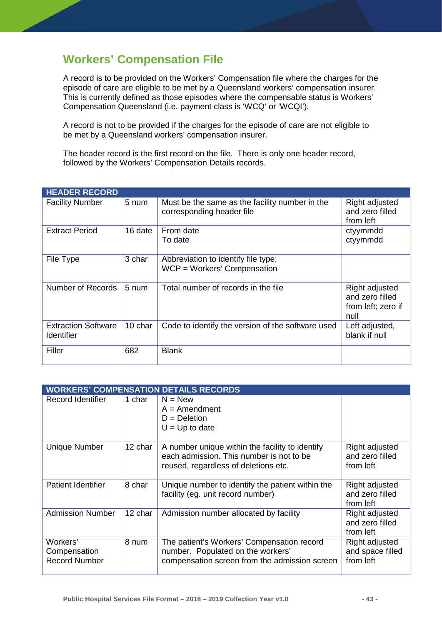# **Workers' Compensation File**

A record is to be provided on the Workers' Compensation file where the charges for the episode of care are eligible to be met by a Queensland workers' compensation insurer. This is currently defined as those episodes where the compensable status is Workers' Compensation Queensland (i.e. payment class is 'WCQ' or 'WCQI').

A record is not to be provided if the charges for the episode of care are not eligible to be met by a Queensland workers' compensation insurer.

The header record is the first record on the file. There is only one header record, followed by the Workers' Compensation Details records.

| <b>HEADER RECORD</b>                     |         |                                                                             |                                                                 |
|------------------------------------------|---------|-----------------------------------------------------------------------------|-----------------------------------------------------------------|
| <b>Facility Number</b>                   | 5 num   | Must be the same as the facility number in the<br>corresponding header file | Right adjusted<br>and zero filled<br>from left                  |
| <b>Extract Period</b>                    | 16 date | From date<br>To date                                                        | ctyymmdd<br>ctyymmdd                                            |
| File Type                                | 3 char  | Abbreviation to identify file type;<br>$WCP = W$ orkers' Compensation       |                                                                 |
| Number of Records                        | 5 num   | Total number of records in the file                                         | Right adjusted<br>and zero filled<br>from left; zero if<br>null |
| <b>Extraction Software</b><br>Identifier | 10 char | Code to identify the version of the software used                           | Left adjusted,<br>blank if null                                 |
| Filler                                   | 682     | <b>Blank</b>                                                                |                                                                 |

|                                                  | <b>WORKERS' COMPENSATION DETAILS RECORDS</b> |                                                                                                                                     |                                                 |  |  |
|--------------------------------------------------|----------------------------------------------|-------------------------------------------------------------------------------------------------------------------------------------|-------------------------------------------------|--|--|
| Record Identifier                                | 1 char                                       | $N = New$<br>$A =$ Amendment<br>$D = Deletion$<br>$U = Up$ to date                                                                  |                                                 |  |  |
| <b>Unique Number</b>                             | 12 char                                      | A number unique within the facility to identify<br>each admission. This number is not to be<br>reused, regardless of deletions etc. | Right adjusted<br>and zero filled<br>from left  |  |  |
| <b>Patient Identifier</b>                        | 8 char                                       | Unique number to identify the patient within the<br>facility (eg. unit record number)                                               | Right adjusted<br>and zero filled<br>from left  |  |  |
| <b>Admission Number</b>                          | 12 char                                      | Admission number allocated by facility                                                                                              | Right adjusted<br>and zero filled<br>from left  |  |  |
| Workers'<br>Compensation<br><b>Record Number</b> | 8 num                                        | The patient's Workers' Compensation record<br>number. Populated on the workers'<br>compensation screen from the admission screen    | Right adjusted<br>and space filled<br>from left |  |  |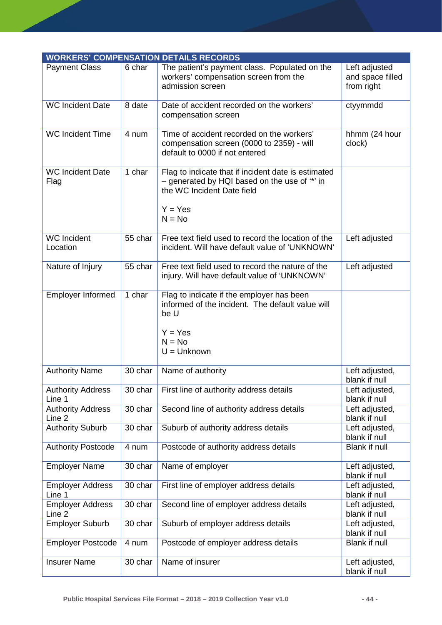|                                    |         | <b>WORKERS' COMPENSATION DETAILS RECORDS</b>                                                                                                                |                                                 |
|------------------------------------|---------|-------------------------------------------------------------------------------------------------------------------------------------------------------------|-------------------------------------------------|
| <b>Payment Class</b>               | 6 char  | The patient's payment class. Populated on the<br>workers' compensation screen from the<br>admission screen                                                  | Left adjusted<br>and space filled<br>from right |
| <b>WC Incident Date</b>            | 8 date  | Date of accident recorded on the workers'<br>compensation screen                                                                                            | ctyymmdd                                        |
| <b>WC Incident Time</b>            | 4 num   | Time of accident recorded on the workers'<br>compensation screen (0000 to 2359) - will<br>default to 0000 if not entered                                    | hhmm (24 hour<br>clock)                         |
| <b>WC Incident Date</b><br>Flag    | 1 char  | Flag to indicate that if incident date is estimated<br>- generated by HQI based on the use of "*' in<br>the WC Incident Date field<br>$Y = Yes$<br>$N = No$ |                                                 |
| <b>WC</b> Incident<br>Location     | 55 char | Free text field used to record the location of the<br>incident. Will have default value of 'UNKNOWN'                                                        | Left adjusted                                   |
| Nature of Injury                   | 55 char | Free text field used to record the nature of the<br>injury. Will have default value of 'UNKNOWN'                                                            | Left adjusted                                   |
| <b>Employer Informed</b>           | 1 char  | Flag to indicate if the employer has been<br>informed of the incident. The default value will<br>be U<br>$Y = Yes$<br>$N = No$<br>$U =$ Unknown             |                                                 |
| <b>Authority Name</b>              | 30 char | Name of authority                                                                                                                                           | Left adjusted,<br>blank if null                 |
| <b>Authority Address</b><br>Line 1 | 30 char | First line of authority address details                                                                                                                     | Left adjusted,<br>blank if null                 |
| <b>Authority Address</b><br>Line 2 | 30 char | Second line of authority address details                                                                                                                    | Left adjusted,<br>blank if null                 |
| <b>Authority Suburb</b>            | 30 char | Suburb of authority address details                                                                                                                         | Left adjusted,<br>blank if null                 |
| <b>Authority Postcode</b>          | 4 num   | Postcode of authority address details                                                                                                                       | Blank if null                                   |
| <b>Employer Name</b>               | 30 char | Name of employer                                                                                                                                            | Left adjusted,<br>blank if null                 |
| <b>Employer Address</b><br>Line 1  | 30 char | First line of employer address details                                                                                                                      | Left adjusted,<br>blank if null                 |
| <b>Employer Address</b><br>Line 2  | 30 char | Second line of employer address details                                                                                                                     | Left adjusted,<br>blank if null                 |
| <b>Employer Suburb</b>             | 30 char | Suburb of employer address details                                                                                                                          | Left adjusted,<br>blank if null                 |
| <b>Employer Postcode</b>           | 4 num   | Postcode of employer address details                                                                                                                        | Blank if null                                   |
| <b>Insurer Name</b>                | 30 char | Name of insurer                                                                                                                                             | Left adjusted,<br>blank if null                 |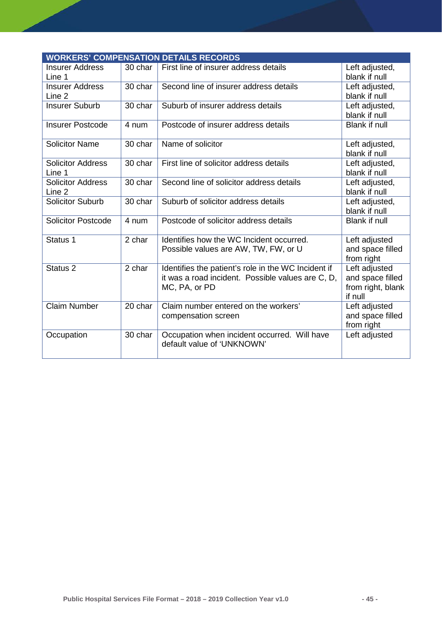|                                    |         | <b>WORKERS' COMPENSATION DETAILS RECORDS</b>                                                                              |                                                                   |
|------------------------------------|---------|---------------------------------------------------------------------------------------------------------------------------|-------------------------------------------------------------------|
| <b>Insurer Address</b><br>Line 1   | 30 char | First line of insurer address details                                                                                     | Left adjusted,<br>blank if null                                   |
| <b>Insurer Address</b><br>Line 2   | 30 char | Second line of insurer address details                                                                                    | Left adjusted,<br>blank if null                                   |
| <b>Insurer Suburb</b>              | 30 char | Suburb of insurer address details                                                                                         | Left adjusted,<br>blank if null                                   |
| <b>Insurer Postcode</b>            | 4 num   | Postcode of insurer address details                                                                                       | <b>Blank if null</b>                                              |
| <b>Solicitor Name</b>              | 30 char | Name of solicitor                                                                                                         | Left adjusted,<br>blank if null                                   |
| <b>Solicitor Address</b><br>Line 1 | 30 char | First line of solicitor address details                                                                                   | Left adjusted,<br>blank if null                                   |
| <b>Solicitor Address</b><br>Line 2 | 30 char | Second line of solicitor address details                                                                                  | Left adjusted,<br>blank if null                                   |
| <b>Solicitor Suburb</b>            | 30 char | Suburb of solicitor address details                                                                                       | Left adjusted,<br>blank if null                                   |
| <b>Solicitor Postcode</b>          | 4 num   | Postcode of solicitor address details                                                                                     | <b>Blank if null</b>                                              |
| Status 1                           | 2 char  | Identifies how the WC Incident occurred.<br>Possible values are AW, TW, FW, or U                                          | Left adjusted<br>and space filled<br>from right                   |
| Status <sub>2</sub>                | 2 char  | Identifies the patient's role in the WC Incident if<br>it was a road incident. Possible values are C, D,<br>MC, PA, or PD | Left adjusted<br>and space filled<br>from right, blank<br>if null |
| <b>Claim Number</b>                | 20 char | Claim number entered on the workers'<br>compensation screen                                                               | Left adjusted<br>and space filled<br>from right                   |
| Occupation                         | 30 char | Occupation when incident occurred. Will have<br>default value of 'UNKNOWN'                                                | Left adjusted                                                     |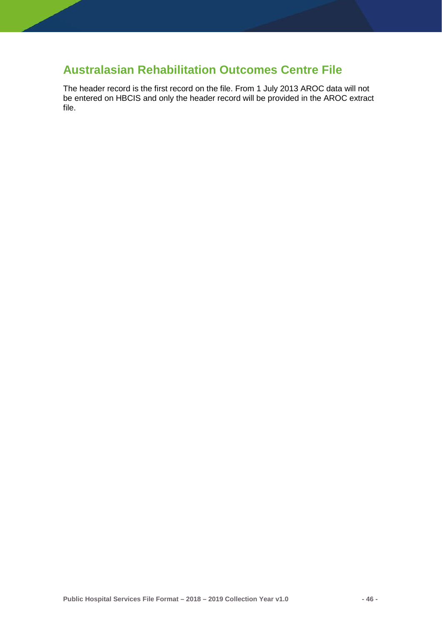### **Australasian Rehabilitation Outcomes Centre File**

The header record is the first record on the file. From 1 July 2013 AROC data will not be entered on HBCIS and only the header record will be provided in the AROC extract file.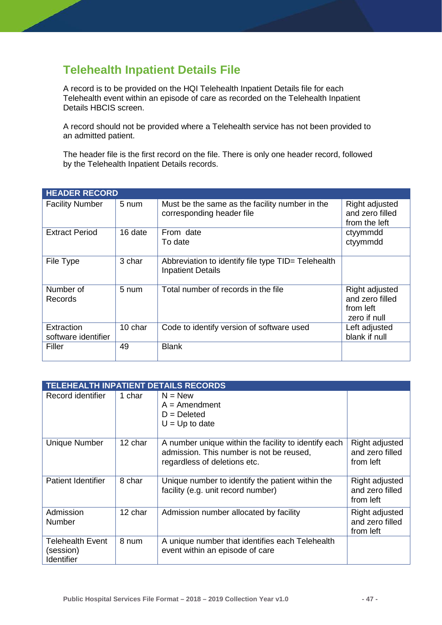# **Telehealth Inpatient Details File**

A record is to be provided on the HQI Telehealth Inpatient Details file for each Telehealth event within an episode of care as recorded on the Telehealth Inpatient Details HBCIS screen.

A record should not be provided where a Telehealth service has not been provided to an admitted patient.

The header file is the first record on the file. There is only one header record, followed by the Telehealth Inpatient Details records.

| <b>HEADER RECORD</b>              |         |                                                                                |                                                                |
|-----------------------------------|---------|--------------------------------------------------------------------------------|----------------------------------------------------------------|
| <b>Facility Number</b>            | 5 num   | Must be the same as the facility number in the<br>corresponding header file    | Right adjusted<br>and zero filled<br>from the left             |
| <b>Extract Period</b>             | 16 date | From date<br>To date                                                           | ctyymmdd<br>ctyymmdd                                           |
| File Type                         | 3 char  | Abbreviation to identify file type TID= Telehealth<br><b>Inpatient Details</b> |                                                                |
| Number of<br>Records              | 5 num   | Total number of records in the file                                            | Right adjusted<br>and zero filled<br>from left<br>zero if null |
| Extraction<br>software identifier | 10 char | Code to identify version of software used                                      | Left adjusted<br>blank if null                                 |
| Filler                            | 49      | <b>Blank</b>                                                                   |                                                                |

|                                                    | <b>TELEHEALTH INPATIENT DETAILS RECORDS</b> |                                                                                                                                  |                                                |
|----------------------------------------------------|---------------------------------------------|----------------------------------------------------------------------------------------------------------------------------------|------------------------------------------------|
| Record identifier                                  | 1 char                                      | $N = New$<br>$A =$ Amendment<br>$D = Deleted$<br>$U = Up$ to date                                                                |                                                |
| <b>Unique Number</b>                               | 12 char                                     | A number unique within the facility to identify each<br>admission. This number is not be reused,<br>regardless of deletions etc. | Right adjusted<br>and zero filled<br>from left |
| <b>Patient Identifier</b>                          | 8 char                                      | Unique number to identify the patient within the<br>facility (e.g. unit record number)                                           | Right adjusted<br>and zero filled<br>from left |
| Admission<br>Number                                | 12 char                                     | Admission number allocated by facility                                                                                           | Right adjusted<br>and zero filled<br>from left |
| <b>Telehealth Event</b><br>(session)<br>Identifier | 8 num                                       | A unique number that identifies each Telehealth<br>event within an episode of care                                               |                                                |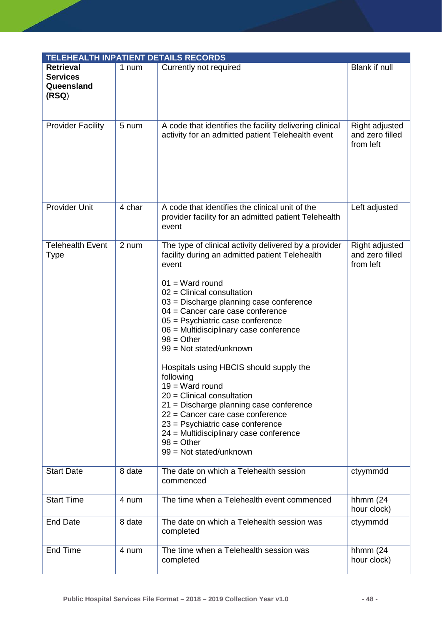| <b>TELEHEALTH INPATIENT DETAILS RECORDS</b>                |        |                                                                                                                                                                                                                                                                                                                                                                                                                                                                                                                                                                                                                                                                                                        |                                                |
|------------------------------------------------------------|--------|--------------------------------------------------------------------------------------------------------------------------------------------------------------------------------------------------------------------------------------------------------------------------------------------------------------------------------------------------------------------------------------------------------------------------------------------------------------------------------------------------------------------------------------------------------------------------------------------------------------------------------------------------------------------------------------------------------|------------------------------------------------|
| <b>Retrieval</b><br><b>Services</b><br>Queensland<br>(RSQ) | 1 num  | Currently not required                                                                                                                                                                                                                                                                                                                                                                                                                                                                                                                                                                                                                                                                                 | Blank if null                                  |
| <b>Provider Facility</b>                                   | 5 num  | A code that identifies the facility delivering clinical<br>activity for an admitted patient Telehealth event                                                                                                                                                                                                                                                                                                                                                                                                                                                                                                                                                                                           | Right adjusted<br>and zero filled<br>from left |
| <b>Provider Unit</b>                                       | 4 char | A code that identifies the clinical unit of the<br>provider facility for an admitted patient Telehealth<br>event                                                                                                                                                                                                                                                                                                                                                                                                                                                                                                                                                                                       | Left adjusted                                  |
| <b>Telehealth Event</b><br>Type                            | 2 num  | The type of clinical activity delivered by a provider<br>facility during an admitted patient Telehealth<br>event<br>$01 = Ward$ round<br>$02$ = Clinical consultation<br>$03$ = Discharge planning case conference<br>04 = Cancer care case conference<br>$05$ = Psychiatric case conference<br>06 = Multidisciplinary case conference<br>$98 = Other$<br>99 = Not stated/unknown<br>Hospitals using HBCIS should supply the<br>following<br>$19 = Ward$ round<br>$20$ = Clinical consultation<br>21 = Discharge planning case conference<br>22 = Cancer care case conference<br>23 = Psychiatric case conference<br>24 = Multidisciplinary case conference<br>$98 = Other$<br>99 = Not stated/unknown | Right adjusted<br>and zero filled<br>from left |
| <b>Start Date</b>                                          | 8 date | The date on which a Telehealth session<br>commenced                                                                                                                                                                                                                                                                                                                                                                                                                                                                                                                                                                                                                                                    | ctyymmdd                                       |
| <b>Start Time</b>                                          | 4 num  | The time when a Telehealth event commenced                                                                                                                                                                                                                                                                                                                                                                                                                                                                                                                                                                                                                                                             | hhmm $(24)$<br>hour clock)                     |
| <b>End Date</b>                                            | 8 date | The date on which a Telehealth session was<br>completed                                                                                                                                                                                                                                                                                                                                                                                                                                                                                                                                                                                                                                                | ctyymmdd                                       |
| End Time                                                   | 4 num  | The time when a Telehealth session was<br>completed                                                                                                                                                                                                                                                                                                                                                                                                                                                                                                                                                                                                                                                    | hhmm $(24)$<br>hour clock)                     |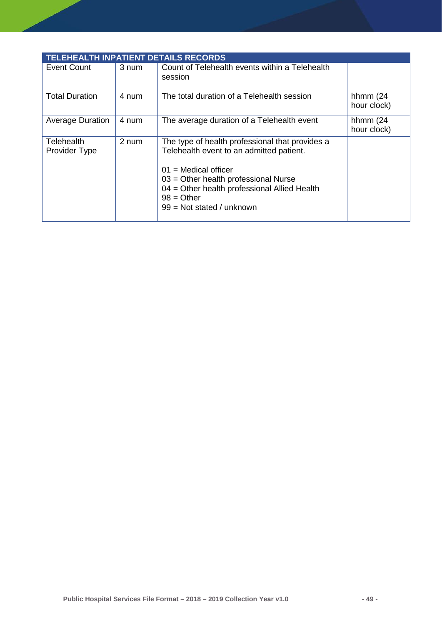| <b>TELEHEALTH INPATIENT DETAILS RECORDS</b> |       |                                                                                                                                                                                                                                                                |                            |
|---------------------------------------------|-------|----------------------------------------------------------------------------------------------------------------------------------------------------------------------------------------------------------------------------------------------------------------|----------------------------|
| Event Count                                 | 3 num | Count of Telehealth events within a Telehealth<br>session                                                                                                                                                                                                      |                            |
| <b>Total Duration</b>                       | 4 num | The total duration of a Telehealth session                                                                                                                                                                                                                     | hhmm $(24)$<br>hour clock) |
| <b>Average Duration</b>                     | 4 num | The average duration of a Telehealth event                                                                                                                                                                                                                     | hhmm $(24)$<br>hour clock) |
| Telehealth<br>Provider Type                 | 2 num | The type of health professional that provides a<br>Telehealth event to an admitted patient.<br>$01$ = Medical officer<br>$03$ = Other health professional Nurse<br>04 = Other health professional Allied Health<br>$98 = Other$<br>$99 = Not stated / unknown$ |                            |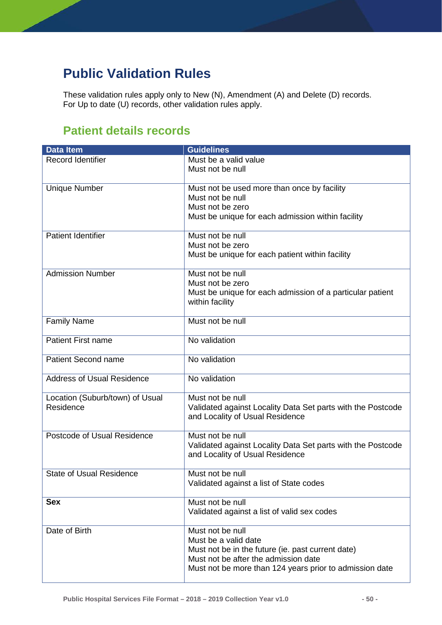# **Public Validation Rules**

These validation rules apply only to New (N), Amendment (A) and Delete (D) records. For Up to date (U) records, other validation rules apply.

# **Patient details records**

| <b>Data Item</b>                  | <b>Guidelines</b>                                           |
|-----------------------------------|-------------------------------------------------------------|
| <b>Record Identifier</b>          | Must be a valid value                                       |
|                                   | Must not be null                                            |
|                                   |                                                             |
| <b>Unique Number</b>              | Must not be used more than once by facility                 |
|                                   | Must not be null                                            |
|                                   | Must not be zero                                            |
|                                   | Must be unique for each admission within facility           |
|                                   |                                                             |
| <b>Patient Identifier</b>         | Must not be null                                            |
|                                   | Must not be zero                                            |
|                                   | Must be unique for each patient within facility             |
|                                   |                                                             |
| <b>Admission Number</b>           | Must not be null                                            |
|                                   | Must not be zero                                            |
|                                   | Must be unique for each admission of a particular patient   |
|                                   | within facility                                             |
|                                   |                                                             |
| <b>Family Name</b>                | Must not be null                                            |
|                                   |                                                             |
| <b>Patient First name</b>         | No validation                                               |
|                                   |                                                             |
| <b>Patient Second name</b>        | No validation                                               |
|                                   |                                                             |
| <b>Address of Usual Residence</b> | No validation                                               |
|                                   |                                                             |
| Location (Suburb/town) of Usual   | Must not be null                                            |
| Residence                         | Validated against Locality Data Set parts with the Postcode |
|                                   | and Locality of Usual Residence                             |
|                                   |                                                             |
| Postcode of Usual Residence       | Must not be null                                            |
|                                   | Validated against Locality Data Set parts with the Postcode |
|                                   | and Locality of Usual Residence                             |
|                                   |                                                             |
| <b>State of Usual Residence</b>   | Must not be null                                            |
|                                   | Validated against a list of State codes                     |
|                                   |                                                             |
| <b>Sex</b>                        | Must not be null                                            |
|                                   | Validated against a list of valid sex codes                 |
|                                   |                                                             |
| Date of Birth                     | Must not be null                                            |
|                                   | Must be a valid date                                        |
|                                   | Must not be in the future (ie. past current date)           |
|                                   | Must not be after the admission date                        |
|                                   | Must not be more than 124 years prior to admission date     |
|                                   |                                                             |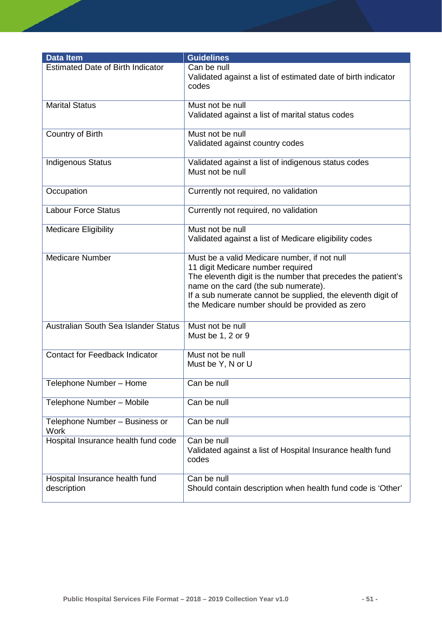| <b>Data Item</b>                              | <b>Guidelines</b>                                                                                                                                                                                                                                                                                          |
|-----------------------------------------------|------------------------------------------------------------------------------------------------------------------------------------------------------------------------------------------------------------------------------------------------------------------------------------------------------------|
| <b>Estimated Date of Birth Indicator</b>      | Can be null<br>Validated against a list of estimated date of birth indicator<br>codes                                                                                                                                                                                                                      |
| <b>Marital Status</b>                         | Must not be null<br>Validated against a list of marital status codes                                                                                                                                                                                                                                       |
| Country of Birth                              | Must not be null<br>Validated against country codes                                                                                                                                                                                                                                                        |
| <b>Indigenous Status</b>                      | Validated against a list of indigenous status codes<br>Must not be null                                                                                                                                                                                                                                    |
| Occupation                                    | Currently not required, no validation                                                                                                                                                                                                                                                                      |
| <b>Labour Force Status</b>                    | Currently not required, no validation                                                                                                                                                                                                                                                                      |
| <b>Medicare Eligibility</b>                   | Must not be null<br>Validated against a list of Medicare eligibility codes                                                                                                                                                                                                                                 |
| <b>Medicare Number</b>                        | Must be a valid Medicare number, if not null<br>11 digit Medicare number required<br>The eleventh digit is the number that precedes the patient's<br>name on the card (the sub numerate).<br>If a sub numerate cannot be supplied, the eleventh digit of<br>the Medicare number should be provided as zero |
| Australian South Sea Islander Status          | Must not be null<br>Must be 1, 2 or 9                                                                                                                                                                                                                                                                      |
| <b>Contact for Feedback Indicator</b>         | Must not be null<br>Must be Y, N or U                                                                                                                                                                                                                                                                      |
| Telephone Number - Home                       | Can be null                                                                                                                                                                                                                                                                                                |
| Telephone Number - Mobile                     | Can be null                                                                                                                                                                                                                                                                                                |
| Telephone Number - Business or<br><b>Work</b> | Can be null                                                                                                                                                                                                                                                                                                |
| Hospital Insurance health fund code           | Can be null<br>Validated against a list of Hospital Insurance health fund<br>codes                                                                                                                                                                                                                         |
| Hospital Insurance health fund<br>description | Can be null<br>Should contain description when health fund code is 'Other'                                                                                                                                                                                                                                 |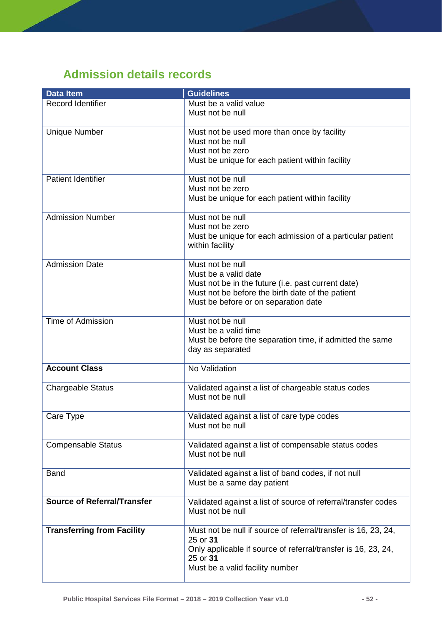# **Admission details records**

| <b>Data Item</b>                   | <b>Guidelines</b>                                                                 |
|------------------------------------|-----------------------------------------------------------------------------------|
| <b>Record Identifier</b>           | Must be a valid value                                                             |
|                                    | Must not be null                                                                  |
|                                    |                                                                                   |
| <b>Unique Number</b>               | Must not be used more than once by facility                                       |
|                                    | Must not be null                                                                  |
|                                    | Must not be zero                                                                  |
|                                    | Must be unique for each patient within facility                                   |
|                                    |                                                                                   |
| <b>Patient Identifier</b>          | Must not be null                                                                  |
|                                    | Must not be zero                                                                  |
|                                    | Must be unique for each patient within facility                                   |
| <b>Admission Number</b>            | Must not be null                                                                  |
|                                    | Must not be zero                                                                  |
|                                    | Must be unique for each admission of a particular patient                         |
|                                    | within facility                                                                   |
|                                    |                                                                                   |
| <b>Admission Date</b>              | Must not be null                                                                  |
|                                    | Must be a valid date                                                              |
|                                    | Must not be in the future (i.e. past current date)                                |
|                                    | Must not be before the birth date of the patient                                  |
|                                    | Must be before or on separation date                                              |
|                                    |                                                                                   |
| <b>Time of Admission</b>           | Must not be null                                                                  |
|                                    | Must be a valid time                                                              |
|                                    | Must be before the separation time, if admitted the same                          |
|                                    | day as separated                                                                  |
| <b>Account Class</b>               | No Validation                                                                     |
|                                    |                                                                                   |
| <b>Chargeable Status</b>           | Validated against a list of chargeable status codes                               |
|                                    | Must not be null                                                                  |
|                                    |                                                                                   |
| Care Type                          | Validated against a list of care type codes                                       |
|                                    | Must not be null                                                                  |
|                                    |                                                                                   |
| <b>Compensable Status</b>          | Validated against a list of compensable status codes                              |
|                                    | Must not be null                                                                  |
|                                    |                                                                                   |
| <b>Band</b>                        | Validated against a list of band codes, if not null                               |
|                                    | Must be a same day patient                                                        |
| <b>Source of Referral/Transfer</b> |                                                                                   |
|                                    | Validated against a list of source of referral/transfer codes<br>Must not be null |
|                                    |                                                                                   |
| <b>Transferring from Facility</b>  | Must not be null if source of referral/transfer is 16, 23, 24,                    |
|                                    | 25 or 31                                                                          |
|                                    | Only applicable if source of referral/transfer is 16, 23, 24,                     |
|                                    | 25 or 31                                                                          |
|                                    | Must be a valid facility number                                                   |
|                                    |                                                                                   |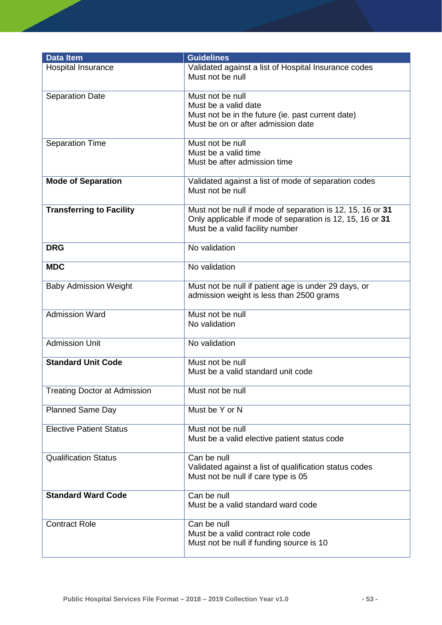| <b>Data Item</b>                    | <b>Guidelines</b>                                                                                                                                          |
|-------------------------------------|------------------------------------------------------------------------------------------------------------------------------------------------------------|
| Hospital Insurance                  | Validated against a list of Hospital Insurance codes<br>Must not be null                                                                                   |
| <b>Separation Date</b>              | Must not be null<br>Must be a valid date<br>Must not be in the future (ie. past current date)<br>Must be on or after admission date                        |
| <b>Separation Time</b>              | Must not be null<br>Must be a valid time<br>Must be after admission time                                                                                   |
| <b>Mode of Separation</b>           | Validated against a list of mode of separation codes<br>Must not be null                                                                                   |
| <b>Transferring to Facility</b>     | Must not be null if mode of separation is 12, 15, 16 or 31<br>Only applicable if mode of separation is 12, 15, 16 or 31<br>Must be a valid facility number |
| <b>DRG</b>                          | No validation                                                                                                                                              |
| <b>MDC</b>                          | No validation                                                                                                                                              |
| <b>Baby Admission Weight</b>        | Must not be null if patient age is under 29 days, or<br>admission weight is less than 2500 grams                                                           |
| <b>Admission Ward</b>               | Must not be null<br>No validation                                                                                                                          |
| <b>Admission Unit</b>               | No validation                                                                                                                                              |
| <b>Standard Unit Code</b>           | Must not be null<br>Must be a valid standard unit code                                                                                                     |
| <b>Treating Doctor at Admission</b> | Must not be null                                                                                                                                           |
| <b>Planned Same Day</b>             | Must be Y or N                                                                                                                                             |
| <b>Elective Patient Status</b>      | Must not be null<br>Must be a valid elective patient status code                                                                                           |
| <b>Qualification Status</b>         | Can be null<br>Validated against a list of qualification status codes<br>Must not be null if care type is 05                                               |
| <b>Standard Ward Code</b>           | Can be null<br>Must be a valid standard ward code                                                                                                          |
| <b>Contract Role</b>                | Can be null<br>Must be a valid contract role code<br>Must not be null if funding source is 10                                                              |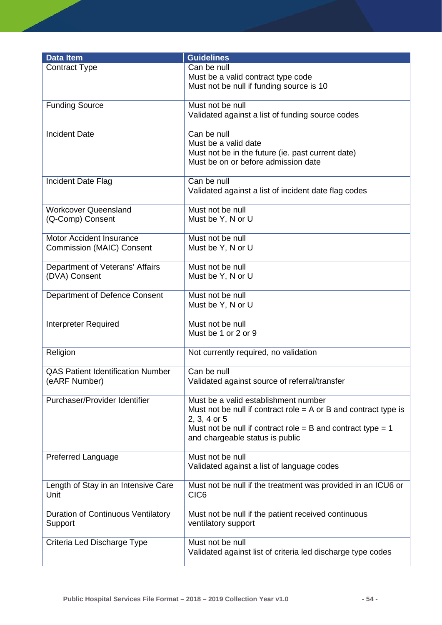| <b>Data Item</b>                                | <b>Guidelines</b>                                                               |
|-------------------------------------------------|---------------------------------------------------------------------------------|
| <b>Contract Type</b>                            | Can be null                                                                     |
|                                                 | Must be a valid contract type code                                              |
|                                                 | Must not be null if funding source is 10                                        |
| <b>Funding Source</b>                           | Must not be null                                                                |
|                                                 | Validated against a list of funding source codes                                |
| <b>Incident Date</b>                            | Can be null                                                                     |
|                                                 | Must be a valid date                                                            |
|                                                 | Must not be in the future (ie. past current date)                               |
|                                                 | Must be on or before admission date                                             |
| Incident Date Flag                              | Can be null                                                                     |
|                                                 | Validated against a list of incident date flag codes                            |
|                                                 | Must not be null                                                                |
| <b>Workcover Queensland</b><br>(Q-Comp) Consent | Must be Y, N or U                                                               |
|                                                 |                                                                                 |
| <b>Motor Accident Insurance</b>                 | Must not be null                                                                |
| <b>Commission (MAIC) Consent</b>                | Must be Y, N or U                                                               |
| Department of Veterans' Affairs                 | Must not be null                                                                |
| (DVA) Consent                                   | Must be Y, N or U                                                               |
| Department of Defence Consent                   | Must not be null                                                                |
|                                                 | Must be Y, N or U                                                               |
|                                                 |                                                                                 |
| <b>Interpreter Required</b>                     | Must not be null                                                                |
|                                                 | Must be 1 or 2 or 9                                                             |
| Religion                                        | Not currently required, no validation                                           |
| <b>QAS Patient Identification Number</b>        | Can be null                                                                     |
| (eARF Number)                                   | Validated against source of referral/transfer                                   |
|                                                 |                                                                                 |
| Purchaser/Provider Identifier                   | Must be a valid establishment number                                            |
|                                                 | Must not be null if contract role $=$ A or B and contract type is               |
|                                                 | 2, 3, 4 or 5<br>Must not be null if contract role = B and contract type = 1     |
|                                                 | and chargeable status is public                                                 |
|                                                 |                                                                                 |
| <b>Preferred Language</b>                       | Must not be null<br>Validated against a list of language codes                  |
|                                                 |                                                                                 |
| Length of Stay in an Intensive Care             | Must not be null if the treatment was provided in an ICU6 or                    |
| Unit                                            | CIC <sub>6</sub>                                                                |
| <b>Duration of Continuous Ventilatory</b>       | Must not be null if the patient received continuous                             |
| Support                                         | ventilatory support                                                             |
|                                                 |                                                                                 |
| Criteria Led Discharge Type                     | Must not be null<br>Validated against list of criteria led discharge type codes |
|                                                 |                                                                                 |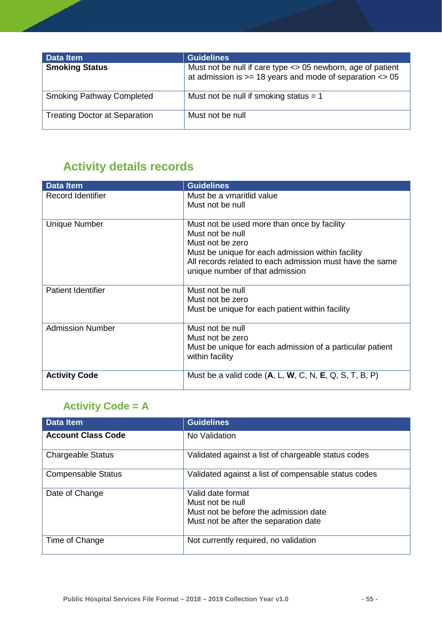| Data Item                            | <b>Guidelines</b>                                                                                                            |
|--------------------------------------|------------------------------------------------------------------------------------------------------------------------------|
| <b>Smoking Status</b>                | Must not be null if care type <> 05 newborn, age of patient<br>at admission is $>= 18$ years and mode of separation $\lt$ 05 |
| <b>Smoking Pathway Completed</b>     | Must not be null if smoking status $= 1$                                                                                     |
| <b>Treating Doctor at Separation</b> | Must not be null                                                                                                             |

# **Activity details records**

| <b>Data Item</b>          | <b>Guidelines</b>                                         |
|---------------------------|-----------------------------------------------------------|
| Record Identifier         | Must be a ymaritlid value                                 |
|                           | Must not be null                                          |
|                           |                                                           |
| <b>Unique Number</b>      | Must not be used more than once by facility               |
|                           | Must not be null                                          |
|                           | Must not be zero                                          |
|                           | Must be unique for each admission within facility         |
|                           | All records related to each admission must have the same  |
|                           | unique number of that admission                           |
|                           |                                                           |
| <b>Patient Identifier</b> | Must not be null                                          |
|                           | Must not be zero                                          |
|                           | Must be unique for each patient within facility           |
|                           |                                                           |
| <b>Admission Number</b>   | Must not be null                                          |
|                           | Must not be zero                                          |
|                           | Must be unique for each admission of a particular patient |
|                           | within facility                                           |
| <b>Activity Code</b>      | Must be a valid code $(A, L, W, C, N, E, Q, S, T, B, P)$  |
|                           |                                                           |

# **Activity Code = A**

| <b>Data Item</b>          | <b>Guidelines</b>                                    |
|---------------------------|------------------------------------------------------|
| <b>Account Class Code</b> | No Validation                                        |
| <b>Chargeable Status</b>  | Validated against a list of chargeable status codes  |
| <b>Compensable Status</b> | Validated against a list of compensable status codes |
| Date of Change            | Valid date format<br>Must not be null                |
|                           | Must not be before the admission date                |
|                           | Must not be after the separation date                |
| Time of Change            | Not currently required, no validation                |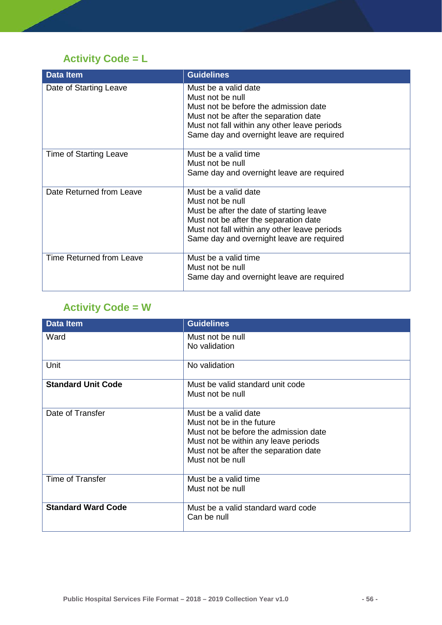# **Activity Code = L**

| <b>Data Item</b>                | <b>Guidelines</b>                                                                                                                                                                                                          |
|---------------------------------|----------------------------------------------------------------------------------------------------------------------------------------------------------------------------------------------------------------------------|
| Date of Starting Leave          | Must be a valid date<br>Must not be null<br>Must not be before the admission date<br>Must not be after the separation date<br>Must not fall within any other leave periods<br>Same day and overnight leave are required    |
| <b>Time of Starting Leave</b>   | Must be a valid time<br>Must not be null<br>Same day and overnight leave are required                                                                                                                                      |
| Date Returned from Leave        | Must be a valid date<br>Must not be null<br>Must be after the date of starting leave<br>Must not be after the separation date<br>Must not fall within any other leave periods<br>Same day and overnight leave are required |
| <b>Time Returned from Leave</b> | Must be a valid time<br>Must not be null<br>Same day and overnight leave are required                                                                                                                                      |

# **Activity Code = W**

| <b>Data Item</b>          | <b>Guidelines</b>                                                                                                                                                                               |
|---------------------------|-------------------------------------------------------------------------------------------------------------------------------------------------------------------------------------------------|
| Ward                      | Must not be null<br>No validation                                                                                                                                                               |
| Unit                      | No validation                                                                                                                                                                                   |
| <b>Standard Unit Code</b> | Must be valid standard unit code<br>Must not be null                                                                                                                                            |
| Date of Transfer          | Must be a valid date<br>Must not be in the future<br>Must not be before the admission date<br>Must not be within any leave periods<br>Must not be after the separation date<br>Must not be null |
| Time of Transfer          | Must be a valid time<br>Must not be null                                                                                                                                                        |
| <b>Standard Ward Code</b> | Must be a valid standard ward code<br>Can be null                                                                                                                                               |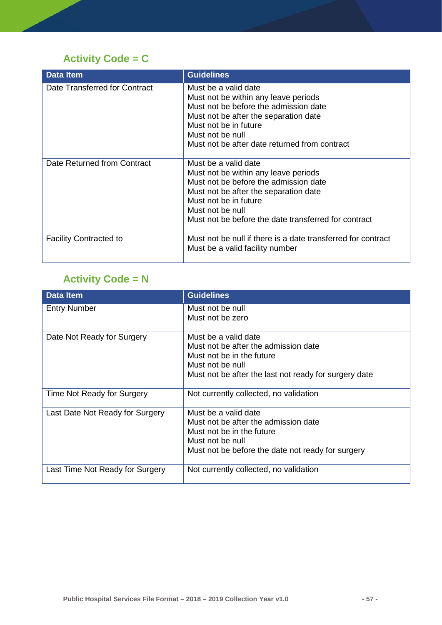# **Activity Code = C**

| <b>Data Item</b>              | <b>Guidelines</b>                                                                                                                                                                                                                                   |
|-------------------------------|-----------------------------------------------------------------------------------------------------------------------------------------------------------------------------------------------------------------------------------------------------|
| Date Transferred for Contract | Must be a valid date<br>Must not be within any leave periods<br>Must not be before the admission date<br>Must not be after the separation date<br>Must not be in future<br>Must not be null<br>Must not be after date returned from contract        |
| Date Returned from Contract   | Must be a valid date<br>Must not be within any leave periods<br>Must not be before the admission date<br>Must not be after the separation date<br>Must not be in future<br>Must not be null<br>Must not be before the date transferred for contract |
| <b>Facility Contracted to</b> | Must not be null if there is a date transferred for contract<br>Must be a valid facility number                                                                                                                                                     |

### **Activity Code = N**

| <b>Data Item</b>                | <b>Guidelines</b>                                     |
|---------------------------------|-------------------------------------------------------|
| <b>Entry Number</b>             | Must not be null                                      |
|                                 | Must not be zero                                      |
| Date Not Ready for Surgery      | Must be a valid date                                  |
|                                 | Must not be after the admission date                  |
|                                 | Must not be in the future                             |
|                                 | Must not be null                                      |
|                                 | Must not be after the last not ready for surgery date |
| Time Not Ready for Surgery      | Not currently collected, no validation                |
| Last Date Not Ready for Surgery | Must be a valid date                                  |
|                                 | Must not be after the admission date                  |
|                                 | Must not be in the future                             |
|                                 | Must not be null                                      |
|                                 | Must not be before the date not ready for surgery     |
| Last Time Not Ready for Surgery | Not currently collected, no validation                |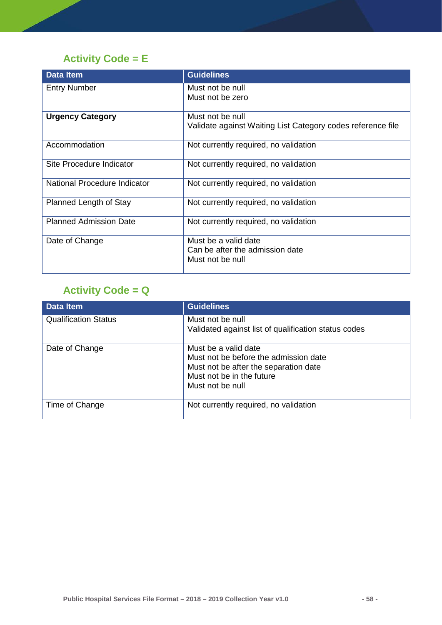### **Activity Code = E**

| <b>Data Item</b>              | <b>Guidelines</b>                                           |
|-------------------------------|-------------------------------------------------------------|
| <b>Entry Number</b>           | Must not be null<br>Must not be zero                        |
|                               |                                                             |
| <b>Urgency Category</b>       | Must not be null                                            |
|                               | Validate against Waiting List Category codes reference file |
| Accommodation                 | Not currently required, no validation                       |
| Site Procedure Indicator      | Not currently required, no validation                       |
| National Procedure Indicator  | Not currently required, no validation                       |
| Planned Length of Stay        | Not currently required, no validation                       |
| <b>Planned Admission Date</b> | Not currently required, no validation                       |
| Date of Change                | Must be a valid date                                        |
|                               | Can be after the admission date<br>Must not be null         |
|                               |                                                             |

### **Activity Code = Q**

| <b>Data Item</b>            | <b>Guidelines</b>                                                                                                                                       |
|-----------------------------|---------------------------------------------------------------------------------------------------------------------------------------------------------|
| <b>Qualification Status</b> | Must not be null<br>Validated against list of qualification status codes                                                                                |
| Date of Change              | Must be a valid date<br>Must not be before the admission date<br>Must not be after the separation date<br>Must not be in the future<br>Must not be null |
| Time of Change              | Not currently required, no validation                                                                                                                   |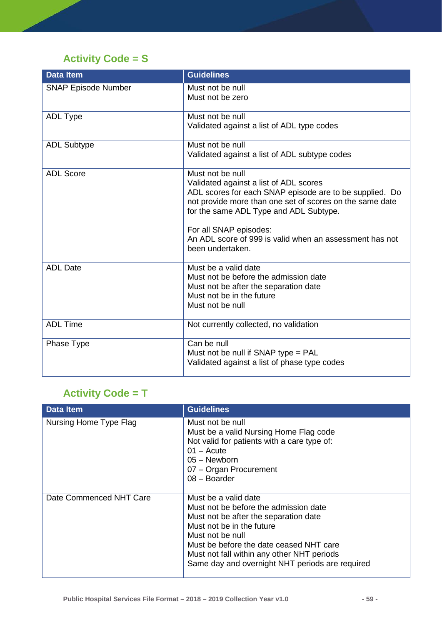# **Activity Code = S**

| <b>Data Item</b>           | <b>Guidelines</b>                                                                                                                                                                                                                                                                                                                    |
|----------------------------|--------------------------------------------------------------------------------------------------------------------------------------------------------------------------------------------------------------------------------------------------------------------------------------------------------------------------------------|
| <b>SNAP Episode Number</b> | Must not be null<br>Must not be zero                                                                                                                                                                                                                                                                                                 |
| <b>ADL Type</b>            | Must not be null<br>Validated against a list of ADL type codes                                                                                                                                                                                                                                                                       |
| <b>ADL Subtype</b>         | Must not be null<br>Validated against a list of ADL subtype codes                                                                                                                                                                                                                                                                    |
| <b>ADL Score</b>           | Must not be null<br>Validated against a list of ADL scores<br>ADL scores for each SNAP episode are to be supplied. Do<br>not provide more than one set of scores on the same date<br>for the same ADL Type and ADL Subtype.<br>For all SNAP episodes:<br>An ADL score of 999 is valid when an assessment has not<br>been undertaken. |
| <b>ADL Date</b>            | Must be a valid date<br>Must not be before the admission date<br>Must not be after the separation date<br>Must not be in the future<br>Must not be null                                                                                                                                                                              |
| <b>ADL Time</b>            | Not currently collected, no validation                                                                                                                                                                                                                                                                                               |
| Phase Type                 | Can be null<br>Must not be null if SNAP type = PAL<br>Validated against a list of phase type codes                                                                                                                                                                                                                                   |

# **Activity Code = T**

| <b>Data Item</b>        | <b>Guidelines</b>                                                                                                                                                                                                                                                                                   |
|-------------------------|-----------------------------------------------------------------------------------------------------------------------------------------------------------------------------------------------------------------------------------------------------------------------------------------------------|
| Nursing Home Type Flag  | Must not be null<br>Must be a valid Nursing Home Flag code<br>Not valid for patients with a care type of:<br>$01 -$ Acute<br>05 - Newborn<br>07 - Organ Procurement<br>08 - Boarder                                                                                                                 |
| Date Commenced NHT Care | Must be a valid date<br>Must not be before the admission date<br>Must not be after the separation date<br>Must not be in the future<br>Must not be null<br>Must be before the date ceased NHT care<br>Must not fall within any other NHT periods<br>Same day and overnight NHT periods are required |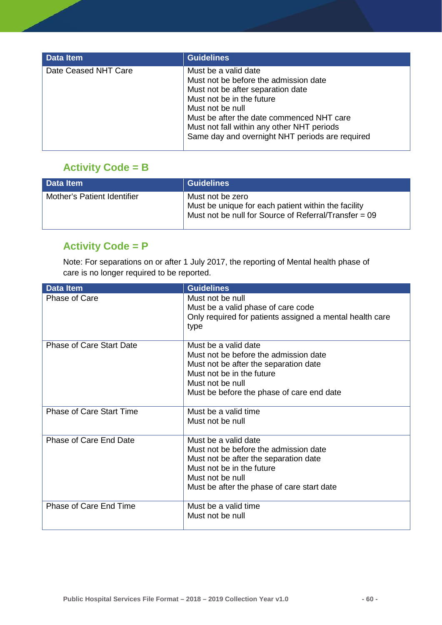| <b>Data Item</b>     | <b>Guidelines</b>                                                                                                                                                                                                                                                                                 |
|----------------------|---------------------------------------------------------------------------------------------------------------------------------------------------------------------------------------------------------------------------------------------------------------------------------------------------|
| Date Ceased NHT Care | Must be a valid date<br>Must not be before the admission date<br>Must not be after separation date<br>Must not be in the future<br>Must not be null<br>Must be after the date commenced NHT care<br>Must not fall within any other NHT periods<br>Same day and overnight NHT periods are required |

#### **Activity Code = B**

| Data Item                   | Guidelines                                                                                                                       |
|-----------------------------|----------------------------------------------------------------------------------------------------------------------------------|
| Mother's Patient Identifier | Must not be zero<br>Must be unique for each patient within the facility<br>Must not be null for Source of Referral/Transfer = 09 |

#### **Activity Code = P**

Note: For separations on or after 1 July 2017, the reporting of Mental health phase of care is no longer required to be reported.

| <b>Data Item</b>                | <b>Guidelines</b>                                                |
|---------------------------------|------------------------------------------------------------------|
| Phase of Care                   | Must not be null<br>Must be a valid phase of care code           |
|                                 | Only required for patients assigned a mental health care<br>type |
| <b>Phase of Care Start Date</b> | Must be a valid date<br>Must not be before the admission date    |
|                                 | Must not be after the separation date                            |
|                                 | Must not be in the future                                        |
|                                 | Must not be null                                                 |
|                                 | Must be before the phase of care end date                        |
| <b>Phase of Care Start Time</b> | Must be a valid time                                             |
|                                 | Must not be null                                                 |
| Phase of Care End Date          | Must be a valid date                                             |
|                                 | Must not be before the admission date                            |
|                                 | Must not be after the separation date                            |
|                                 | Must not be in the future<br>Must not be null                    |
|                                 | Must be after the phase of care start date                       |
|                                 |                                                                  |
| Phase of Care End Time          | Must be a valid time                                             |
|                                 | Must not be null                                                 |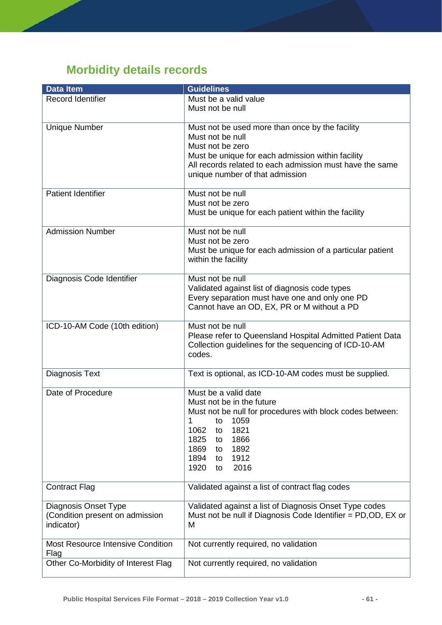# **Morbidity details records**

| <b>Data Item</b>                                                      | <b>Guidelines</b>                                                                                                                                                                                                                               |
|-----------------------------------------------------------------------|-------------------------------------------------------------------------------------------------------------------------------------------------------------------------------------------------------------------------------------------------|
| Record Identifier                                                     | Must be a valid value<br>Must not be null                                                                                                                                                                                                       |
| <b>Unique Number</b>                                                  | Must not be used more than once by the facility<br>Must not be null<br>Must not be zero<br>Must be unique for each admission within facility<br>All records related to each admission must have the same<br>unique number of that admission     |
| <b>Patient Identifier</b>                                             | Must not be null<br>Must not be zero<br>Must be unique for each patient within the facility                                                                                                                                                     |
| <b>Admission Number</b>                                               | Must not be null<br>Must not be zero<br>Must be unique for each admission of a particular patient<br>within the facility                                                                                                                        |
| Diagnosis Code Identifier                                             | Must not be null<br>Validated against list of diagnosis code types<br>Every separation must have one and only one PD<br>Cannot have an OD, EX, PR or M without a PD                                                                             |
| ICD-10-AM Code (10th edition)                                         | Must not be null<br>Please refer to Queensland Hospital Admitted Patient Data<br>Collection guidelines for the sequencing of ICD-10-AM<br>codes.                                                                                                |
| Diagnosis Text                                                        | Text is optional, as ICD-10-AM codes must be supplied.                                                                                                                                                                                          |
| Date of Procedure                                                     | Must be a valid date<br>Must not be in the future<br>Must not be null for procedures with block codes between:<br>1059<br>1<br>to<br>1062<br>1821<br>to<br>1825<br>1866<br>to<br>1869<br>1892<br>to<br>1894<br>1912<br>to<br>2016<br>1920<br>to |
| <b>Contract Flag</b>                                                  | Validated against a list of contract flag codes                                                                                                                                                                                                 |
| Diagnosis Onset Type<br>(Condition present on admission<br>indicator) | Validated against a list of Diagnosis Onset Type codes<br>Must not be null if Diagnosis Code Identifier = $PD, OD, EX$ or<br>M                                                                                                                  |
| <b>Most Resource Intensive Condition</b><br>Flag                      | Not currently required, no validation                                                                                                                                                                                                           |
| Other Co-Morbidity of Interest Flag                                   | Not currently required, no validation                                                                                                                                                                                                           |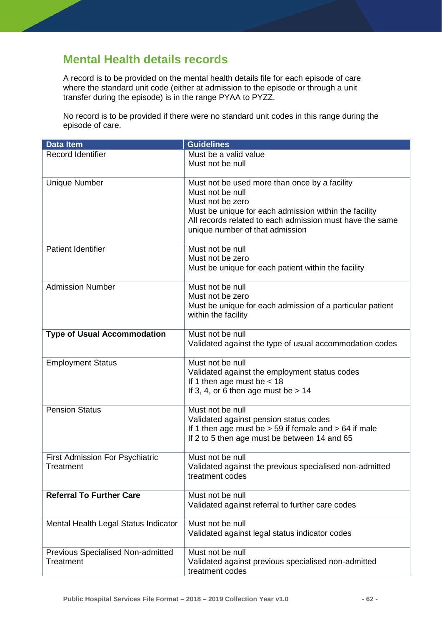# **Mental Health details records**

A record is to be provided on the mental health details file for each episode of care where the standard unit code (either at admission to the episode or through a unit transfer during the episode) is in the range PYAA to PYZZ.

No record is to be provided if there were no standard unit codes in this range during the episode of care.

| <b>Data Item</b>                               | <b>Guidelines</b>                                                                                                                                                                                                                             |
|------------------------------------------------|-----------------------------------------------------------------------------------------------------------------------------------------------------------------------------------------------------------------------------------------------|
| <b>Record Identifier</b>                       | Must be a valid value<br>Must not be null                                                                                                                                                                                                     |
| <b>Unique Number</b>                           | Must not be used more than once by a facility<br>Must not be null<br>Must not be zero<br>Must be unique for each admission within the facility<br>All records related to each admission must have the same<br>unique number of that admission |
| <b>Patient Identifier</b>                      | Must not be null<br>Must not be zero<br>Must be unique for each patient within the facility                                                                                                                                                   |
| <b>Admission Number</b>                        | Must not be null<br>Must not be zero<br>Must be unique for each admission of a particular patient<br>within the facility                                                                                                                      |
| <b>Type of Usual Accommodation</b>             | Must not be null<br>Validated against the type of usual accommodation codes                                                                                                                                                                   |
| <b>Employment Status</b>                       | Must not be null<br>Validated against the employment status codes<br>If 1 then age must be $<$ 18<br>If 3, 4, or 6 then age must be $> 14$                                                                                                    |
| <b>Pension Status</b>                          | Must not be null<br>Validated against pension status codes<br>If 1 then age must be $> 59$ if female and $> 64$ if male<br>If 2 to 5 then age must be between 14 and 65                                                                       |
| First Admission For Psychiatric<br>Treatment   | Must not be null<br>Validated against the previous specialised non-admitted<br>treatment codes                                                                                                                                                |
| <b>Referral To Further Care</b>                | Must not be null<br>Validated against referral to further care codes                                                                                                                                                                          |
| Mental Health Legal Status Indicator           | Must not be null<br>Validated against legal status indicator codes                                                                                                                                                                            |
| Previous Specialised Non-admitted<br>Treatment | Must not be null<br>Validated against previous specialised non-admitted<br>treatment codes                                                                                                                                                    |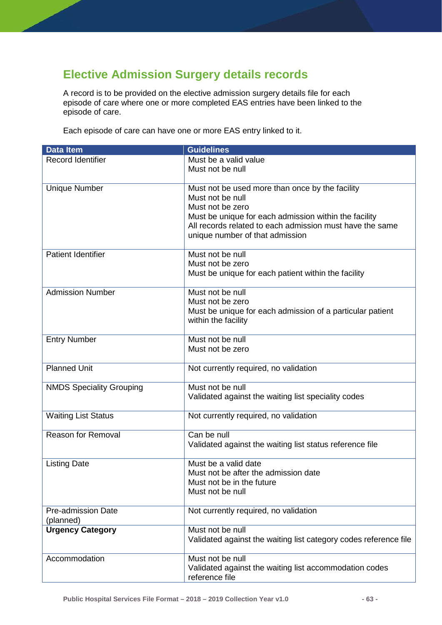# **Elective Admission Surgery details records**

A record is to be provided on the elective admission surgery details file for each episode of care where one or more completed EAS entries have been linked to the episode of care.

Each episode of care can have one or more EAS entry linked to it.

| <b>Data Item</b>                | <b>Guidelines</b>                                                |
|---------------------------------|------------------------------------------------------------------|
| Record Identifier               | Must be a valid value                                            |
|                                 | Must not be null                                                 |
|                                 |                                                                  |
| <b>Unique Number</b>            | Must not be used more than once by the facility                  |
|                                 | Must not be null                                                 |
|                                 | Must not be zero                                                 |
|                                 | Must be unique for each admission within the facility            |
|                                 | All records related to each admission must have the same         |
|                                 | unique number of that admission                                  |
| <b>Patient Identifier</b>       | Must not be null                                                 |
|                                 | Must not be zero                                                 |
|                                 | Must be unique for each patient within the facility              |
|                                 |                                                                  |
| <b>Admission Number</b>         | Must not be null                                                 |
|                                 | Must not be zero                                                 |
|                                 | Must be unique for each admission of a particular patient        |
|                                 | within the facility                                              |
|                                 |                                                                  |
| <b>Entry Number</b>             | Must not be null<br>Must not be zero                             |
|                                 |                                                                  |
| <b>Planned Unit</b>             | Not currently required, no validation                            |
|                                 |                                                                  |
| <b>NMDS Speciality Grouping</b> | Must not be null                                                 |
|                                 | Validated against the waiting list speciality codes              |
| <b>Waiting List Status</b>      | Not currently required, no validation                            |
|                                 |                                                                  |
| Reason for Removal              | Can be null                                                      |
|                                 | Validated against the waiting list status reference file         |
|                                 |                                                                  |
| <b>Listing Date</b>             | Must be a valid date                                             |
|                                 | Must not be after the admission date                             |
|                                 | Must not be in the future                                        |
|                                 | Must not be null                                                 |
| <b>Pre-admission Date</b>       | Not currently required, no validation                            |
| (planned)                       |                                                                  |
| <b>Urgency Category</b>         | Must not be null                                                 |
|                                 | Validated against the waiting list category codes reference file |
| Accommodation                   | Must not be null                                                 |
|                                 | Validated against the waiting list accommodation codes           |
|                                 | reference file                                                   |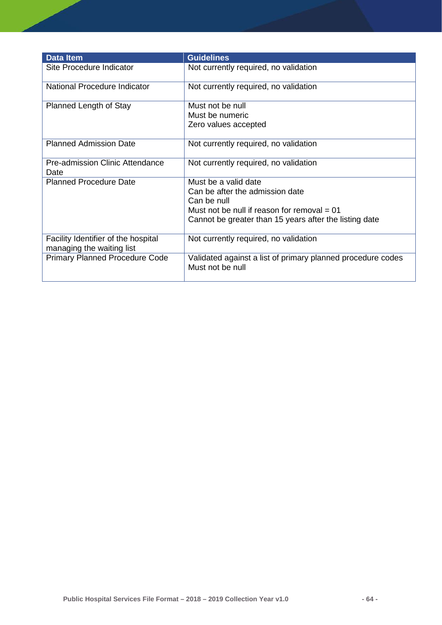| <b>Data Item</b>                                                 | <b>Guidelines</b>                                                                                                                                                                 |
|------------------------------------------------------------------|-----------------------------------------------------------------------------------------------------------------------------------------------------------------------------------|
| Site Procedure Indicator                                         | Not currently required, no validation                                                                                                                                             |
| National Procedure Indicator                                     | Not currently required, no validation                                                                                                                                             |
| Planned Length of Stay                                           | Must not be null<br>Must be numeric<br>Zero values accepted                                                                                                                       |
| <b>Planned Admission Date</b>                                    | Not currently required, no validation                                                                                                                                             |
| <b>Pre-admission Clinic Attendance</b><br>Date                   | Not currently required, no validation                                                                                                                                             |
| <b>Planned Procedure Date</b>                                    | Must be a valid date<br>Can be after the admission date<br>Can be null<br>Must not be null if reason for removal $= 01$<br>Cannot be greater than 15 years after the listing date |
| Facility Identifier of the hospital<br>managing the waiting list | Not currently required, no validation                                                                                                                                             |
| <b>Primary Planned Procedure Code</b>                            | Validated against a list of primary planned procedure codes<br>Must not be null                                                                                                   |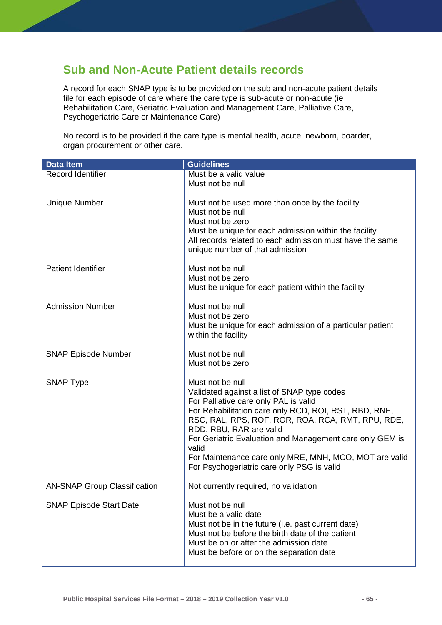#### **Sub and Non-Acute Patient details records**

A record for each SNAP type is to be provided on the sub and non-acute patient details file for each episode of care where the care type is sub-acute or non-acute (ie Rehabilitation Care, Geriatric Evaluation and Management Care, Palliative Care, Psychogeriatric Care or Maintenance Care)

No record is to be provided if the care type is mental health, acute, newborn, boarder, organ procurement or other care.

| <b>Data Item</b>                    | <b>Guidelines</b>                                                                                                                                                                                                                                                                                                                                                                                                              |
|-------------------------------------|--------------------------------------------------------------------------------------------------------------------------------------------------------------------------------------------------------------------------------------------------------------------------------------------------------------------------------------------------------------------------------------------------------------------------------|
| <b>Record Identifier</b>            | Must be a valid value<br>Must not be null                                                                                                                                                                                                                                                                                                                                                                                      |
| <b>Unique Number</b>                | Must not be used more than once by the facility<br>Must not be null<br>Must not be zero<br>Must be unique for each admission within the facility<br>All records related to each admission must have the same<br>unique number of that admission                                                                                                                                                                                |
| <b>Patient Identifier</b>           | Must not be null<br>Must not be zero<br>Must be unique for each patient within the facility                                                                                                                                                                                                                                                                                                                                    |
| <b>Admission Number</b>             | Must not be null<br>Must not be zero<br>Must be unique for each admission of a particular patient<br>within the facility                                                                                                                                                                                                                                                                                                       |
| <b>SNAP Episode Number</b>          | Must not be null<br>Must not be zero                                                                                                                                                                                                                                                                                                                                                                                           |
| <b>SNAP Type</b>                    | Must not be null<br>Validated against a list of SNAP type codes<br>For Palliative care only PAL is valid<br>For Rehabilitation care only RCD, ROI, RST, RBD, RNE,<br>RSC, RAL, RPS, ROF, ROR, ROA, RCA, RMT, RPU, RDE,<br>RDD, RBU, RAR are valid<br>For Geriatric Evaluation and Management care only GEM is<br>valid<br>For Maintenance care only MRE, MNH, MCO, MOT are valid<br>For Psychogeriatric care only PSG is valid |
| <b>AN-SNAP Group Classification</b> | Not currently required, no validation                                                                                                                                                                                                                                                                                                                                                                                          |
| <b>SNAP Episode Start Date</b>      | Must not be null<br>Must be a valid date<br>Must not be in the future (i.e. past current date)<br>Must not be before the birth date of the patient<br>Must be on or after the admission date<br>Must be before or on the separation date                                                                                                                                                                                       |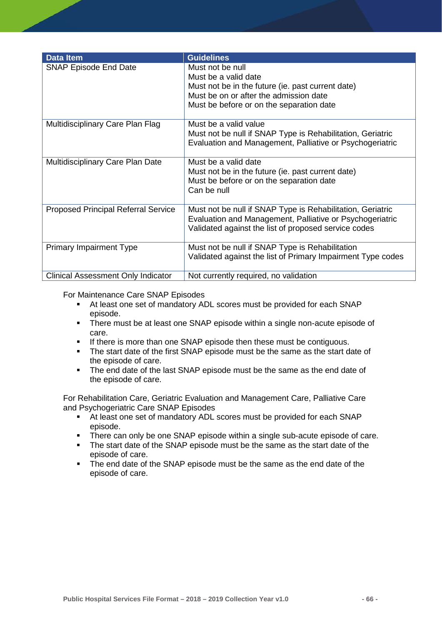| <b>Data Item</b>                           | <b>Guidelines</b>                                                                                                                                                                   |
|--------------------------------------------|-------------------------------------------------------------------------------------------------------------------------------------------------------------------------------------|
| <b>SNAP Episode End Date</b>               | Must not be null<br>Must be a valid date<br>Must not be in the future (ie. past current date)<br>Must be on or after the admission date<br>Must be before or on the separation date |
| Multidisciplinary Care Plan Flag           | Must be a valid value<br>Must not be null if SNAP Type is Rehabilitation, Geriatric<br>Evaluation and Management, Palliative or Psychogeriatric                                     |
| Multidisciplinary Care Plan Date           | Must be a valid date<br>Must not be in the future (ie. past current date)<br>Must be before or on the separation date<br>Can be null                                                |
| <b>Proposed Principal Referral Service</b> | Must not be null if SNAP Type is Rehabilitation, Geriatric<br>Evaluation and Management, Palliative or Psychogeriatric<br>Validated against the list of proposed service codes      |
| <b>Primary Impairment Type</b>             | Must not be null if SNAP Type is Rehabilitation<br>Validated against the list of Primary Impairment Type codes                                                                      |
| <b>Clinical Assessment Only Indicator</b>  | Not currently required, no validation                                                                                                                                               |

For Maintenance Care SNAP Episodes

- At least one set of mandatory ADL scores must be provided for each SNAP episode.
- There must be at least one SNAP episode within a single non-acute episode of care.
- If there is more than one SNAP episode then these must be contiguous.
- The start date of the first SNAP episode must be the same as the start date of the episode of care.
- The end date of the last SNAP episode must be the same as the end date of the episode of care.

For Rehabilitation Care, Geriatric Evaluation and Management Care, Palliative Care and Psychogeriatric Care SNAP Episodes

- At least one set of mandatory ADL scores must be provided for each SNAP episode.
- There can only be one SNAP episode within a single sub-acute episode of care.
- The start date of the SNAP episode must be the same as the start date of the episode of care.
- The end date of the SNAP episode must be the same as the end date of the episode of care.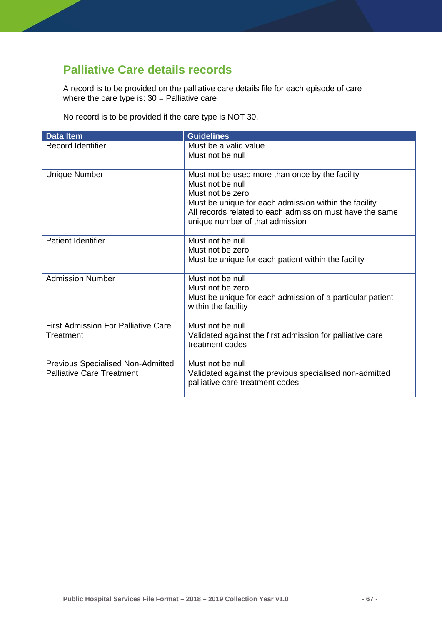# **Palliative Care details records**

A record is to be provided on the palliative care details file for each episode of care where the care type is: 30 = Palliative care

No record is to be provided if the care type is NOT 30.

| <b>Data Item</b>                           | <b>Guidelines</b>                                                                                                 |
|--------------------------------------------|-------------------------------------------------------------------------------------------------------------------|
| <b>Record Identifier</b>                   | Must be a valid value<br>Must not be null                                                                         |
|                                            |                                                                                                                   |
| <b>Unique Number</b>                       | Must not be used more than once by the facility<br>Must not be null                                               |
|                                            | Must not be zero                                                                                                  |
|                                            | Must be unique for each admission within the facility<br>All records related to each admission must have the same |
|                                            | unique number of that admission                                                                                   |
| <b>Patient Identifier</b>                  | Must not be null                                                                                                  |
|                                            | Must not be zero                                                                                                  |
|                                            | Must be unique for each patient within the facility                                                               |
| <b>Admission Number</b>                    | Must not be null                                                                                                  |
|                                            | Must not be zero                                                                                                  |
|                                            | Must be unique for each admission of a particular patient<br>within the facility                                  |
| <b>First Admission For Palliative Care</b> | Must not be null                                                                                                  |
| Treatment                                  | Validated against the first admission for palliative care<br>treatment codes                                      |
| <b>Previous Specialised Non-Admitted</b>   | Must not be null                                                                                                  |
| <b>Palliative Care Treatment</b>           | Validated against the previous specialised non-admitted<br>palliative care treatment codes                        |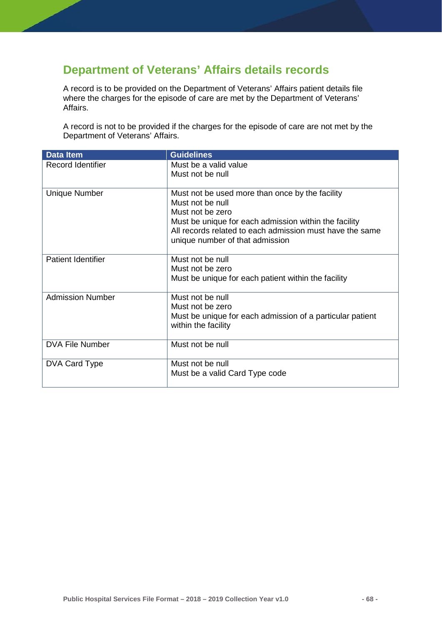# **Department of Veterans' Affairs details records**

A record is to be provided on the Department of Veterans' Affairs patient details file where the charges for the episode of care are met by the Department of Veterans' Affairs.

A record is not to be provided if the charges for the episode of care are not met by the Department of Veterans' Affairs.

| <b>Data Item</b>          | <b>Guidelines</b>                                                                |
|---------------------------|----------------------------------------------------------------------------------|
| <b>Record Identifier</b>  | Must be a valid value                                                            |
|                           | Must not be null                                                                 |
|                           |                                                                                  |
| <b>Unique Number</b>      | Must not be used more than once by the facility                                  |
|                           | Must not be null<br>Must not be zero                                             |
|                           | Must be unique for each admission within the facility                            |
|                           | All records related to each admission must have the same                         |
|                           | unique number of that admission                                                  |
|                           |                                                                                  |
| <b>Patient Identifier</b> | Must not be null                                                                 |
|                           | Must not be zero                                                                 |
|                           | Must be unique for each patient within the facility                              |
|                           |                                                                                  |
| <b>Admission Number</b>   | Must not be null                                                                 |
|                           | Must not be zero                                                                 |
|                           | Must be unique for each admission of a particular patient<br>within the facility |
|                           |                                                                                  |
| <b>DVA File Number</b>    | Must not be null                                                                 |
|                           |                                                                                  |
| DVA Card Type             | Must not be null                                                                 |
|                           | Must be a valid Card Type code                                                   |
|                           |                                                                                  |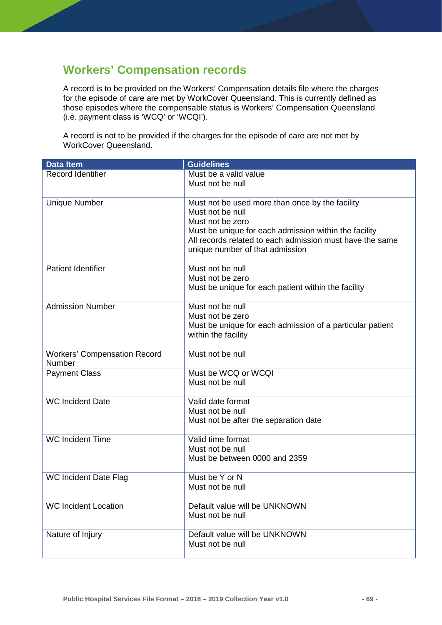#### **Workers' Compensation records**

A record is to be provided on the Workers' Compensation details file where the charges for the episode of care are met by WorkCover Queensland. This is currently defined as those episodes where the compensable status is Workers' Compensation Queensland (i.e. payment class is 'WCQ' or 'WCQI').

A record is not to be provided if the charges for the episode of care are not met by WorkCover Queensland.

| <b>Data Item</b>                    | <b>Guidelines</b>                                                         |
|-------------------------------------|---------------------------------------------------------------------------|
| Record Identifier                   | Must be a valid value                                                     |
|                                     | Must not be null                                                          |
|                                     |                                                                           |
| <b>Unique Number</b>                | Must not be used more than once by the facility                           |
|                                     | Must not be null                                                          |
|                                     | Must not be zero<br>Must be unique for each admission within the facility |
|                                     | All records related to each admission must have the same                  |
|                                     | unique number of that admission                                           |
|                                     |                                                                           |
| <b>Patient Identifier</b>           | Must not be null                                                          |
|                                     | Must not be zero                                                          |
|                                     | Must be unique for each patient within the facility                       |
| <b>Admission Number</b>             | Must not be null                                                          |
|                                     | Must not be zero                                                          |
|                                     | Must be unique for each admission of a particular patient                 |
|                                     | within the facility                                                       |
|                                     |                                                                           |
| <b>Workers' Compensation Record</b> | Must not be null                                                          |
| Number<br><b>Payment Class</b>      | Must be WCQ or WCQI                                                       |
|                                     | Must not be null                                                          |
|                                     |                                                                           |
| <b>WC Incident Date</b>             | Valid date format                                                         |
|                                     | Must not be null                                                          |
|                                     | Must not be after the separation date                                     |
| <b>WC Incident Time</b>             | Valid time format                                                         |
|                                     | Must not be null                                                          |
|                                     | Must be between 0000 and 2359                                             |
| <b>WC Incident Date Flag</b>        | Must be Y or N                                                            |
|                                     | Must not be null                                                          |
|                                     |                                                                           |
| <b>WC Incident Location</b>         | Default value will be UNKNOWN                                             |
|                                     | Must not be null                                                          |
| Nature of Injury                    | Default value will be UNKNOWN                                             |
|                                     | Must not be null                                                          |
|                                     |                                                                           |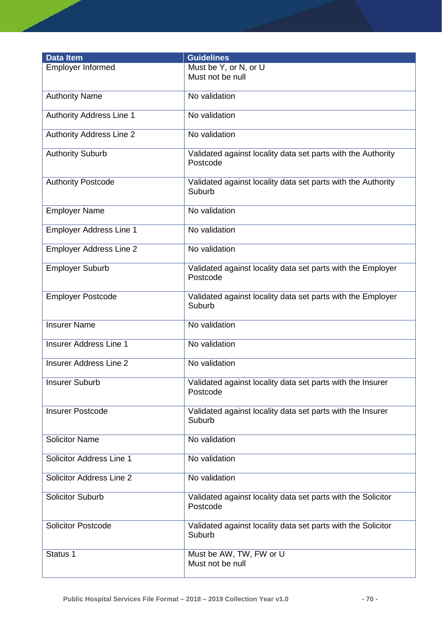| <b>Data Item</b>                | <b>Guidelines</b>                                                        |
|---------------------------------|--------------------------------------------------------------------------|
| <b>Employer Informed</b>        | Must be Y, or N, or U<br>Must not be null                                |
| <b>Authority Name</b>           | No validation                                                            |
| <b>Authority Address Line 1</b> | No validation                                                            |
| <b>Authority Address Line 2</b> | No validation                                                            |
| <b>Authority Suburb</b>         | Validated against locality data set parts with the Authority<br>Postcode |
| <b>Authority Postcode</b>       | Validated against locality data set parts with the Authority<br>Suburb   |
| <b>Employer Name</b>            | No validation                                                            |
| <b>Employer Address Line 1</b>  | No validation                                                            |
| Employer Address Line 2         | No validation                                                            |
| <b>Employer Suburb</b>          | Validated against locality data set parts with the Employer<br>Postcode  |
| <b>Employer Postcode</b>        | Validated against locality data set parts with the Employer<br>Suburb    |
| <b>Insurer Name</b>             | No validation                                                            |
| <b>Insurer Address Line 1</b>   | No validation                                                            |
| <b>Insurer Address Line 2</b>   | No validation                                                            |
| <b>Insurer Suburb</b>           | Validated against locality data set parts with the Insurer<br>Postcode   |
| <b>Insurer Postcode</b>         | Validated against locality data set parts with the Insurer<br>Suburb     |
| <b>Solicitor Name</b>           | No validation                                                            |
| Solicitor Address Line 1        | No validation                                                            |
| Solicitor Address Line 2        | No validation                                                            |
| <b>Solicitor Suburb</b>         | Validated against locality data set parts with the Solicitor<br>Postcode |
| <b>Solicitor Postcode</b>       | Validated against locality data set parts with the Solicitor<br>Suburb   |
| Status 1                        | Must be AW, TW, FW or U<br>Must not be null                              |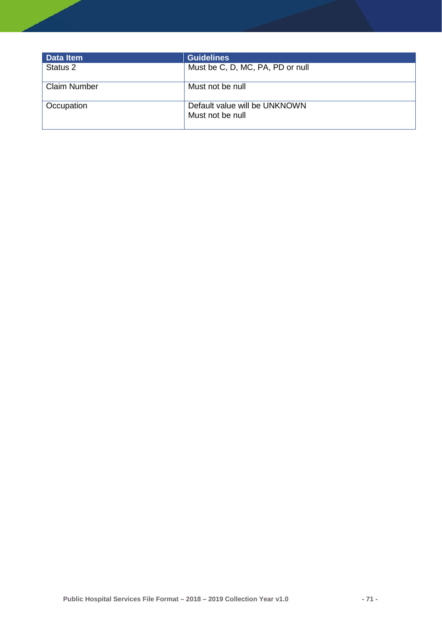| Data Item           | <b>Guidelines</b>                                 |
|---------------------|---------------------------------------------------|
| Status 2            | Must be C, D, MC, PA, PD or null                  |
| <b>Claim Number</b> | Must not be null                                  |
| Occupation          | Default value will be UNKNOWN<br>Must not be null |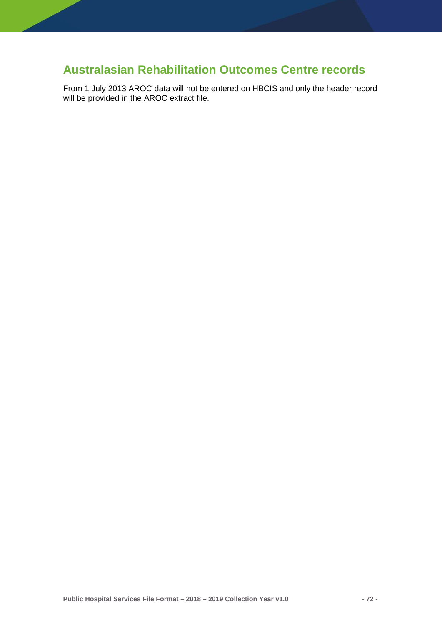# **Australasian Rehabilitation Outcomes Centre records**

From 1 July 2013 AROC data will not be entered on HBCIS and only the header record will be provided in the AROC extract file.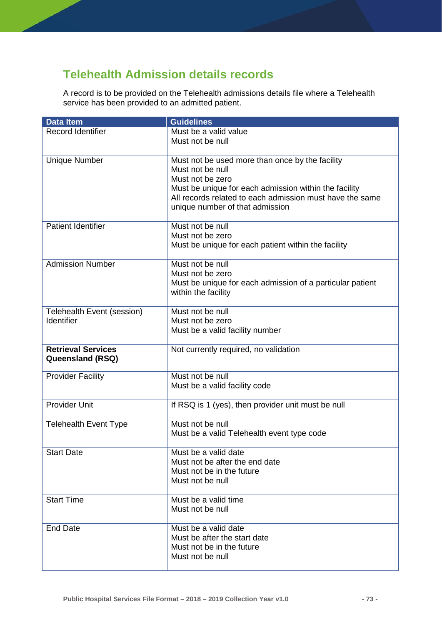# **Telehealth Admission details records**

A record is to be provided on the Telehealth admissions details file where a Telehealth service has been provided to an admitted patient.

| <b>Data Item</b>             | <b>Guidelines</b>                                         |
|------------------------------|-----------------------------------------------------------|
| Record Identifier            | Must be a valid value                                     |
|                              | Must not be null                                          |
|                              |                                                           |
| <b>Unique Number</b>         | Must not be used more than once by the facility           |
|                              | Must not be null                                          |
|                              | Must not be zero                                          |
|                              | Must be unique for each admission within the facility     |
|                              | All records related to each admission must have the same  |
|                              | unique number of that admission                           |
|                              |                                                           |
| <b>Patient Identifier</b>    | Must not be null                                          |
|                              | Must not be zero                                          |
|                              | Must be unique for each patient within the facility       |
|                              |                                                           |
| <b>Admission Number</b>      | Must not be null                                          |
|                              | Must not be zero                                          |
|                              | Must be unique for each admission of a particular patient |
|                              | within the facility                                       |
|                              |                                                           |
| Telehealth Event (session)   | Must not be null                                          |
| Identifier                   | Must not be zero                                          |
|                              | Must be a valid facility number                           |
|                              |                                                           |
| <b>Retrieval Services</b>    | Not currently required, no validation                     |
| Queensland (RSQ)             |                                                           |
|                              | Must not be null                                          |
| <b>Provider Facility</b>     |                                                           |
|                              | Must be a valid facility code                             |
| Provider Unit                | If RSQ is 1 (yes), then provider unit must be null        |
|                              |                                                           |
| <b>Telehealth Event Type</b> | Must not be null                                          |
|                              | Must be a valid Telehealth event type code                |
|                              |                                                           |
| <b>Start Date</b>            | Must be a valid date                                      |
|                              | Must not be after the end date                            |
|                              | Must not be in the future                                 |
|                              | Must not be null                                          |
|                              |                                                           |
| <b>Start Time</b>            | Must be a valid time                                      |
|                              | Must not be null                                          |
|                              |                                                           |
| <b>End Date</b>              | Must be a valid date                                      |
|                              | Must be after the start date                              |
|                              | Must not be in the future                                 |
|                              | Must not be null                                          |
|                              |                                                           |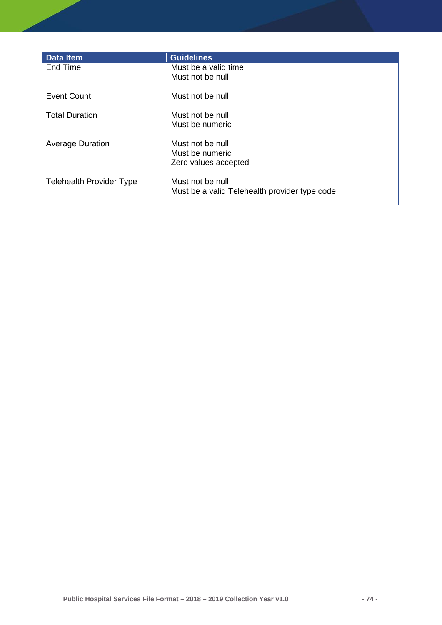| <b>Data Item</b>                | <b>Guidelines</b>                             |
|---------------------------------|-----------------------------------------------|
| End Time                        | Must be a valid time                          |
|                                 | Must not be null                              |
| <b>Event Count</b>              | Must not be null                              |
| <b>Total Duration</b>           | Must not be null                              |
|                                 | Must be numeric                               |
| <b>Average Duration</b>         | Must not be null                              |
|                                 | Must be numeric                               |
|                                 | Zero values accepted                          |
| <b>Telehealth Provider Type</b> | Must not be null                              |
|                                 | Must be a valid Telehealth provider type code |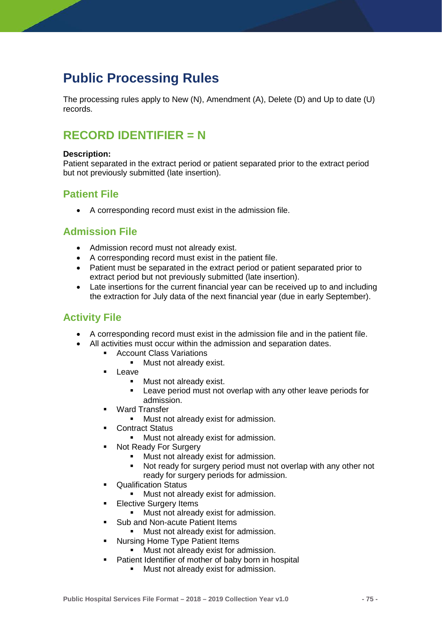# **Public Processing Rules**

The processing rules apply to New (N), Amendment (A), Delete (D) and Up to date (U) records.

# **RECORD IDENTIFIER = N**

#### **Description:**

Patient separated in the extract period or patient separated prior to the extract period but not previously submitted (late insertion).

## **Patient File**

• A corresponding record must exist in the admission file.

## **Admission File**

- Admission record must not already exist.
- A corresponding record must exist in the patient file.
- Patient must be separated in the extract period or patient separated prior to extract period but not previously submitted (late insertion).
- Late insertions for the current financial year can be received up to and including the extraction for July data of the next financial year (due in early September).

# **Activity File**

- A corresponding record must exist in the admission file and in the patient file.
- All activities must occur within the admission and separation dates.
	- **Account Class Variations** 
		- **Nust not already exist.**
	- **Leave** 
		- **Must not already exist.**
		- **EXECT** Leave period must not overlap with any other leave periods for admission.
	- Ward Transfer
		- **Must not already exist for admission.**
	- **Contract Status** 
		- Must not already exist for admission.
	- Not Ready For Surgery
		- Must not already exist for admission.
		- Not ready for surgery period must not overlap with any other not ready for surgery periods for admission.
	- **•** Qualification Status
		- **Must not already exist for admission.**
	- **Elective Surgery Items** 
		- Must not already exist for admission.
	- **Sub and Non-acute Patient Items** 
		- **Must not already exist for admission.**
	- Nursing Home Type Patient Items
		- **Must not already exist for admission.**
	- **Patient Identifier of mother of baby born in hospital** 
		- **Must not already exist for admission.**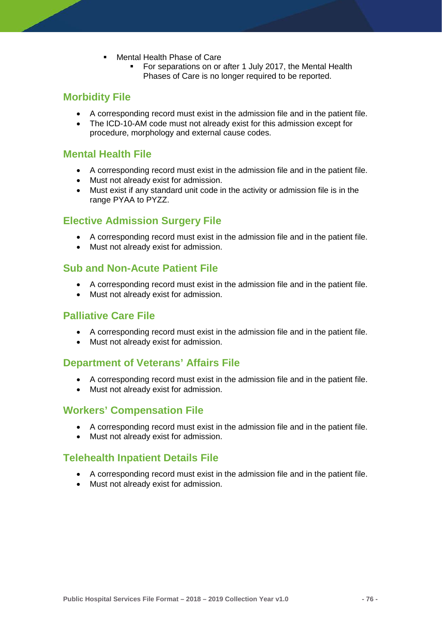- Mental Health Phase of Care
	- **For separations on or after 1 July 2017, the Mental Health** Phases of Care is no longer required to be reported.

## **Morbidity File**

- A corresponding record must exist in the admission file and in the patient file.
- The ICD-10-AM code must not already exist for this admission except for procedure, morphology and external cause codes.

### **Mental Health File**

- A corresponding record must exist in the admission file and in the patient file.
- Must not already exist for admission.
- Must exist if any standard unit code in the activity or admission file is in the range PYAA to PYZZ.

### **Elective Admission Surgery File**

- A corresponding record must exist in the admission file and in the patient file.
- Must not already exist for admission.

### **Sub and Non-Acute Patient File**

- A corresponding record must exist in the admission file and in the patient file.
- Must not already exist for admission.

### **Palliative Care File**

- A corresponding record must exist in the admission file and in the patient file.
- Must not already exist for admission.

### **Department of Veterans' Affairs File**

- A corresponding record must exist in the admission file and in the patient file.
- Must not already exist for admission.

### **Workers' Compensation File**

- A corresponding record must exist in the admission file and in the patient file.
- Must not already exist for admission.

### **Telehealth Inpatient Details File**

- A corresponding record must exist in the admission file and in the patient file.
- Must not already exist for admission.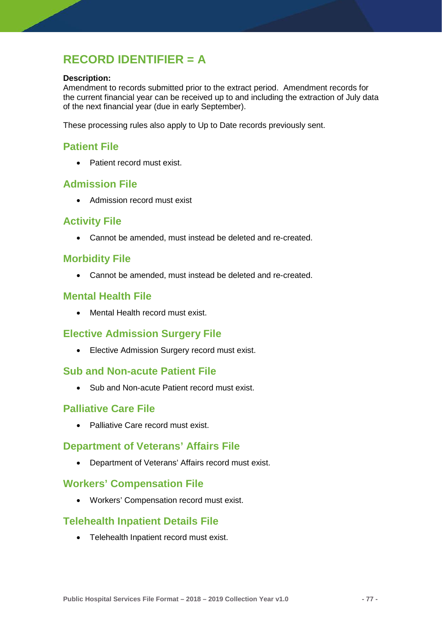# **RECORD IDENTIFIER = A**

#### **Description:**

Amendment to records submitted prior to the extract period. Amendment records for the current financial year can be received up to and including the extraction of July data of the next financial year (due in early September).

These processing rules also apply to Up to Date records previously sent.

# **Patient File**

• Patient record must exist.

### **Admission File**

• Admission record must exist

## **Activity File**

• Cannot be amended, must instead be deleted and re-created.

### **Morbidity File**

• Cannot be amended, must instead be deleted and re-created.

### **Mental Health File**

• Mental Health record must exist.

### **Elective Admission Surgery File**

• Elective Admission Surgery record must exist.

### **Sub and Non-acute Patient File**

• Sub and Non-acute Patient record must exist.

### **Palliative Care File**

• Palliative Care record must exist.

### **Department of Veterans' Affairs File**

• Department of Veterans' Affairs record must exist.

### **Workers' Compensation File**

• Workers' Compensation record must exist.

### **Telehealth Inpatient Details File**

• Telehealth Inpatient record must exist.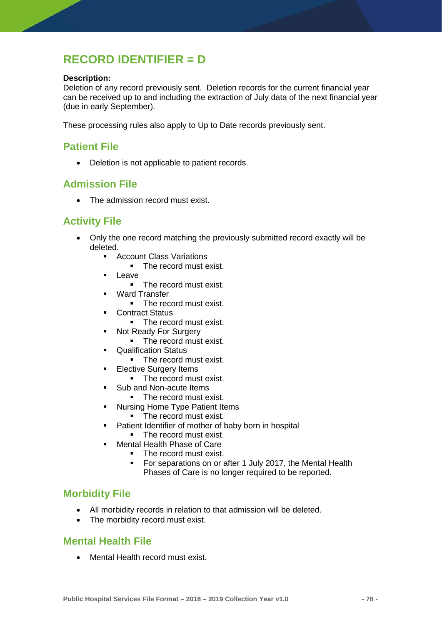# **RECORD IDENTIFIER = D**

#### **Description:**

Deletion of any record previously sent. Deletion records for the current financial year can be received up to and including the extraction of July data of the next financial year (due in early September).

These processing rules also apply to Up to Date records previously sent.

# **Patient File**

• Deletion is not applicable to patient records.

### **Admission File**

• The admission record must exist.

# **Activity File**

- Only the one record matching the previously submitted record exactly will be deleted.
	- **Account Class Variations** 
		- The record must exist.
	- **Leave** 
		- The record must exist.
	- Ward Transfer
		- The record must exist.
	- Contract Status
		- The record must exist.
	- Not Ready For Surgery
		- The record must exist.
	- **Qualification Status** 
		- The record must exist.
	- **Elective Surgery Items** 
		- The record must exist.
	- Sub and Non-acute Items
		- The record must exist.
	- Nursing Home Type Patient Items
		- The record must exist.
	- **Patient Identifier of mother of baby born in hospital** 
		- The record must exist.
	- Mental Health Phase of Care
		- The record must exist.
		- For separations on or after 1 July 2017, the Mental Health Phases of Care is no longer required to be reported.

### **Morbidity File**

- All morbidity records in relation to that admission will be deleted.
- The morbidity record must exist.

### **Mental Health File**

• Mental Health record must exist.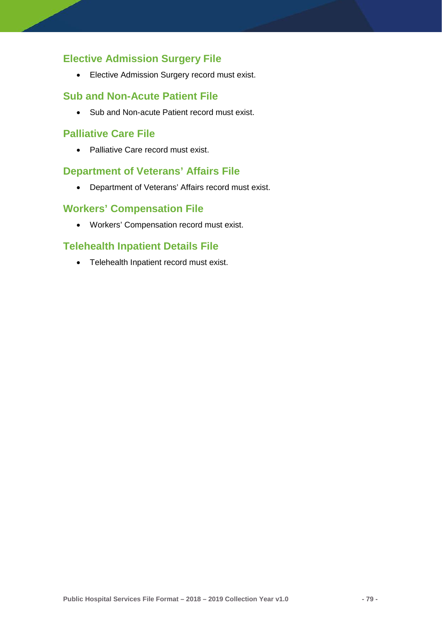# **Elective Admission Surgery File**

• Elective Admission Surgery record must exist.

### **Sub and Non-Acute Patient File**

• Sub and Non-acute Patient record must exist.

### **Palliative Care File**

• Palliative Care record must exist.

# **Department of Veterans' Affairs File**

• Department of Veterans' Affairs record must exist.

### **Workers' Compensation File**

• Workers' Compensation record must exist.

## **Telehealth Inpatient Details File**

• Telehealth Inpatient record must exist.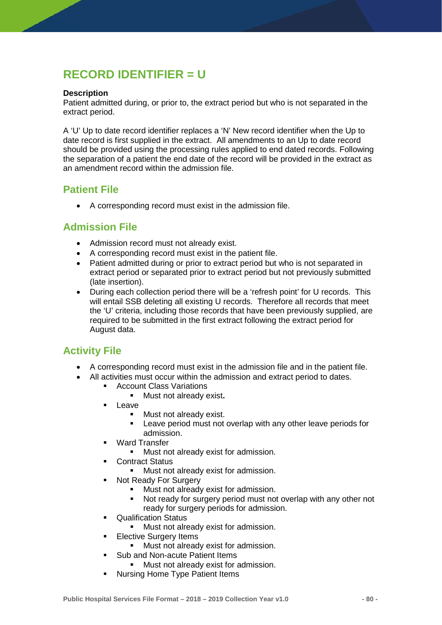# **RECORD IDENTIFIER = U**

#### **Description**

Patient admitted during, or prior to, the extract period but who is not separated in the extract period.

A 'U' Up to date record identifier replaces a 'N' New record identifier when the Up to date record is first supplied in the extract. All amendments to an Up to date record should be provided using the processing rules applied to end dated records. Following the separation of a patient the end date of the record will be provided in the extract as an amendment record within the admission file.

# **Patient File**

• A corresponding record must exist in the admission file.

## **Admission File**

- Admission record must not already exist.
- A corresponding record must exist in the patient file.
- Patient admitted during or prior to extract period but who is not separated in extract period or separated prior to extract period but not previously submitted (late insertion).
- During each collection period there will be a 'refresh point' for U records. This will entail SSB deleting all existing U records. Therefore all records that meet the 'U' criteria, including those records that have been previously supplied, are required to be submitted in the first extract following the extract period for August data.

# **Activity File**

- A corresponding record must exist in the admission file and in the patient file.
	- All activities must occur within the admission and extract period to dates.
		- Account Class Variations
			- Must not already exist**.**
			- Leave
				- **Must not already exist.**
				- **EXECT** Leave period must not overlap with any other leave periods for admission.
			- **•** Ward Transfer
				- **Must not already exist for admission.**
			- **•** Contract Status
				- Must not already exist for admission.
			- Not Ready For Surgery
				- Must not already exist for admission.
				- Not ready for surgery period must not overlap with any other not ready for surgery periods for admission.
		- **Cualification Status** 
			- **Must not already exist for admission.**
		- **Elective Surgery Items** 
			- **Must not already exist for admission.**
		- **Sub and Non-acute Patient Items** 
			- **Must not already exist for admission.**
		- **Nursing Home Type Patient Items**